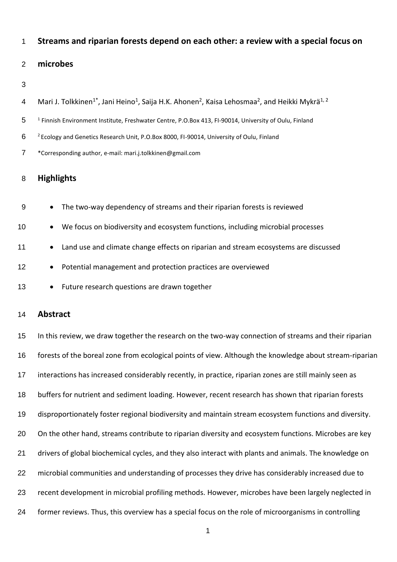# **Streams and riparian forests depend on each other: a review with a special focus on**

**microbes**

- 4 Mari J. Tolkkinen<sup>1\*</sup>, Jani Heino<sup>1</sup>, Saija H.K. Ahonen<sup>2</sup>, Kaisa Lehosmaa<sup>2</sup>, and Heikki Mykrä<sup>1, 2</sup>
- <sup>1</sup> Finnish Environment Institute, Freshwater Centre, P.O.Box 413, FI-90014, University of Oulu, Finland
- <sup>2</sup> Ecology and Genetics Research Unit, P.O.Box 8000, FI-90014, University of Oulu, Finland
- \*Corresponding author, e-mail: mari.j.tolkkinen@gmail.com

# **Highlights**

| 9  | • The two-way dependency of streams and their riparian forests is reviewed            |
|----|---------------------------------------------------------------------------------------|
| 10 | • We focus on biodiversity and ecosystem functions, including microbial processes     |
| 11 | • Land use and climate change effects on riparian and stream ecosystems are discussed |
| 12 | • Potential management and protection practices are overviewed                        |
| 13 | • Future research questions are drawn together                                        |

# **Abstract**

 In this review, we draw together the research on the two-way connection of streams and their riparian forests of the boreal zone from ecological points of view. Although the knowledge about stream-riparian interactions has increased considerably recently, in practice, riparian zones are still mainly seen as buffers for nutrient and sediment loading. However, recent research has shown that riparian forests disproportionately foster regional biodiversity and maintain stream ecosystem functions and diversity. On the other hand, streams contribute to riparian diversity and ecosystem functions. Microbes are key drivers of global biochemical cycles, and they also interact with plants and animals. The knowledge on microbial communities and understanding of processes they drive has considerably increased due to recent development in microbial profiling methods. However, microbes have been largely neglected in former reviews. Thus, this overview has a special focus on the role of microorganisms in controlling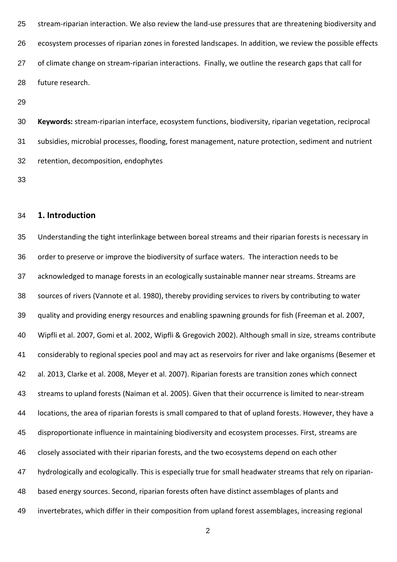stream-riparian interaction. We also review the land-use pressures that are threatening biodiversity and ecosystem processes of riparian zones in forested landscapes. In addition, we review the possible effects 27 of climate change on stream-riparian interactions. Finally, we outline the research gaps that call for future research.

 **Keywords:** stream-riparian interface, ecosystem functions, biodiversity, riparian vegetation, reciprocal subsidies, microbial processes, flooding, forest management, nature protection, sediment and nutrient retention, decomposition, endophytes

# **1. Introduction**

 Understanding the tight interlinkage between boreal streams and their riparian forests is necessary in order to preserve or improve the biodiversity of surface waters. The interaction needs to be acknowledged to manage forests in an ecologically sustainable manner near streams. Streams are sources of rivers (Vannote et al. 1980), thereby providing services to rivers by contributing to water quality and providing energy resources and enabling spawning grounds for fish (Freeman et al. 2007, Wipfli et al. 2007, Gomi et al. 2002, Wipfli & Gregovich 2002). Although small in size, streams contribute considerably to regional species pool and may act as reservoirs for river and lake organisms (Besemer et al. 2013, Clarke et al. 2008, Meyer et al. 2007). Riparian forests are transition zones which connect streams to upland forests (Naiman et al. 2005). Given that their occurrence is limited to near-stream locations, the area of riparian forests is small compared to that of upland forests. However, they have a disproportionate influence in maintaining biodiversity and ecosystem processes. First, streams are closely associated with their riparian forests, and the two ecosystems depend on each other hydrologically and ecologically. This is especially true for small headwater streams that rely on riparian- based energy sources. Second, riparian forests often have distinct assemblages of plants and invertebrates, which differ in their composition from upland forest assemblages, increasing regional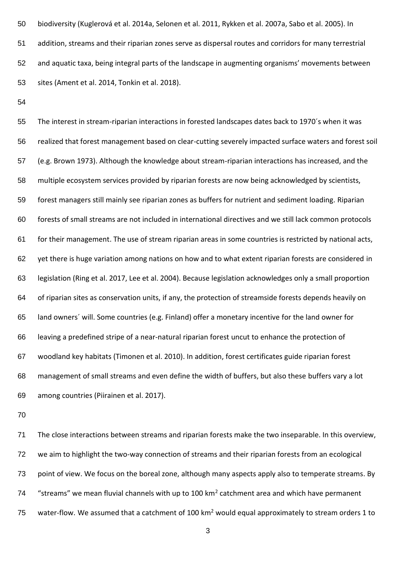biodiversity (Kuglerová et al. 2014a, Selonen et al. 2011, Rykken et al. 2007a, Sabo et al. 2005). In addition, streams and their riparian zones serve as dispersal routes and corridors for many terrestrial and aquatic taxa, being integral parts of the landscape in augmenting organisms' movements between sites (Ament et al. 2014, Tonkin et al. 2018).

 The interest in stream-riparian interactions in forested landscapes dates back to 1970´s when it was realized that forest management based on clear-cutting severely impacted surface waters and forest soil (e.g. Brown 1973). Although the knowledge about stream-riparian interactions has increased, and the multiple ecosystem services provided by riparian forests are now being acknowledged by scientists, forest managers still mainly see riparian zones as buffers for nutrient and sediment loading. Riparian forests of small streams are not included in international directives and we still lack common protocols for their management. The use of stream riparian areas in some countries is restricted by national acts, yet there is huge variation among nations on how and to what extent riparian forests are considered in legislation (Ring et al. 2017, Lee et al. 2004). Because legislation acknowledges only a small proportion of riparian sites as conservation units, if any, the protection of streamside forests depends heavily on land owners´ will. Some countries (e.g. Finland) offer a monetary incentive for the land owner for leaving a predefined stripe of a near-natural riparian forest uncut to enhance the protection of woodland key habitats (Timonen et al. 2010). In addition, forest certificates guide riparian forest management of small streams and even define the width of buffers, but also these buffers vary a lot among countries (Piirainen et al. 2017).

 The close interactions between streams and riparian forests make the two inseparable. In this overview, we aim to highlight the two-way connection of streams and their riparian forests from an ecological point of view. We focus on the boreal zone, although many aspects apply also to temperate streams. By "streams" we mean fluvial channels with up to 100 km<sup>2</sup> catchment area and which have permanent 75 water-flow. We assumed that a catchment of 100 km<sup>2</sup> would equal approximately to stream orders 1 to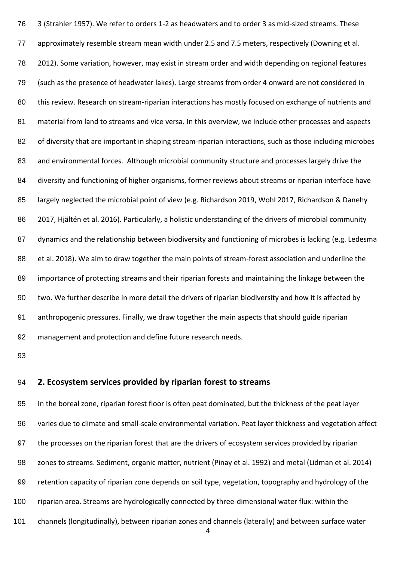3 (Strahler 1957). We refer to orders 1-2 as headwaters and to order 3 as mid-sized streams. These 77 approximately resemble stream mean width under 2.5 and 7.5 meters, respectively (Downing et al. 2012). Some variation, however, may exist in stream order and width depending on regional features (such as the presence of headwater lakes). Large streams from order 4 onward are not considered in 80 this review. Research on stream-riparian interactions has mostly focused on exchange of nutrients and material from land to streams and vice versa. In this overview, we include other processes and aspects 82 of diversity that are important in shaping stream-riparian interactions, such as those including microbes and environmental forces. Although microbial community structure and processes largely drive the 84 diversity and functioning of higher organisms, former reviews about streams or riparian interface have largely neglected the microbial point of view (e.g. Richardson 2019, Wohl 2017, Richardson & Danehy 2017, Hjältén et al. 2016). Particularly, a holistic understanding of the drivers of microbial community 87 dynamics and the relationship between biodiversity and functioning of microbes is lacking (e.g. Ledesma 88 et al. 2018). We aim to draw together the main points of stream-forest association and underline the importance of protecting streams and their riparian forests and maintaining the linkage between the two. We further describe in more detail the drivers of riparian biodiversity and how it is affected by anthropogenic pressures. Finally, we draw together the main aspects that should guide riparian management and protection and define future research needs.

# **2. Ecosystem services provided by riparian forest to streams**

 In the boreal zone, riparian forest floor is often peat dominated, but the thickness of the peat layer varies due to climate and small-scale environmental variation. Peat layer thickness and vegetation affect the processes on the riparian forest that are the drivers of ecosystem services provided by riparian zones to streams. Sediment, organic matter, nutrient (Pinay et al. 1992) and metal (Lidman et al. 2014) retention capacity of riparian zone depends on soil type, vegetation, topography and hydrology of the riparian area. Streams are hydrologically connected by three-dimensional water flux: within the channels (longitudinally), between riparian zones and channels (laterally) and between surface water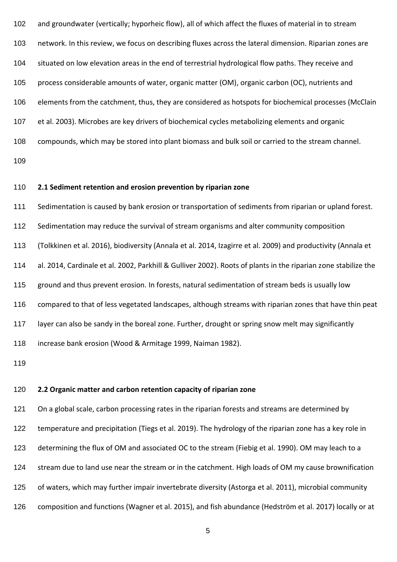and groundwater (vertically; hyporheic flow), all of which affect the fluxes of material in to stream network. In this review, we focus on describing fluxes across the lateral dimension. Riparian zones are situated on low elevation areas in the end of terrestrial hydrological flow paths. They receive and process considerable amounts of water, organic matter (OM), organic carbon (OC), nutrients and elements from the catchment, thus, they are considered as hotspots for biochemical processes (McClain et al. 2003). Microbes are key drivers of biochemical cycles metabolizing elements and organic compounds, which may be stored into plant biomass and bulk soil or carried to the stream channel.

## **2.1 Sediment retention and erosion prevention by riparian zone**

 Sedimentation is caused by bank erosion or transportation of sediments from riparian or upland forest. 112 Sedimentation may reduce the survival of stream organisms and alter community composition (Tolkkinen et al. 2016), biodiversity (Annala et al. 2014, Izagirre et al. 2009) and productivity (Annala et al. 2014, Cardinale et al. 2002, Parkhill & Gulliver 2002). Roots of plants in the riparian zone stabilize the ground and thus prevent erosion. In forests, natural sedimentation of stream beds is usually low compared to that of less vegetated landscapes, although streams with riparian zones that have thin peat layer can also be sandy in the boreal zone. Further, drought or spring snow melt may significantly increase bank erosion (Wood & Armitage 1999, Naiman 1982).

#### **2.2 Organic matter and carbon retention capacity of riparian zone**

121 On a global scale, carbon processing rates in the riparian forests and streams are determined by temperature and precipitation (Tiegs et al. 2019). The hydrology of the riparian zone has a key role in determining the flux of OM and associated OC to the stream (Fiebig et al. 1990). OM may leach to a stream due to land use near the stream or in the catchment. High loads of OM my cause brownification of waters, which may further impair invertebrate diversity (Astorga et al. 2011), microbial community composition and functions (Wagner et al. 2015), and fish abundance (Hedström et al. 2017) locally or at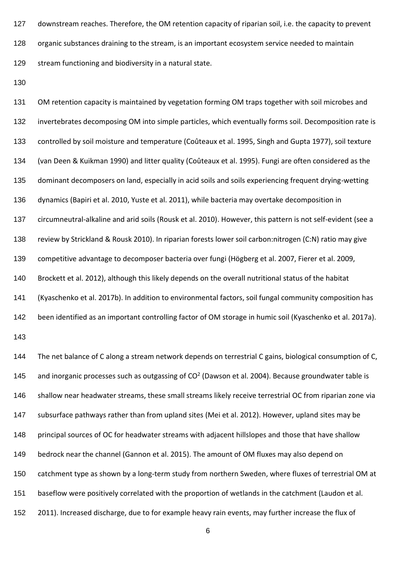downstream reaches. Therefore, the OM retention capacity of riparian soil, i.e. the capacity to prevent organic substances draining to the stream, is an important ecosystem service needed to maintain stream functioning and biodiversity in a natural state.

 OM retention capacity is maintained by vegetation forming OM traps together with soil microbes and invertebrates decomposing OM into simple particles, which eventually forms soil. Decomposition rate is controlled by soil moisture and temperature (Coûteaux et al. 1995, Singh and Gupta 1977), soil texture (van Deen & Kuikman 1990) and litter quality (Coûteaux et al. 1995). Fungi are often considered as the dominant decomposers on land, especially in acid soils and soils experiencing frequent drying-wetting dynamics (Bapiri et al. 2010, Yuste et al. 2011), while bacteria may overtake decomposition in circumneutral-alkaline and arid soils (Rousk et al. 2010). However, this pattern is not self-evident (see a review by Strickland & Rousk 2010). In riparian forests lower soil carbon:nitrogen (C:N) ratio may give competitive advantage to decomposer bacteria over fungi (Högberg et al. 2007, Fierer et al. 2009, Brockett et al. 2012), although this likely depends on the overall nutritional status of the habitat (Kyaschenko et al. 2017b). In addition to environmental factors, soil fungal community composition has been identified as an important controlling factor of OM storage in humic soil (Kyaschenko et al. 2017a). The net balance of C along a stream network depends on terrestrial C gains, biological consumption of C,

145 and inorganic processes such as outgassing of  $CO<sup>2</sup>$  (Dawson et al. 2004). Because groundwater table is shallow near headwater streams, these small streams likely receive terrestrial OC from riparian zone via subsurface pathways rather than from upland sites (Mei et al. 2012). However, upland sites may be principal sources of OC for headwater streams with adjacent hillslopes and those that have shallow bedrock near the channel (Gannon et al. 2015). The amount of OM fluxes may also depend on catchment type as shown by a long-term study from northern Sweden, where fluxes of terrestrial OM at baseflow were positively correlated with the proportion of wetlands in the catchment (Laudon et al. 2011). Increased discharge, due to for example heavy rain events, may further increase the flux of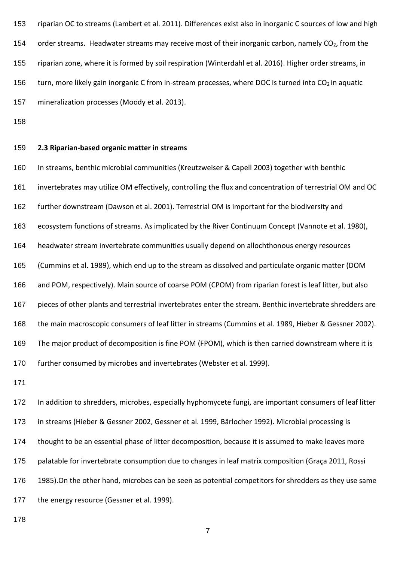riparian OC to streams (Lambert et al. 2011). Differences exist also in inorganic C sources of low and high 154 order streams. Headwater streams may receive most of their inorganic carbon, namely  $CO<sub>2</sub>$ , from the riparian zone, where it is formed by soil respiration (Winterdahl et al. 2016). Higher order streams, in 156 turn, more likely gain inorganic C from in-stream processes, where DOC is turned into CO<sub>2</sub> in aquatic mineralization processes (Moody et al. 2013).

#### **2.3 Riparian-based organic matter in streams**

 In streams, benthic microbial communities (Kreutzweiser & Capell 2003) together with benthic invertebrates may utilize OM effectively, controlling the flux and concentration of terrestrial OM and OC further downstream (Dawson et al. 2001). Terrestrial OM is important for the biodiversity and ecosystem functions of streams. As implicated by the River Continuum Concept (Vannote et al. 1980), headwater stream invertebrate communities usually depend on allochthonous energy resources (Cummins et al. 1989), which end up to the stream as dissolved and particulate organic matter (DOM and POM, respectively). Main source of coarse POM (CPOM) from riparian forest is leaf litter, but also pieces of other plants and terrestrial invertebrates enter the stream. Benthic invertebrate shredders are the main macroscopic consumers of leaf litter in streams (Cummins et al. 1989, Hieber & Gessner 2002). The major product of decomposition is fine POM (FPOM), which is then carried downstream where it is further consumed by microbes and invertebrates (Webster et al. 1999).

 In addition to shredders, microbes, especially hyphomycete fungi, are important consumers of leaf litter in streams (Hieber & Gessner 2002, Gessner et al. 1999, Bärlocher 1992). Microbial processing is thought to be an essential phase of litter decomposition, because it is assumed to make leaves more 175 palatable for invertebrate consumption due to changes in leaf matrix composition (Graça 2011, Rossi 1985).On the other hand, microbes can be seen as potential competitors for shredders as they use same 177 the energy resource (Gessner et al. 1999).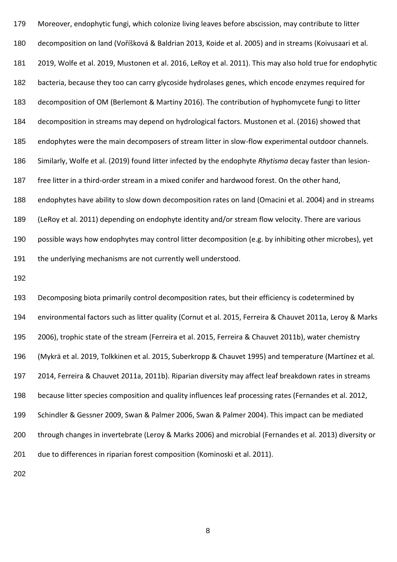Moreover, endophytic fungi, which colonize living leaves before abscission, may contribute to litter decomposition on land (Voříšková & Baldrian 2013, Koide et al. 2005) and in streams (Koivusaari et al. 2019, Wolfe et al. 2019, Mustonen et al. 2016, LeRoy et al. 2011). This may also hold true for endophytic bacteria, because they too can carry glycoside hydrolases genes, which encode enzymes required for decomposition of OM (Berlemont & Martiny 2016). The contribution of hyphomycete fungi to litter decomposition in streams may depend on hydrological factors. Mustonen et al. (2016) showed that endophytes were the main decomposers of stream litter in slow-flow experimental outdoor channels. Similarly, Wolfe et al. (2019) found litter infected by the endophyte *Rhytisma* decay faster than lesion- free litter in a third-order stream in a mixed conifer and hardwood forest. On the other hand, endophytes have ability to slow down decomposition rates on land (Omacini et al. 2004) and in streams (LeRoy et al. 2011) depending on endophyte identity and/or stream flow velocity. There are various possible ways how endophytes may control litter decomposition (e.g. by inhibiting other microbes), yet the underlying mechanisms are not currently well understood.

 Decomposing biota primarily control decomposition rates, but their efficiency is codetermined by environmental factors such as litter quality (Cornut et al. 2015, Ferreira & Chauvet 2011a, Leroy & Marks 2006), trophic state of the stream (Ferreira et al. 2015, Ferreira & Chauvet 2011b), water chemistry (Mykrä et al. 2019, Tolkkinen et al. 2015, Suberkropp & Chauvet 1995) and temperature (Martínez et al. 2014, Ferreira & Chauvet 2011a, 2011b). Riparian diversity may affect leaf breakdown rates in streams because litter species composition and quality influences leaf processing rates (Fernandes et al. 2012, Schindler & Gessner 2009, Swan & Palmer 2006, Swan & Palmer 2004). This impact can be mediated through changes in invertebrate (Leroy & Marks 2006) and microbial (Fernandes et al. 2013) diversity or due to differences in riparian forest composition (Kominoski et al. 2011).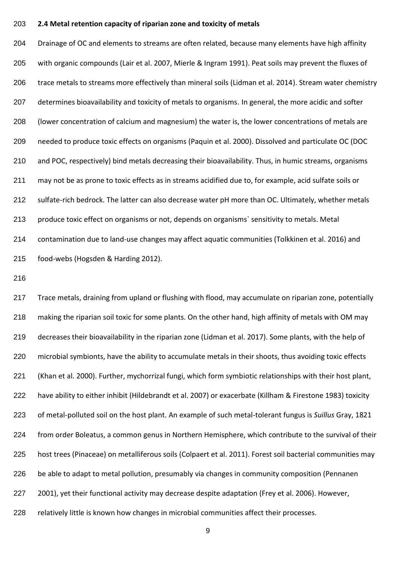## **2.4 Metal retention capacity of riparian zone and toxicity of metals**

 Drainage of OC and elements to streams are often related, because many elements have high affinity with organic compounds (Lair et al. 2007, Mierle & Ingram 1991). Peat soils may prevent the fluxes of trace metals to streams more effectively than mineral soils (Lidman et al. 2014). Stream water chemistry 207 determines bioavailability and toxicity of metals to organisms. In general, the more acidic and softer (lower concentration of calcium and magnesium) the water is, the lower concentrations of metals are needed to produce toxic effects on organisms (Paquin et al. 2000). Dissolved and particulate OC (DOC and POC, respectively) bind metals decreasing their bioavailability. Thus, in humic streams, organisms may not be as prone to toxic effects as in streams acidified due to, for example, acid sulfate soils or sulfate-rich bedrock. The latter can also decrease water pH more than OC. Ultimately, whether metals produce toxic effect on organisms or not, depends on organisms` sensitivity to metals. Metal contamination due to land-use changes may affect aquatic communities (Tolkkinen et al. 2016) and food-webs (Hogsden & Harding 2012).

 Trace metals, draining from upland or flushing with flood, may accumulate on riparian zone, potentially making the riparian soil toxic for some plants. On the other hand, high affinity of metals with OM may decreases their bioavailability in the riparian zone (Lidman et al. 2017). Some plants, with the help of microbial symbionts, have the ability to accumulate metals in their shoots, thus avoiding toxic effects (Khan et al. 2000). Further, mychorrizal fungi, which form symbiotic relationships with their host plant, have ability to either inhibit (Hildebrandt et al. 2007) or exacerbate (Killham & Firestone 1983) toxicity of metal-polluted soil on the host plant. An example of such metal-tolerant fungus is *Suillus* Gray, 1821 from order Boleatus, a common genus in Northern Hemisphere, which contribute to the survival of their host trees (Pinaceae) on metalliferous soils (Colpaert et al. 2011). Forest soil bacterial communities may be able to adapt to metal pollution, presumably via changes in community composition (Pennanen 2001), yet their functional activity may decrease despite adaptation (Frey et al. 2006). However,

relatively little is known how changes in microbial communities affect their processes.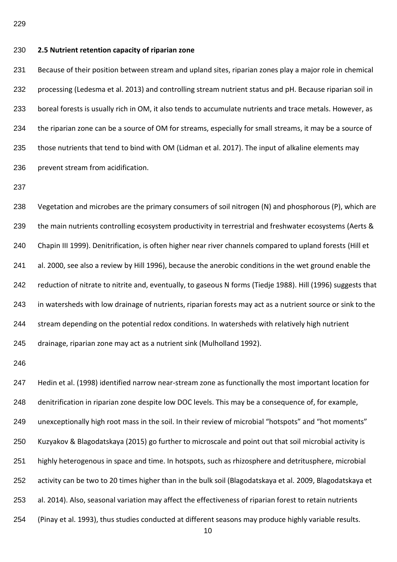**2.5 Nutrient retention capacity of riparian zone**

 Because of their position between stream and upland sites, riparian zones play a major role in chemical processing (Ledesma et al. 2013) and controlling stream nutrient status and pH. Because riparian soil in boreal forests is usually rich in OM, it also tends to accumulate nutrients and trace metals. However, as the riparian zone can be a source of OM for streams, especially for small streams, it may be a source of those nutrients that tend to bind with OM (Lidman et al. 2017). The input of alkaline elements may prevent stream from acidification.

 Vegetation and microbes are the primary consumers of soil nitrogen (N) and phosphorous (P), which are the main nutrients controlling ecosystem productivity in terrestrial and freshwater ecosystems (Aerts & Chapin III 1999). Denitrification, is often higher near river channels compared to upland forests (Hill et al. 2000, see also a review by Hill 1996), because the anerobic conditions in the wet ground enable the reduction of nitrate to nitrite and, eventually, to gaseous N forms (Tiedje 1988). Hill (1996) suggests that in watersheds with low drainage of nutrients, riparian forests may act as a nutrient source or sink to the stream depending on the potential redox conditions. In watersheds with relatively high nutrient drainage, riparian zone may act as a nutrient sink (Mulholland 1992).

 Hedin et al. (1998) identified narrow near-stream zone as functionally the most important location for denitrification in riparian zone despite low DOC levels. This may be a consequence of, for example, unexceptionally high root mass in the soil. In their review of microbial "hotspots" and "hot moments" Kuzyakov & Blagodatskaya (2015) go further to microscale and point out that soil microbial activity is highly heterogenous in space and time. In hotspots, such as rhizosphere and detritusphere, microbial activity can be two to 20 times higher than in the bulk soil (Blagodatskaya et al. 2009, Blagodatskaya et al. 2014). Also, seasonal variation may affect the effectiveness of riparian forest to retain nutrients (Pinay et al. 1993), thus studies conducted at different seasons may produce highly variable results.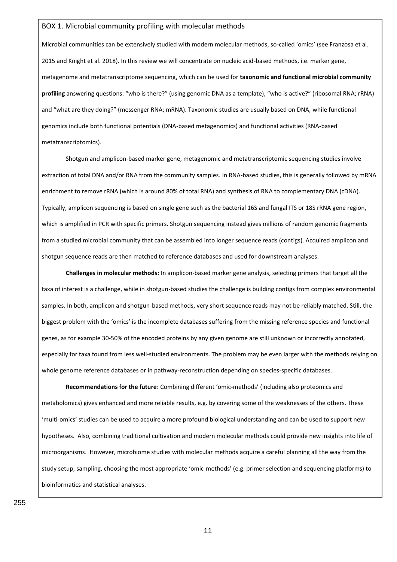#### BOX 1. Microbial community profiling with molecular methods

Microbial communities can be extensively studied with modern molecular methods, so-called 'omics' (see Franzosa et al. 2015 and Knight et al. 2018). In this review we will concentrate on nucleic acid-based methods, i.e. marker gene, metagenome and metatranscriptome sequencing, which can be used for **taxonomic and functional microbial community profiling** answering questions: "who is there?" (using genomic DNA as a template), "who is active?" (ribosomal RNA; rRNA) and "what are they doing?" (messenger RNA; mRNA). Taxonomic studies are usually based on DNA, while functional genomics include both functional potentials (DNA-based metagenomics) and functional activities (RNA-based metatranscriptomics).

Shotgun and amplicon-based marker gene, metagenomic and metatranscriptomic sequencing studies involve extraction of total DNA and/or RNA from the community samples. In RNA-based studies, this is generally followed by mRNA enrichment to remove rRNA (which is around 80% of total RNA) and synthesis of RNA to complementary DNA (cDNA). Typically, amplicon sequencing is based on single gene such as the bacterial 16S and fungal ITS or 18S rRNA gene region, which is amplified in PCR with specific primers. Shotgun sequencing instead gives millions of random genomic fragments from a studied microbial community that can be assembled into longer sequence reads (contigs). Acquired amplicon and shotgun sequence reads are then matched to reference databases and used for downstream analyses.

**Challenges in molecular methods:** In amplicon-based marker gene analysis, selecting primers that target all the taxa of interest is a challenge, while in shotgun-based studies the challenge is building contigs from complex environmental samples. In both, amplicon and shotgun-based methods, very short sequence reads may not be reliably matched. Still, the biggest problem with the 'omics' is the incomplete databases suffering from the missing reference species and functional genes, as for example 30-50% of the encoded proteins by any given genome are still unknown or incorrectly annotated, especially for taxa found from less well-studied environments. The problem may be even larger with the methods relying on whole genome reference databases or in pathway-reconstruction depending on species-specific databases.

**Recommendations for the future:** Combining different 'omic-methods' (including also proteomics and metabolomics) gives enhanced and more reliable results, e.g. by covering some of the weaknesses of the others. These 'multi-omics' studies can be used to acquire a more profound biological understanding and can be used to support new hypotheses. Also, combining traditional cultivation and modern molecular methods could provide new insights into life of microorganisms. However, microbiome studies with molecular methods acquire a careful planning all the way from the study setup, sampling, choosing the most appropriate 'omic-methods' (e.g. primer selection and sequencing platforms) to bioinformatics and statistical analyses.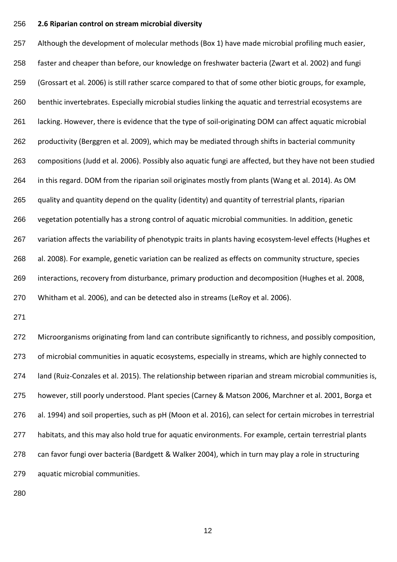#### **2.6 Riparian control on stream microbial diversity**

 Although the development of molecular methods (Box 1) have made microbial profiling much easier, faster and cheaper than before, our knowledge on freshwater bacteria (Zwart et al. 2002) and fungi (Grossart et al. 2006) is still rather scarce compared to that of some other biotic groups, for example, benthic invertebrates. Especially microbial studies linking the aquatic and terrestrial ecosystems are lacking. However, there is evidence that the type of soil-originating DOM can affect aquatic microbial productivity (Berggren et al. 2009), which may be mediated through shifts in bacterial community compositions (Judd et al. 2006). Possibly also aquatic fungi are affected, but they have not been studied in this regard. DOM from the riparian soil originates mostly from plants (Wang et al. 2014). As OM quality and quantity depend on the quality (identity) and quantity of terrestrial plants, riparian vegetation potentially has a strong control of aquatic microbial communities. In addition, genetic variation affects the variability of phenotypic traits in plants having ecosystem-level effects (Hughes et al. 2008). For example, genetic variation can be realized as effects on community structure, species interactions, recovery from disturbance, primary production and decomposition (Hughes et al. 2008, Whitham et al. 2006), and can be detected also in streams (LeRoy et al. 2006).

 Microorganisms originating from land can contribute significantly to richness, and possibly composition, of microbial communities in aquatic ecosystems, especially in streams, which are highly connected to land (Ruiz-Conzales et al. 2015). The relationship between riparian and stream microbial communities is, however, still poorly understood. Plant species (Carney & Matson 2006, Marchner et al. 2001, Borga et al. 1994) and soil properties, such as pH (Moon et al. 2016), can select for certain microbes in terrestrial 277 habitats, and this may also hold true for aquatic environments. For example, certain terrestrial plants can favor fungi over bacteria (Bardgett & Walker 2004), which in turn may play a role in structuring aquatic microbial communities.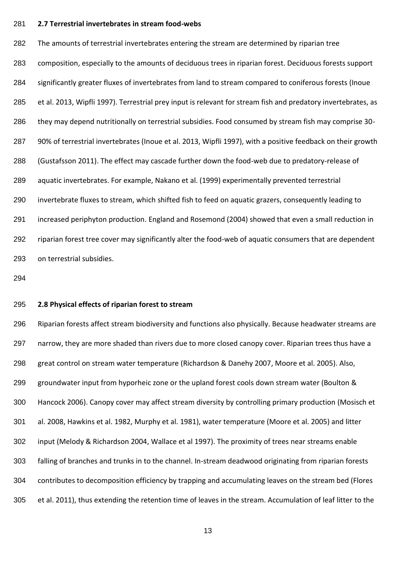#### **2.7 Terrestrial invertebrates in stream food-webs**

 The amounts of terrestrial invertebrates entering the stream are determined by riparian tree composition, especially to the amounts of deciduous trees in riparian forest. Deciduous forests support significantly greater fluxes of invertebrates from land to stream compared to coniferous forests (Inoue et al. 2013, Wipfli 1997). Terrestrial prey input is relevant for stream fish and predatory invertebrates, as they may depend nutritionally on terrestrial subsidies. Food consumed by stream fish may comprise 30- 90% of terrestrial invertebrates (Inoue et al. 2013, Wipfli 1997), with a positive feedback on their growth (Gustafsson 2011). The effect may cascade further down the food-web due to predatory-release of aquatic invertebrates. For example, Nakano et al. (1999) experimentally prevented terrestrial invertebrate fluxes to stream, which shifted fish to feed on aquatic grazers, consequently leading to increased periphyton production. England and Rosemond (2004) showed that even a small reduction in riparian forest tree cover may significantly alter the food-web of aquatic consumers that are dependent on terrestrial subsidies.

#### **2.8 Physical effects of riparian forest to stream**

 Riparian forests affect stream biodiversity and functions also physically. Because headwater streams are narrow, they are more shaded than rivers due to more closed canopy cover. Riparian trees thus have a great control on stream water temperature (Richardson & Danehy 2007, Moore et al. 2005). Also, groundwater input from hyporheic zone or the upland forest cools down stream water (Boulton & Hancock 2006). Canopy cover may affect stream diversity by controlling primary production (Mosisch et al. 2008, Hawkins et al. 1982, Murphy et al. 1981), water temperature (Moore et al. 2005) and litter input (Melody & Richardson 2004, Wallace et al 1997). The proximity of trees near streams enable falling of branches and trunks in to the channel. In-stream deadwood originating from riparian forests contributes to decomposition efficiency by trapping and accumulating leaves on the stream bed (Flores et al. 2011), thus extending the retention time of leaves in the stream. Accumulation of leaf litter to the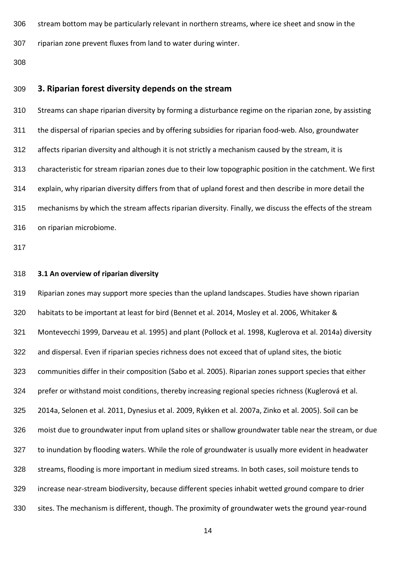stream bottom may be particularly relevant in northern streams, where ice sheet and snow in the

riparian zone prevent fluxes from land to water during winter.

| 309 | 3. Riparian forest diversity depends on the stream                                                        |
|-----|-----------------------------------------------------------------------------------------------------------|
| 310 | Streams can shape riparian diversity by forming a disturbance regime on the riparian zone, by assisting   |
| 311 | the dispersal of riparian species and by offering subsidies for riparian food-web. Also, groundwater      |
| 312 | affects riparian diversity and although it is not strictly a mechanism caused by the stream, it is        |
| 313 | characteristic for stream riparian zones due to their low topographic position in the catchment. We first |
| 314 | explain, why riparian diversity differs from that of upland forest and then describe in more detail the   |
| 315 | mechanisms by which the stream affects riparian diversity. Finally, we discuss the effects of the stream  |
| 316 | on riparian microbiome.                                                                                   |
| 317 |                                                                                                           |
| 318 | 3.1 An overview of riparian diversity                                                                     |
| 319 | Riparian zones may support more species than the upland landscapes. Studies have shown riparian           |
| 320 | habitats to be important at least for bird (Bennet et al. 2014, Mosley et al. 2006, Whitaker &            |
| 321 | Montevecchi 1999, Darveau et al. 1995) and plant (Pollock et al. 1998, Kuglerova et al. 2014a) diversity  |
| 322 | and dispersal. Even if riparian species richness does not exceed that of upland sites, the biotic         |
| 323 | communities differ in their composition (Sabo et al. 2005). Riparian zones support species that either    |
| 324 | prefer or withstand moist conditions, thereby increasing regional species richness (Kuglerová et al.      |
| 325 | 2014a, Selonen et al. 2011, Dynesius et al. 2009, Rykken et al. 2007a, Zinko et al. 2005). Soil can be    |
| 326 | moist due to groundwater input from upland sites or shallow groundwater table near the stream, or due     |
| 327 | to inundation by flooding waters. While the role of groundwater is usually more evident in headwater      |
| 328 | streams, flooding is more important in medium sized streams. In both cases, soil moisture tends to        |
| 329 | increase near-stream biodiversity, because different species inhabit wetted ground compare to drier       |
| 330 | sites. The mechanism is different, though. The proximity of groundwater wets the ground year-round        |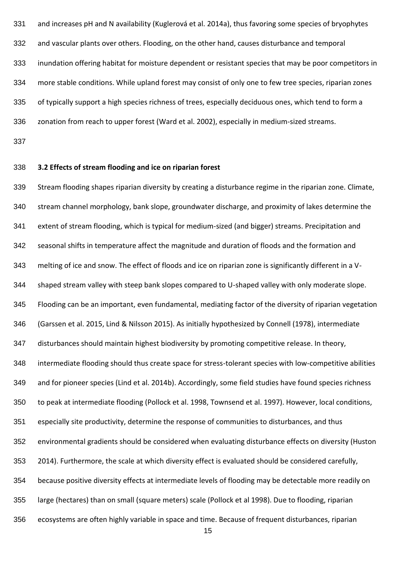and increases pH and N availability (Kuglerová et al. 2014a), thus favoring some species of bryophytes and vascular plants over others. Flooding, on the other hand, causes disturbance and temporal inundation offering habitat for moisture dependent or resistant species that may be poor competitors in more stable conditions. While upland forest may consist of only one to few tree species, riparian zones of typically support a high species richness of trees, especially deciduous ones, which tend to form a zonation from reach to upper forest (Ward et al. 2002), especially in medium-sized streams.

## **3.2 Effects of stream flooding and ice on riparian forest**

 Stream flooding shapes riparian diversity by creating a disturbance regime in the riparian zone. Climate, stream channel morphology, bank slope, groundwater discharge, and proximity of lakes determine the extent of stream flooding, which is typical for medium-sized (and bigger) streams. Precipitation and seasonal shifts in temperature affect the magnitude and duration of floods and the formation and melting of ice and snow. The effect of floods and ice on riparian zone is significantly different in a V- shaped stream valley with steep bank slopes compared to U-shaped valley with only moderate slope. Flooding can be an important, even fundamental, mediating factor of the diversity of riparian vegetation (Garssen et al. 2015, Lind & Nilsson 2015). As initially hypothesized by Connell (1978), intermediate disturbances should maintain highest biodiversity by promoting competitive release. In theory, intermediate flooding should thus create space for stress-tolerant species with low-competitive abilities and for pioneer species (Lind et al. 2014b). Accordingly, some field studies have found species richness to peak at intermediate flooding (Pollock et al. 1998, Townsend et al. 1997). However, local conditions, especially site productivity, determine the response of communities to disturbances, and thus environmental gradients should be considered when evaluating disturbance effects on diversity (Huston 2014). Furthermore, the scale at which diversity effect is evaluated should be considered carefully, because positive diversity effects at intermediate levels of flooding may be detectable more readily on large (hectares) than on small (square meters) scale (Pollock et al 1998). Due to flooding, riparian ecosystems are often highly variable in space and time. Because of frequent disturbances, riparian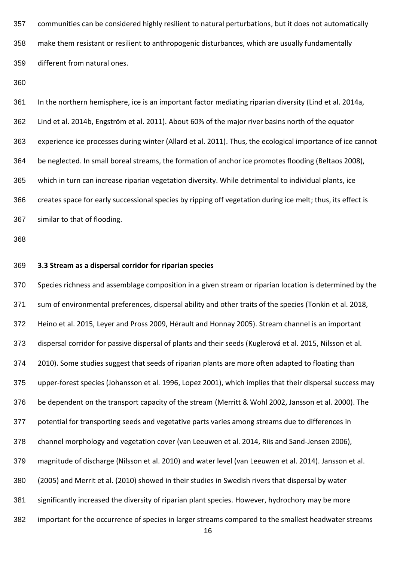communities can be considered highly resilient to natural perturbations, but it does not automatically make them resistant or resilient to anthropogenic disturbances, which are usually fundamentally different from natural ones.

 In the northern hemisphere, ice is an important factor mediating riparian diversity (Lind et al. 2014a, Lind et al. 2014b, Engström et al. 2011). About 60% of the major river basins north of the equator experience ice processes during winter (Allard et al. 2011). Thus, the ecological importance of ice cannot be neglected. In small boreal streams, the formation of anchor ice promotes flooding (Beltaos 2008), which in turn can increase riparian vegetation diversity. While detrimental to individual plants, ice creates space for early successional species by ripping off vegetation during ice melt; thus, its effect is similar to that of flooding.

#### **3.3 Stream as a dispersal corridor for riparian species**

 Species richness and assemblage composition in a given stream or riparian location is determined by the sum of environmental preferences, dispersal ability and other traits of the species (Tonkin et al. 2018, Heino et al. 2015, Leyer and Pross 2009, Hérault and Honnay 2005). Stream channel is an important dispersal corridor for passive dispersal of plants and their seeds (Kuglerová et al. 2015, Nilsson et al. 2010). Some studies suggest that seeds of riparian plants are more often adapted to floating than upper-forest species (Johansson et al. 1996, Lopez 2001), which implies that their dispersal success may be dependent on the transport capacity of the stream (Merritt & Wohl 2002, Jansson et al. 2000). The potential for transporting seeds and vegetative parts varies among streams due to differences in channel morphology and vegetation cover (van Leeuwen et al. 2014, Riis and Sand-Jensen 2006), magnitude of discharge (Nilsson et al. 2010) and water level (van Leeuwen et al. 2014). Jansson et al. (2005) and Merrit et al. (2010) showed in their studies in Swedish rivers that dispersal by water significantly increased the diversity of riparian plant species. However, hydrochory may be more important for the occurrence of species in larger streams compared to the smallest headwater streams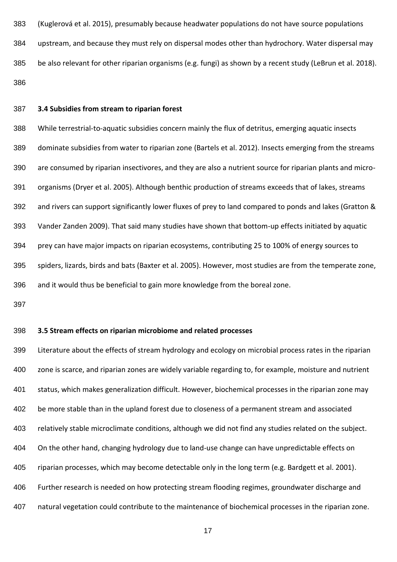(Kuglerová et al. 2015), presumably because headwater populations do not have source populations upstream, and because they must rely on dispersal modes other than hydrochory. Water dispersal may be also relevant for other riparian organisms (e.g. fungi) as shown by a recent study (LeBrun et al. 2018). 

#### **3.4 Subsidies from stream to riparian forest**

 While terrestrial-to-aquatic subsidies concern mainly the flux of detritus, emerging aquatic insects dominate subsidies from water to riparian zone (Bartels et al. 2012). Insects emerging from the streams are consumed by riparian insectivores, and they are also a nutrient source for riparian plants and micro- organisms (Dryer et al. 2005). Although benthic production of streams exceeds that of lakes, streams and rivers can support significantly lower fluxes of prey to land compared to ponds and lakes (Gratton & Vander Zanden 2009). That said many studies have shown that bottom-up effects initiated by aquatic prey can have major impacts on riparian ecosystems, contributing 25 to 100% of energy sources to spiders, lizards, birds and bats (Baxter et al. 2005). However, most studies are from the temperate zone, and it would thus be beneficial to gain more knowledge from the boreal zone.

#### **3.5 Stream effects on riparian microbiome and related processes**

 Literature about the effects of stream hydrology and ecology on microbial process rates in the riparian zone is scarce, and riparian zones are widely variable regarding to, for example, moisture and nutrient status, which makes generalization difficult. However, biochemical processes in the riparian zone may be more stable than in the upland forest due to closeness of a permanent stream and associated relatively stable microclimate conditions, although we did not find any studies related on the subject. 404 On the other hand, changing hydrology due to land-use change can have unpredictable effects on riparian processes, which may become detectable only in the long term (e.g. Bardgett et al. 2001). Further research is needed on how protecting stream flooding regimes, groundwater discharge and natural vegetation could contribute to the maintenance of biochemical processes in the riparian zone.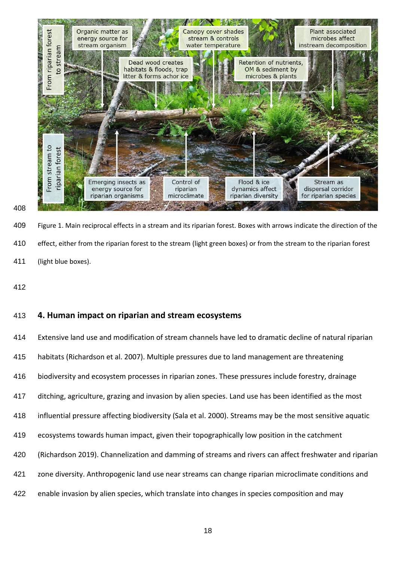

 Figure 1. Main reciprocal effects in a stream and its riparian forest. Boxes with arrows indicate the direction of the effect, either from the riparian forest to the stream (light green boxes) or from the stream to the riparian forest (light blue boxes).

# **4. Human impact on riparian and stream ecosystems**

 Extensive land use and modification of stream channels have led to dramatic decline of natural riparian habitats (Richardson et al. 2007). Multiple pressures due to land management are threatening biodiversity and ecosystem processes in riparian zones. These pressures include forestry, drainage ditching, agriculture, grazing and invasion by alien species. Land use has been identified as the most influential pressure affecting biodiversity (Sala et al. 2000). Streams may be the most sensitive aquatic ecosystems towards human impact, given their topographically low position in the catchment (Richardson 2019). Channelization and damming of streams and rivers can affect freshwater and riparian zone diversity. Anthropogenic land use near streams can change riparian microclimate conditions and enable invasion by alien species, which translate into changes in species composition and may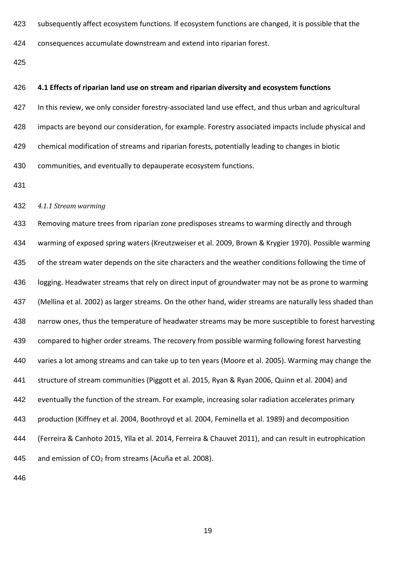subsequently affect ecosystem functions. If ecosystem functions are changed, it is possible that the

consequences accumulate downstream and extend into riparian forest.

#### **4.1 Effects of riparian land use on stream and riparian diversity and ecosystem functions**

427 In this review, we only consider forestry-associated land use effect, and thus urban and agricultural impacts are beyond our consideration, for example. Forestry associated impacts include physical and chemical modification of streams and riparian forests, potentially leading to changes in biotic communities, and eventually to depauperate ecosystem functions.

*4.1.1 Stream warming*

 Removing mature trees from riparian zone predisposes streams to warming directly and through warming of exposed spring waters (Kreutzweiser et al. 2009, Brown & Krygier 1970). Possible warming of the stream water depends on the site characters and the weather conditions following the time of logging. Headwater streams that rely on direct input of groundwater may not be as prone to warming (Mellina et al. 2002) as larger streams. On the other hand, wider streams are naturally less shaded than narrow ones, thus the temperature of headwater streams may be more susceptible to forest harvesting 439 compared to higher order streams. The recovery from possible warming following forest harvesting varies a lot among streams and can take up to ten years (Moore et al. 2005). Warming may change the structure of stream communities (Piggott et al. 2015, Ryan & Ryan 2006, Quinn et al. 2004) and eventually the function of the stream. For example, increasing solar radiation accelerates primary production (Kiffney et al. 2004, Boothroyd et al. 2004, Feminella et al. 1989) and decomposition (Ferreira & Canhoto 2015, Ylla et al. 2014, Ferreira & Chauvet 2011), and can result in eutrophication 445 and emission of  $CO<sub>2</sub>$  from streams (Acuña et al. 2008).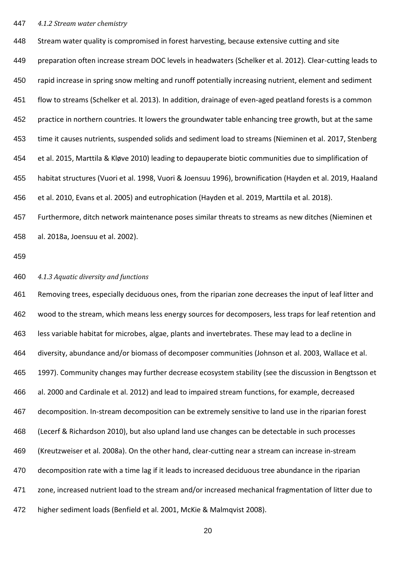*4.1.2 Stream water chemistry*

 Stream water quality is compromised in forest harvesting, because extensive cutting and site preparation often increase stream DOC levels in headwaters (Schelker et al. 2012). Clear-cutting leads to rapid increase in spring snow melting and runoff potentially increasing nutrient, element and sediment flow to streams (Schelker et al. 2013). In addition, drainage of even-aged peatland forests is a common practice in northern countries. It lowers the groundwater table enhancing tree growth, but at the same time it causes nutrients, suspended solids and sediment load to streams (Nieminen et al. 2017, Stenberg et al. 2015, Marttila & Kløve 2010) leading to depauperate biotic communities due to simplification of habitat structures (Vuori et al. 1998, Vuori & Joensuu 1996), brownification (Hayden et al. 2019, Haaland et al. 2010, Evans et al. 2005) and eutrophication (Hayden et al. 2019, Marttila et al. 2018).

 Furthermore, ditch network maintenance poses similar threats to streams as new ditches (Nieminen et al. 2018a, Joensuu et al. 2002).

## *4.1.3 Aquatic diversity and functions*

 Removing trees, especially deciduous ones, from the riparian zone decreases the input of leaf litter and wood to the stream, which means less energy sources for decomposers, less traps for leaf retention and less variable habitat for microbes, algae, plants and invertebrates. These may lead to a decline in diversity, abundance and/or biomass of decomposer communities (Johnson et al. 2003, Wallace et al. 1997). Community changes may further decrease ecosystem stability (see the discussion in Bengtsson et al. 2000 and Cardinale et al. 2012) and lead to impaired stream functions, for example, decreased decomposition. In-stream decomposition can be extremely sensitive to land use in the riparian forest (Lecerf & Richardson 2010), but also upland land use changes can be detectable in such processes (Kreutzweiser et al. 2008a). On the other hand, clear-cutting near a stream can increase in-stream decomposition rate with a time lag if it leads to increased deciduous tree abundance in the riparian zone, increased nutrient load to the stream and/or increased mechanical fragmentation of litter due to higher sediment loads (Benfield et al. 2001, McKie & Malmqvist 2008).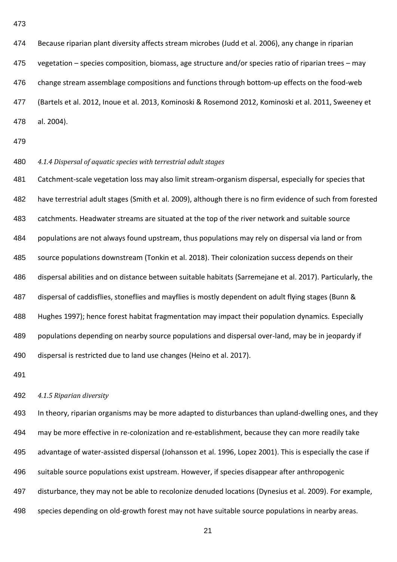Because riparian plant diversity affects stream microbes (Judd et al. 2006), any change in riparian vegetation – species composition, biomass, age structure and/or species ratio of riparian trees – may change stream assemblage compositions and functions through bottom-up effects on the food-web (Bartels et al. 2012, Inoue et al. 2013, Kominoski & Rosemond 2012, Kominoski et al. 2011, Sweeney et al. 2004).

# *4.1.4 Dispersal of aquatic species with terrestrial adult stages*

 Catchment-scale vegetation loss may also limit stream-organism dispersal, especially for species that have terrestrial adult stages (Smith et al. 2009), although there is no firm evidence of such from forested catchments. Headwater streams are situated at the top of the river network and suitable source populations are not always found upstream, thus populations may rely on dispersal via land or from source populations downstream (Tonkin et al. 2018). Their colonization success depends on their dispersal abilities and on distance between suitable habitats (Sarremejane et al. 2017). Particularly, the dispersal of caddisflies, stoneflies and mayflies is mostly dependent on adult flying stages (Bunn & Hughes 1997); hence forest habitat fragmentation may impact their population dynamics. Especially populations depending on nearby source populations and dispersal over-land, may be in jeopardy if dispersal is restricted due to land use changes (Heino et al. 2017).

## *4.1.5 Riparian diversity*

 In theory, riparian organisms may be more adapted to disturbances than upland-dwelling ones, and they may be more effective in re-colonization and re-establishment, because they can more readily take advantage of water-assisted dispersal (Johansson et al. 1996, Lopez 2001). This is especially the case if suitable source populations exist upstream. However, if species disappear after anthropogenic disturbance, they may not be able to recolonize denuded locations (Dynesius et al. 2009). For example, species depending on old-growth forest may not have suitable source populations in nearby areas.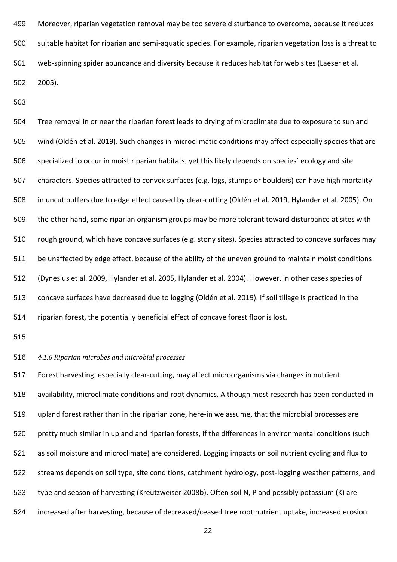Moreover, riparian vegetation removal may be too severe disturbance to overcome, because it reduces suitable habitat for riparian and semi-aquatic species. For example, riparian vegetation loss is a threat to web-spinning spider abundance and diversity because it reduces habitat for web sites (Laeser et al. 2005).

 Tree removal in or near the riparian forest leads to drying of microclimate due to exposure to sun and wind (Oldén et al. 2019). Such changes in microclimatic conditions may affect especially species that are specialized to occur in moist riparian habitats, yet this likely depends on species` ecology and site characters. Species attracted to convex surfaces (e.g. logs, stumps or boulders) can have high mortality in uncut buffers due to edge effect caused by clear-cutting (Oldén et al. 2019, Hylander et al. 2005). On the other hand, some riparian organism groups may be more tolerant toward disturbance at sites with rough ground, which have concave surfaces (e.g. stony sites). Species attracted to concave surfaces may be unaffected by edge effect, because of the ability of the uneven ground to maintain moist conditions (Dynesius et al. 2009, Hylander et al. 2005, Hylander et al. 2004). However, in other cases species of concave surfaces have decreased due to logging (Oldén et al. 2019). If soil tillage is practiced in the riparian forest, the potentially beneficial effect of concave forest floor is lost.

## *4.1.6 Riparian microbes and microbial processes*

 Forest harvesting, especially clear-cutting, may affect microorganisms via changes in nutrient availability, microclimate conditions and root dynamics. Although most research has been conducted in upland forest rather than in the riparian zone, here-in we assume, that the microbial processes are pretty much similar in upland and riparian forests, if the differences in environmental conditions (such as soil moisture and microclimate) are considered. Logging impacts on soil nutrient cycling and flux to streams depends on soil type, site conditions, catchment hydrology, post-logging weather patterns, and type and season of harvesting (Kreutzweiser 2008b). Often soil N, P and possibly potassium (K) are increased after harvesting, because of decreased/ceased tree root nutrient uptake, increased erosion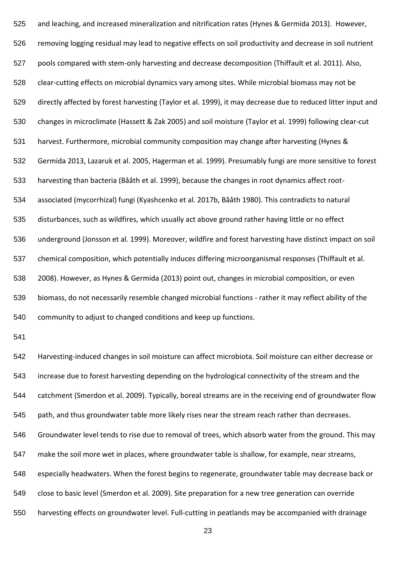and leaching, and increased mineralization and nitrification rates (Hynes & Germida 2013). However, removing logging residual may lead to negative effects on soil productivity and decrease in soil nutrient pools compared with stem-only harvesting and decrease decomposition (Thiffault et al. 2011). Also, clear-cutting effects on microbial dynamics vary among sites. While microbial biomass may not be directly affected by forest harvesting (Taylor et al. 1999), it may decrease due to reduced litter input and changes in microclimate (Hassett & Zak 2005) and soil moisture (Taylor et al. 1999) following clear-cut harvest. Furthermore, microbial community composition may change after harvesting (Hynes & Germida 2013, Lazaruk et al. 2005, Hagerman et al. 1999). Presumably fungi are more sensitive to forest harvesting than bacteria (Bååth et al. 1999), because the changes in root dynamics affect root- associated (mycorrhizal) fungi (Kyashcenko et al. 2017b, Bååth 1980). This contradicts to natural disturbances, such as wildfires, which usually act above ground rather having little or no effect underground (Jonsson et al. 1999). Moreover, wildfire and forest harvesting have distinct impact on soil chemical composition, which potentially induces differing microorganismal responses (Thiffault et al. 2008). However, as Hynes & Germida (2013) point out, changes in microbial composition, or even biomass, do not necessarily resemble changed microbial functions - rather it may reflect ability of the community to adjust to changed conditions and keep up functions.

 Harvesting-induced changes in soil moisture can affect microbiota. Soil moisture can either decrease or increase due to forest harvesting depending on the hydrological connectivity of the stream and the catchment (Smerdon et al. 2009). Typically, boreal streams are in the receiving end of groundwater flow path, and thus groundwater table more likely rises near the stream reach rather than decreases. Groundwater level tends to rise due to removal of trees, which absorb water from the ground. This may make the soil more wet in places, where groundwater table is shallow, for example, near streams, especially headwaters. When the forest begins to regenerate, groundwater table may decrease back or close to basic level (Smerdon et al. 2009). Site preparation for a new tree generation can override harvesting effects on groundwater level. Full-cutting in peatlands may be accompanied with drainage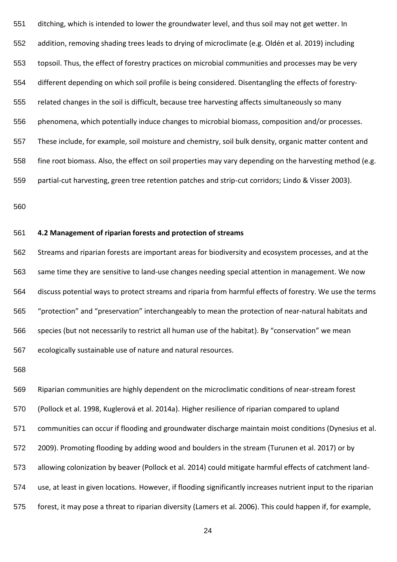ditching, which is intended to lower the groundwater level, and thus soil may not get wetter. In addition, removing shading trees leads to drying of microclimate (e.g. Oldén et al. 2019) including topsoil. Thus, the effect of forestry practices on microbial communities and processes may be very different depending on which soil profile is being considered. Disentangling the effects of forestry- related changes in the soil is difficult, because tree harvesting affects simultaneously so many phenomena, which potentially induce changes to microbial biomass, composition and/or processes. These include, for example, soil moisture and chemistry, soil bulk density, organic matter content and fine root biomass. Also, the effect on soil properties may vary depending on the harvesting method (e.g. partial-cut harvesting, green tree retention patches and strip-cut corridors; Lindo & Visser 2003).

## **4.2 Management of riparian forests and protection of streams**

 Streams and riparian forests are important areas for biodiversity and ecosystem processes, and at the same time they are sensitive to land-use changes needing special attention in management. We now discuss potential ways to protect streams and riparia from harmful effects of forestry. We use the terms "protection" and "preservation" interchangeably to mean the protection of near-natural habitats and species (but not necessarily to restrict all human use of the habitat). By "conservation" we mean ecologically sustainable use of nature and natural resources.

 Riparian communities are highly dependent on the microclimatic conditions of near-stream forest (Pollock et al. 1998, Kuglerová et al. 2014a). Higher resilience of riparian compared to upland communities can occur if flooding and groundwater discharge maintain moist conditions (Dynesius et al. 2009). Promoting flooding by adding wood and boulders in the stream (Turunen et al. 2017) or by allowing colonization by beaver (Pollock et al. 2014) could mitigate harmful effects of catchment land- use, at least in given locations. However, if flooding significantly increases nutrient input to the riparian forest, it may pose a threat to riparian diversity (Lamers et al. 2006). This could happen if, for example,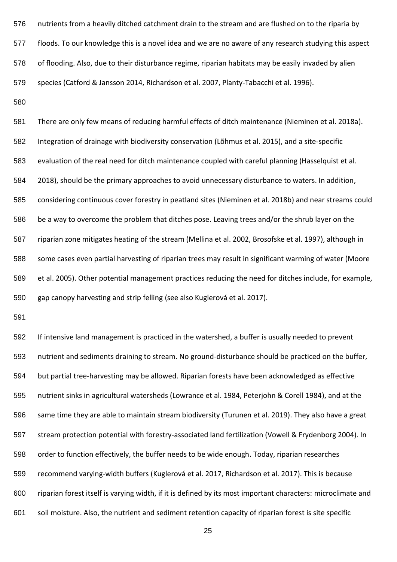nutrients from a heavily ditched catchment drain to the stream and are flushed on to the riparia by floods. To our knowledge this is a novel idea and we are no aware of any research studying this aspect of flooding. Also, due to their disturbance regime, riparian habitats may be easily invaded by alien species (Catford & Jansson 2014, Richardson et al. 2007, Planty-Tabacchi et al. 1996).

 There are only few means of reducing harmful effects of ditch maintenance (Nieminen et al. 2018a). Integration of drainage with biodiversity conservation (Lõhmus et al. 2015), and a site-specific evaluation of the real need for ditch maintenance coupled with careful planning (Hasselquist et al. 2018), should be the primary approaches to avoid unnecessary disturbance to waters. In addition, considering continuous cover forestry in peatland sites (Nieminen et al. 2018b) and near streams could be a way to overcome the problem that ditches pose. Leaving trees and/or the shrub layer on the riparian zone mitigates heating of the stream (Mellina et al. 2002, Brosofske et al. 1997), although in some cases even partial harvesting of riparian trees may result in significant warming of water (Moore et al. 2005). Other potential management practices reducing the need for ditches include, for example, gap canopy harvesting and strip felling (see also Kuglerová et al. 2017).

 If intensive land management is practiced in the watershed, a buffer is usually needed to prevent nutrient and sediments draining to stream. No ground-disturbance should be practiced on the buffer, but partial tree-harvesting may be allowed. Riparian forests have been acknowledged as effective nutrient sinks in agricultural watersheds (Lowrance et al. 1984, Peterjohn & Corell 1984), and at the same time they are able to maintain stream biodiversity (Turunen et al. 2019). They also have a great stream protection potential with forestry-associated land fertilization (Vowell & Frydenborg 2004). In order to function effectively, the buffer needs to be wide enough. Today, riparian researches recommend varying-width buffers (Kuglerová et al. 2017, Richardson et al. 2017). This is because riparian forest itself is varying width, if it is defined by its most important characters: microclimate and soil moisture. Also, the nutrient and sediment retention capacity of riparian forest is site specific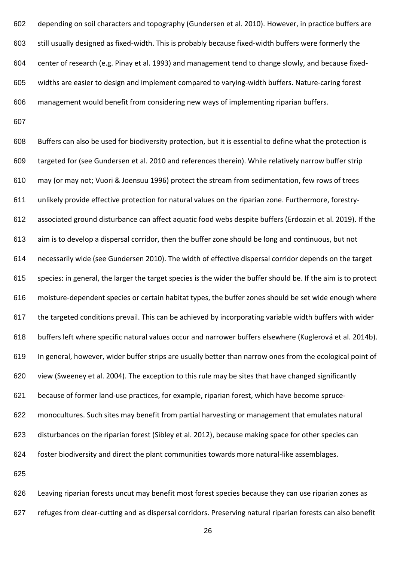depending on soil characters and topography (Gundersen et al. 2010). However, in practice buffers are still usually designed as fixed-width. This is probably because fixed-width buffers were formerly the center of research (e.g. Pinay et al. 1993) and management tend to change slowly, and because fixed- widths are easier to design and implement compared to varying-width buffers. Nature-caring forest management would benefit from considering new ways of implementing riparian buffers.

 Buffers can also be used for biodiversity protection, but it is essential to define what the protection is targeted for (see Gundersen et al. 2010 and references therein). While relatively narrow buffer strip may (or may not; Vuori & Joensuu 1996) protect the stream from sedimentation, few rows of trees unlikely provide effective protection for natural values on the riparian zone. Furthermore, forestry- associated ground disturbance can affect aquatic food webs despite buffers (Erdozain et al. 2019). If the aim is to develop a dispersal corridor, then the buffer zone should be long and continuous, but not necessarily wide (see Gundersen 2010). The width of effective dispersal corridor depends on the target species: in general, the larger the target species is the wider the buffer should be. If the aim is to protect moisture-dependent species or certain habitat types, the buffer zones should be set wide enough where the targeted conditions prevail. This can be achieved by incorporating variable width buffers with wider buffers left where specific natural values occur and narrower buffers elsewhere (Kuglerová et al. 2014b). In general, however, wider buffer strips are usually better than narrow ones from the ecological point of view (Sweeney et al. 2004). The exception to this rule may be sites that have changed significantly because of former land-use practices, for example, riparian forest, which have become spruce- monocultures. Such sites may benefit from partial harvesting or management that emulates natural disturbances on the riparian forest (Sibley et al. 2012), because making space for other species can foster biodiversity and direct the plant communities towards more natural-like assemblages. 

 Leaving riparian forests uncut may benefit most forest species because they can use riparian zones as refuges from clear-cutting and as dispersal corridors. Preserving natural riparian forests can also benefit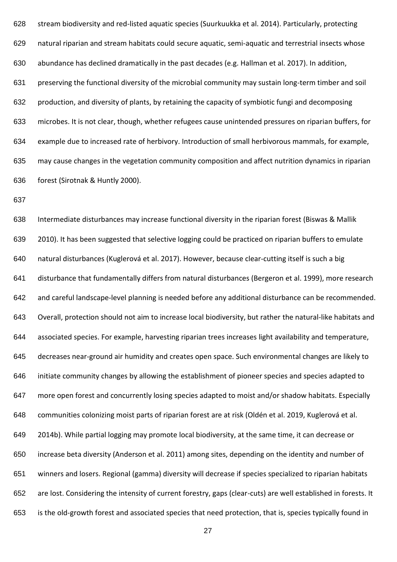stream biodiversity and red-listed aquatic species (Suurkuukka et al. 2014). Particularly, protecting natural riparian and stream habitats could secure aquatic, semi-aquatic and terrestrial insects whose abundance has declined dramatically in the past decades (e.g. Hallman et al. 2017). In addition, preserving the functional diversity of the microbial community may sustain long-term timber and soil production, and diversity of plants, by retaining the capacity of symbiotic fungi and decomposing microbes. It is not clear, though, whether refugees cause unintended pressures on riparian buffers, for example due to increased rate of herbivory. Introduction of small herbivorous mammals, for example, may cause changes in the vegetation community composition and affect nutrition dynamics in riparian forest (Sirotnak & Huntly 2000).

 Intermediate disturbances may increase functional diversity in the riparian forest (Biswas & Mallik 2010). It has been suggested that selective logging could be practiced on riparian buffers to emulate natural disturbances (Kuglerová et al. 2017). However, because clear-cutting itself is such a big disturbance that fundamentally differs from natural disturbances (Bergeron et al. 1999), more research and careful landscape-level planning is needed before any additional disturbance can be recommended. Overall, protection should not aim to increase local biodiversity, but rather the natural-like habitats and associated species. For example, harvesting riparian trees increases light availability and temperature, decreases near-ground air humidity and creates open space. Such environmental changes are likely to initiate community changes by allowing the establishment of pioneer species and species adapted to more open forest and concurrently losing species adapted to moist and/or shadow habitats. Especially communities colonizing moist parts of riparian forest are at risk (Oldén et al. 2019, Kuglerová et al. 2014b). While partial logging may promote local biodiversity, at the same time, it can decrease or increase beta diversity (Anderson et al. 2011) among sites, depending on the identity and number of winners and losers. Regional (gamma) diversity will decrease if species specialized to riparian habitats are lost. Considering the intensity of current forestry, gaps (clear-cuts) are well established in forests. It is the old-growth forest and associated species that need protection, that is, species typically found in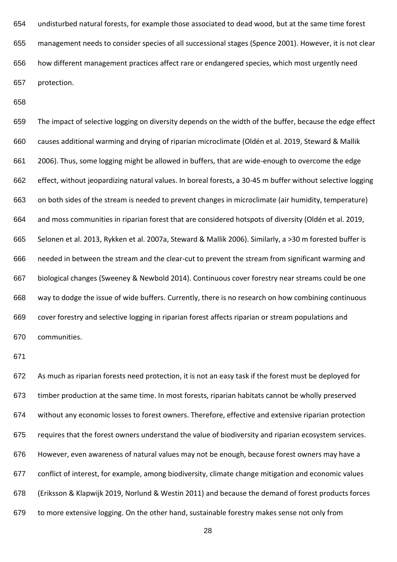undisturbed natural forests, for example those associated to dead wood, but at the same time forest management needs to consider species of all successional stages (Spence 2001). However, it is not clear how different management practices affect rare or endangered species, which most urgently need protection.

 The impact of selective logging on diversity depends on the width of the buffer, because the edge effect causes additional warming and drying of riparian microclimate (Oldén et al. 2019, Steward & Mallik 2006). Thus, some logging might be allowed in buffers, that are wide-enough to overcome the edge effect, without jeopardizing natural values. In boreal forests, a 30-45 m buffer without selective logging on both sides of the stream is needed to prevent changes in microclimate (air humidity, temperature) and moss communities in riparian forest that are considered hotspots of diversity (Oldén et al. 2019, Selonen et al. 2013, Rykken et al. 2007a, Steward & Mallik 2006). Similarly, a >30 m forested buffer is needed in between the stream and the clear-cut to prevent the stream from significant warming and biological changes (Sweeney & Newbold 2014). Continuous cover forestry near streams could be one way to dodge the issue of wide buffers. Currently, there is no research on how combining continuous cover forestry and selective logging in riparian forest affects riparian or stream populations and communities.

 As much as riparian forests need protection, it is not an easy task if the forest must be deployed for timber production at the same time. In most forests, riparian habitats cannot be wholly preserved without any economic losses to forest owners. Therefore, effective and extensive riparian protection requires that the forest owners understand the value of biodiversity and riparian ecosystem services. However, even awareness of natural values may not be enough, because forest owners may have a conflict of interest, for example, among biodiversity, climate change mitigation and economic values (Eriksson & Klapwijk 2019, Norlund & Westin 2011) and because the demand of forest products forces to more extensive logging. On the other hand, sustainable forestry makes sense not only from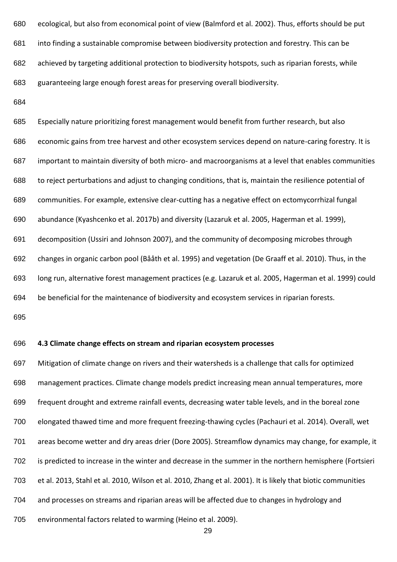ecological, but also from economical point of view (Balmford et al. 2002). Thus, efforts should be put into finding a sustainable compromise between biodiversity protection and forestry. This can be achieved by targeting additional protection to biodiversity hotspots, such as riparian forests, while guaranteeing large enough forest areas for preserving overall biodiversity.

 Especially nature prioritizing forest management would benefit from further research, but also economic gains from tree harvest and other ecosystem services depend on nature-caring forestry. It is important to maintain diversity of both micro- and macroorganisms at a level that enables communities to reject perturbations and adjust to changing conditions, that is, maintain the resilience potential of communities. For example, extensive clear-cutting has a negative effect on ectomycorrhizal fungal abundance (Kyashcenko et al. 2017b) and diversity (Lazaruk et al. 2005, Hagerman et al. 1999), decomposition (Ussiri and Johnson 2007), and the community of decomposing microbes through changes in organic carbon pool (Bååth et al. 1995) and vegetation (De Graaff et al. 2010). Thus, in the long run, alternative forest management practices (e.g. Lazaruk et al. 2005, Hagerman et al. 1999) could be beneficial for the maintenance of biodiversity and ecosystem services in riparian forests.

#### **4.3 Climate change effects on stream and riparian ecosystem processes**

 Mitigation of climate change on rivers and their watersheds is a challenge that calls for optimized management practices. Climate change models predict increasing mean annual temperatures, more frequent drought and extreme rainfall events, decreasing water table levels, and in the boreal zone elongated thawed time and more frequent freezing-thawing cycles (Pachauri et al. 2014). Overall, wet areas become wetter and dry areas drier (Dore 2005). Streamflow dynamics may change, for example, it is predicted to increase in the winter and decrease in the summer in the northern hemisphere (Fortsieri et al. 2013, Stahl et al. 2010, Wilson et al. 2010, Zhang et al. 2001). It is likely that biotic communities and processes on streams and riparian areas will be affected due to changes in hydrology and environmental factors related to warming (Heino et al. 2009).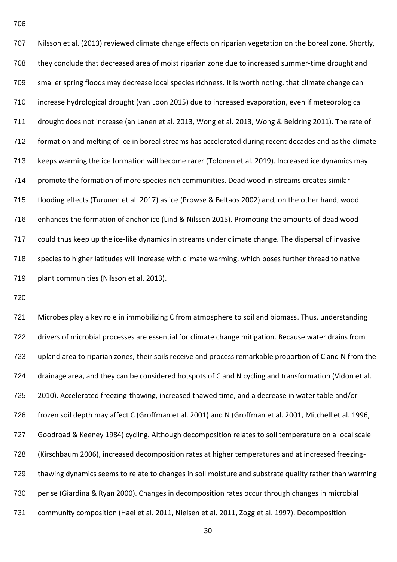Nilsson et al. (2013) reviewed climate change effects on riparian vegetation on the boreal zone. Shortly, they conclude that decreased area of moist riparian zone due to increased summer-time drought and smaller spring floods may decrease local species richness. It is worth noting, that climate change can increase hydrological drought (van Loon 2015) due to increased evaporation, even if meteorological drought does not increase (an Lanen et al. 2013, Wong et al. 2013, Wong & Beldring 2011). The rate of formation and melting of ice in boreal streams has accelerated during recent decades and as the climate keeps warming the ice formation will become rarer (Tolonen et al. 2019). Increased ice dynamics may promote the formation of more species rich communities. Dead wood in streams creates similar flooding effects (Turunen et al. 2017) as ice (Prowse & Beltaos 2002) and, on the other hand, wood enhances the formation of anchor ice (Lind & Nilsson 2015). Promoting the amounts of dead wood could thus keep up the ice-like dynamics in streams under climate change. The dispersal of invasive species to higher latitudes will increase with climate warming, which poses further thread to native plant communities (Nilsson et al. 2013).

 Microbes play a key role in immobilizing C from atmosphere to soil and biomass. Thus, understanding drivers of microbial processes are essential for climate change mitigation. Because water drains from upland area to riparian zones, their soils receive and process remarkable proportion of C and N from the drainage area, and they can be considered hotspots of C and N cycling and transformation (Vidon et al. 2010). Accelerated freezing-thawing, increased thawed time, and a decrease in water table and/or frozen soil depth may affect C (Groffman et al. 2001) and N (Groffman et al. 2001, Mitchell et al. 1996, Goodroad & Keeney 1984) cycling. Although decomposition relates to soil temperature on a local scale (Kirschbaum 2006), increased decomposition rates at higher temperatures and at increased freezing- thawing dynamics seems to relate to changes in soil moisture and substrate quality rather than warming per se (Giardina & Ryan 2000). Changes in decomposition rates occur through changes in microbial community composition (Haei et al. 2011, Nielsen et al. 2011, Zogg et al. 1997). Decomposition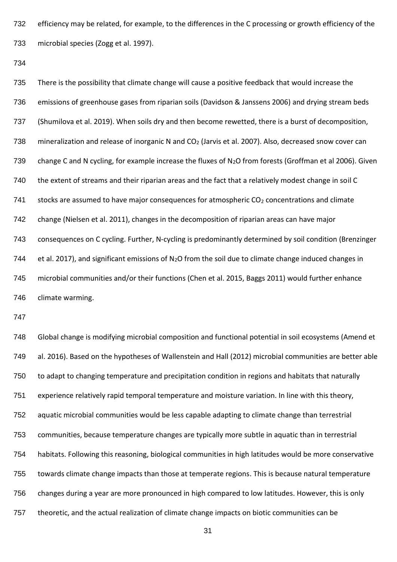efficiency may be related, for example, to the differences in the C processing or growth efficiency of the microbial species (Zogg et al. 1997).

 There is the possibility that climate change will cause a positive feedback that would increase the emissions of greenhouse gases from riparian soils (Davidson & Janssens 2006) and drying stream beds (Shumilova et al. 2019). When soils dry and then become rewetted, there is a burst of decomposition, 738 mineralization and release of inorganic N and  $CO<sub>2</sub>$  (Jarvis et al. 2007). Also, decreased snow cover can 739 change C and N cycling, for example increase the fluxes of N<sub>2</sub>O from forests (Groffman et al 2006). Given the extent of streams and their riparian areas and the fact that a relatively modest change in soil C stocks are assumed to have major consequences for atmospheric  $CO<sub>2</sub>$  concentrations and climate change (Nielsen et al. 2011), changes in the decomposition of riparian areas can have major consequences on C cycling. Further, N-cycling is predominantly determined by soil condition (Brenzinger 744 et al. 2017), and significant emissions of  $N_2O$  from the soil due to climate change induced changes in microbial communities and/or their functions (Chen et al. 2015, Baggs 2011) would further enhance climate warming.

 Global change is modifying microbial composition and functional potential in soil ecosystems (Amend et al. 2016). Based on the hypotheses of Wallenstein and Hall (2012) microbial communities are better able to adapt to changing temperature and precipitation condition in regions and habitats that naturally experience relatively rapid temporal temperature and moisture variation. In line with this theory, aquatic microbial communities would be less capable adapting to climate change than terrestrial communities, because temperature changes are typically more subtle in aquatic than in terrestrial habitats. Following this reasoning, biological communities in high latitudes would be more conservative towards climate change impacts than those at temperate regions. This is because natural temperature changes during a year are more pronounced in high compared to low latitudes. However, this is only theoretic, and the actual realization of climate change impacts on biotic communities can be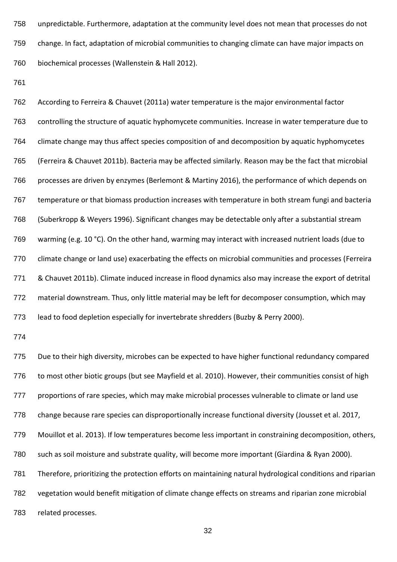unpredictable. Furthermore, adaptation at the community level does not mean that processes do not change. In fact, adaptation of microbial communities to changing climate can have major impacts on biochemical processes (Wallenstein & Hall 2012).

 According to Ferreira & Chauvet (2011a) water temperature is the major environmental factor controlling the structure of aquatic hyphomycete communities. Increase in water temperature due to climate change may thus affect species composition of and decomposition by aquatic hyphomycetes (Ferreira & Chauvet 2011b). Bacteria may be affected similarly. Reason may be the fact that microbial processes are driven by enzymes (Berlemont & Martiny 2016), the performance of which depends on temperature or that biomass production increases with temperature in both stream fungi and bacteria (Suberkropp & Weyers 1996). Significant changes may be detectable only after a substantial stream warming (e.g. 10 °C). On the other hand, warming may interact with increased nutrient loads (due to climate change or land use) exacerbating the effects on microbial communities and processes (Ferreira & Chauvet 2011b). Climate induced increase in flood dynamics also may increase the export of detrital material downstream. Thus, only little material may be left for decomposer consumption, which may lead to food depletion especially for invertebrate shredders (Buzby & Perry 2000).

 Due to their high diversity, microbes can be expected to have higher functional redundancy compared to most other biotic groups (but see Mayfield et al. 2010). However, their communities consist of high 777 proportions of rare species, which may make microbial processes vulnerable to climate or land use change because rare species can disproportionally increase functional diversity (Jousset et al. 2017, Mouillot et al. 2013). If low temperatures become less important in constraining decomposition, others, such as soil moisture and substrate quality, will become more important (Giardina & Ryan 2000). Therefore, prioritizing the protection efforts on maintaining natural hydrological conditions and riparian vegetation would benefit mitigation of climate change effects on streams and riparian zone microbial related processes.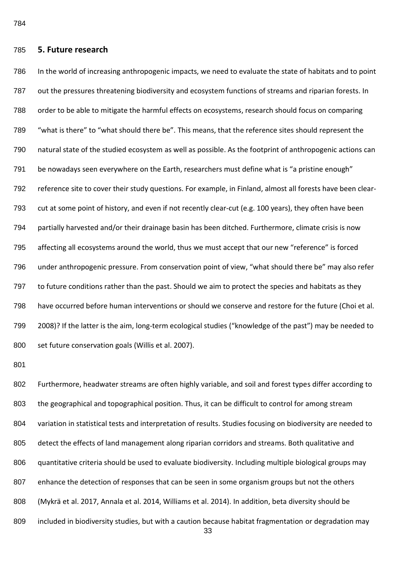# **5. Future research**

 In the world of increasing anthropogenic impacts, we need to evaluate the state of habitats and to point out the pressures threatening biodiversity and ecosystem functions of streams and riparian forests. In order to be able to mitigate the harmful effects on ecosystems, research should focus on comparing "what is there" to "what should there be". This means, that the reference sites should represent the natural state of the studied ecosystem as well as possible. As the footprint of anthropogenic actions can be nowadays seen everywhere on the Earth, researchers must define what is "a pristine enough" reference site to cover their study questions. For example, in Finland, almost all forests have been clear- cut at some point of history, and even if not recently clear-cut (e.g. 100 years), they often have been partially harvested and/or their drainage basin has been ditched. Furthermore, climate crisis is now affecting all ecosystems around the world, thus we must accept that our new "reference" is forced under anthropogenic pressure. From conservation point of view, "what should there be" may also refer to future conditions rather than the past. Should we aim to protect the species and habitats as they have occurred before human interventions or should we conserve and restore for the future (Choi et al. 2008)? If the latter is the aim, long-term ecological studies ("knowledge of the past") may be needed to set future conservation goals (Willis et al. 2007).

 Furthermore, headwater streams are often highly variable, and soil and forest types differ according to the geographical and topographical position. Thus, it can be difficult to control for among stream variation in statistical tests and interpretation of results. Studies focusing on biodiversity are needed to detect the effects of land management along riparian corridors and streams. Both qualitative and quantitative criteria should be used to evaluate biodiversity. Including multiple biological groups may 807 enhance the detection of responses that can be seen in some organism groups but not the others (Mykrä et al. 2017, Annala et al. 2014, Williams et al. 2014). In addition, beta diversity should be included in biodiversity studies, but with a caution because habitat fragmentation or degradation may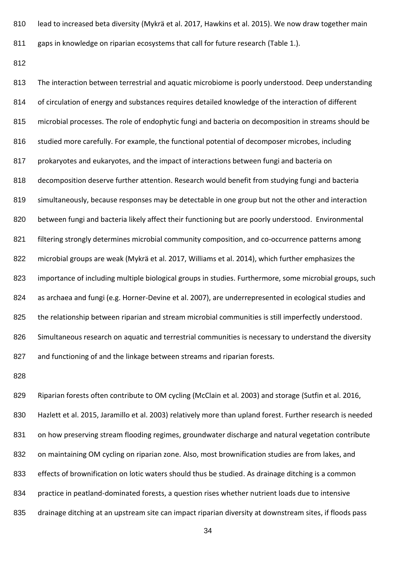lead to increased beta diversity (Mykrä et al. 2017, Hawkins et al. 2015). We now draw together main

811 gaps in knowledge on riparian ecosystems that call for future research (Table 1.).

 The interaction between terrestrial and aquatic microbiome is poorly understood. Deep understanding of circulation of energy and substances requires detailed knowledge of the interaction of different microbial processes. The role of endophytic fungi and bacteria on decomposition in streams should be 816 studied more carefully. For example, the functional potential of decomposer microbes, including prokaryotes and eukaryotes, and the impact of interactions between fungi and bacteria on decomposition deserve further attention. Research would benefit from studying fungi and bacteria simultaneously, because responses may be detectable in one group but not the other and interaction between fungi and bacteria likely affect their functioning but are poorly understood. Environmental 821 filtering strongly determines microbial community composition, and co-occurrence patterns among microbial groups are weak (Mykrä et al. 2017, Williams et al. 2014), which further emphasizes the importance of including multiple biological groups in studies. Furthermore, some microbial groups, such as archaea and fungi (e.g. Horner-Devine et al. 2007), are underrepresented in ecological studies and 825 the relationship between riparian and stream microbial communities is still imperfectly understood. Simultaneous research on aquatic and terrestrial communities is necessary to understand the diversity 827 and functioning of and the linkage between streams and riparian forests.

 Riparian forests often contribute to OM cycling (McClain et al. 2003) and storage (Sutfin et al. 2016, Hazlett et al. 2015, Jaramillo et al. 2003) relatively more than upland forest. Further research is needed 831 on how preserving stream flooding regimes, groundwater discharge and natural vegetation contribute on maintaining OM cycling on riparian zone. Also, most brownification studies are from lakes, and effects of brownification on lotic waters should thus be studied. As drainage ditching is a common practice in peatland-dominated forests, a question rises whether nutrient loads due to intensive 835 drainage ditching at an upstream site can impact riparian diversity at downstream sites, if floods pass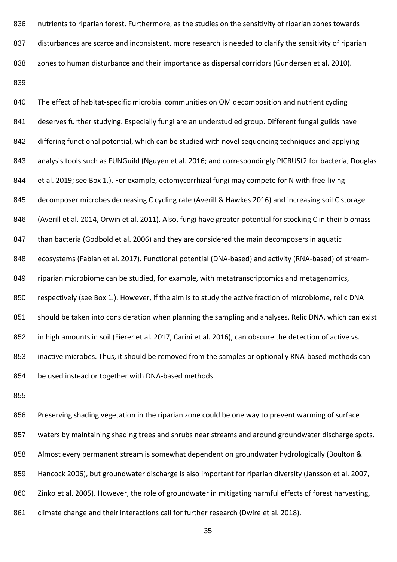836 nutrients to riparian forest. Furthermore, as the studies on the sensitivity of riparian zones towards 837 disturbances are scarce and inconsistent, more research is needed to clarify the sensitivity of riparian zones to human disturbance and their importance as dispersal corridors (Gundersen et al. 2010).

 The effect of habitat-specific microbial communities on OM decomposition and nutrient cycling 841 deserves further studying. Especially fungi are an understudied group. Different fungal guilds have differing functional potential, which can be studied with novel sequencing techniques and applying analysis tools such as FUNGuild (Nguyen et al. 2016; and correspondingly PICRUSt2 for bacteria, Douglas 844 et al. 2019; see Box 1.). For example, ectomycorrhizal fungi may compete for N with free-living decomposer microbes decreasing C cycling rate (Averill & Hawkes 2016) and increasing soil C storage (Averill et al. 2014, Orwin et al. 2011). Also, fungi have greater potential for stocking C in their biomass 847 than bacteria (Godbold et al. 2006) and they are considered the main decomposers in aquatic ecosystems (Fabian et al. 2017). Functional potential (DNA-based) and activity (RNA-based) of stream- riparian microbiome can be studied, for example, with metatranscriptomics and metagenomics, respectively (see Box 1.). However, if the aim is to study the active fraction of microbiome, relic DNA should be taken into consideration when planning the sampling and analyses. Relic DNA, which can exist in high amounts in soil (Fierer et al. 2017, Carini et al. 2016), can obscure the detection of active vs. 853 inactive microbes. Thus, it should be removed from the samples or optionally RNA-based methods can be used instead or together with DNA-based methods.

 Preserving shading vegetation in the riparian zone could be one way to prevent warming of surface 857 waters by maintaining shading trees and shrubs near streams and around groundwater discharge spots. Almost every permanent stream is somewhat dependent on groundwater hydrologically (Boulton & Hancock 2006), but groundwater discharge is also important for riparian diversity (Jansson et al. 2007, Zinko et al. 2005). However, the role of groundwater in mitigating harmful effects of forest harvesting, 861 climate change and their interactions call for further research (Dwire et al. 2018).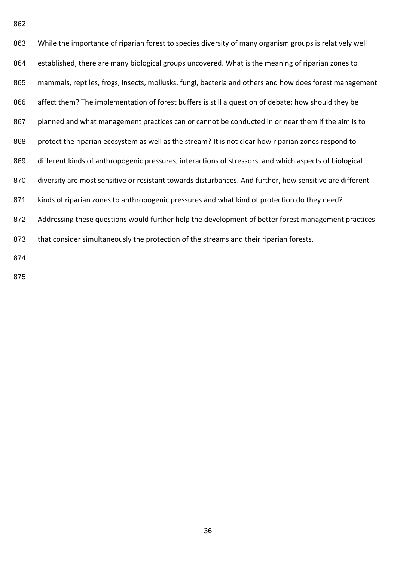863 While the importance of riparian forest to species diversity of many organism groups is relatively well established, there are many biological groups uncovered. What is the meaning of riparian zones to mammals, reptiles, frogs, insects, mollusks, fungi, bacteria and others and how does forest management affect them? The implementation of forest buffers is still a question of debate: how should they be 867 planned and what management practices can or cannot be conducted in or near them if the aim is to 868 protect the riparian ecosystem as well as the stream? It is not clear how riparian zones respond to different kinds of anthropogenic pressures, interactions of stressors, and which aspects of biological diversity are most sensitive or resistant towards disturbances. And further, how sensitive are different kinds of riparian zones to anthropogenic pressures and what kind of protection do they need? Addressing these questions would further help the development of better forest management practices 873 that consider simultaneously the protection of the streams and their riparian forests.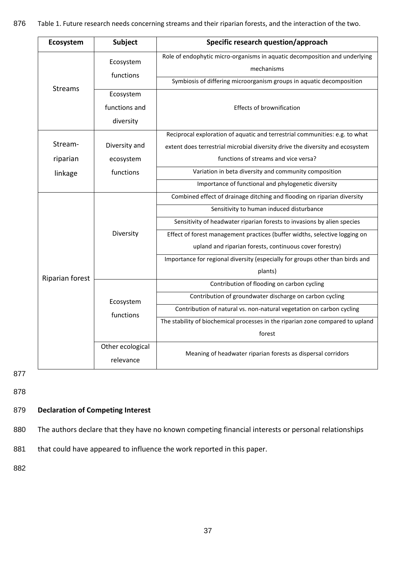| Ecosystem       | Subject          | Specific research question/approach                                            |  |  |  |  |
|-----------------|------------------|--------------------------------------------------------------------------------|--|--|--|--|
|                 | Ecosystem        | Role of endophytic micro-organisms in aquatic decomposition and underlying     |  |  |  |  |
|                 | functions        | mechanisms                                                                     |  |  |  |  |
|                 |                  | Symbiosis of differing microorganism groups in aquatic decomposition           |  |  |  |  |
| <b>Streams</b>  | Ecosystem        |                                                                                |  |  |  |  |
|                 | functions and    | <b>Effects of brownification</b>                                               |  |  |  |  |
|                 | diversity        |                                                                                |  |  |  |  |
|                 |                  | Reciprocal exploration of aquatic and terrestrial communities: e.g. to what    |  |  |  |  |
| Stream-         | Diversity and    | extent does terrestrial microbial diversity drive the diversity and ecosystem  |  |  |  |  |
| riparian        | ecosystem        | functions of streams and vice versa?                                           |  |  |  |  |
| linkage         | functions        | Variation in beta diversity and community composition                          |  |  |  |  |
|                 |                  | Importance of functional and phylogenetic diversity                            |  |  |  |  |
|                 |                  | Combined effect of drainage ditching and flooding on riparian diversity        |  |  |  |  |
|                 | Diversity        | Sensitivity to human induced disturbance                                       |  |  |  |  |
|                 |                  | Sensitivity of headwater riparian forests to invasions by alien species        |  |  |  |  |
|                 |                  | Effect of forest management practices (buffer widths, selective logging on     |  |  |  |  |
|                 |                  | upland and riparian forests, continuous cover forestry)                        |  |  |  |  |
|                 |                  | Importance for regional diversity (especially for groups other than birds and  |  |  |  |  |
| Riparian forest |                  | plants)                                                                        |  |  |  |  |
|                 |                  | Contribution of flooding on carbon cycling                                     |  |  |  |  |
|                 | Ecosystem        | Contribution of groundwater discharge on carbon cycling                        |  |  |  |  |
|                 | functions        | Contribution of natural vs. non-natural vegetation on carbon cycling           |  |  |  |  |
|                 |                  | The stability of biochemical processes in the riparian zone compared to upland |  |  |  |  |
|                 |                  | forest                                                                         |  |  |  |  |
|                 | Other ecological |                                                                                |  |  |  |  |
|                 | relevance        | Meaning of headwater riparian forests as dispersal corridors                   |  |  |  |  |

878

## 879 **Declaration of Competing Interest**

880 The authors declare that they have no known competing financial interests or personal relationships

881 that could have appeared to influence the work reported in this paper.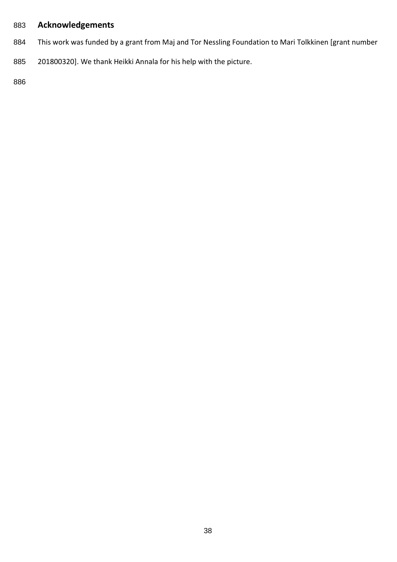## **Acknowledgements**

- This work was funded by a grant from Maj and Tor Nessling Foundation to Mari Tolkkinen [grant number
- 201800320]. We thank Heikki Annala for his help with the picture.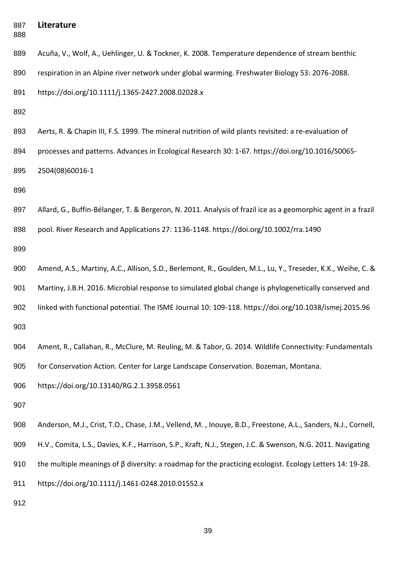| 887<br>888 | Literature                                                                                                     |
|------------|----------------------------------------------------------------------------------------------------------------|
| 889        | Acuña, V., Wolf, A., Uehlinger, U. & Tockner, K. 2008. Temperature dependence of stream benthic                |
| 890        | respiration in an Alpine river network under global warming. Freshwater Biology 53: 2076-2088.                 |
| 891        | https://doi.org/10.1111/j.1365-2427.2008.02028.x                                                               |
| 892        |                                                                                                                |
| 893        | Aerts, R. & Chapin III, F.S. 1999. The mineral nutrition of wild plants revisited: a re-evaluation of          |
| 894        | processes and patterns. Advances in Ecological Research 30: 1-67. https://doi.org/10.1016/S0065-               |
| 895        | 2504(08)60016-1                                                                                                |
| 896        |                                                                                                                |
| 897        | Allard, G., Buffin-Bélanger, T. & Bergeron, N. 2011. Analysis of frazil ice as a geomorphic agent in a frazil  |
| 898        | pool. River Research and Applications 27: 1136-1148. https://doi.org/10.1002/rra.1490                          |
| 899        |                                                                                                                |
| 900        | Amend, A.S., Martiny, A.C., Allison, S.D., Berlemont, R., Goulden, M.L., Lu, Y., Treseder, K.K., Weihe, C. &   |
| 901        | Martiny, J.B.H. 2016. Microbial response to simulated global change is phylogenetically conserved and          |
| 902        | linked with functional potential. The ISME Journal 10: 109-118. https://doi.org/10.1038/ismej.2015.96          |
| 903        |                                                                                                                |
| 904        | Ament, R., Callahan, R., McClure, M. Reuling, M. & Tabor, G. 2014. Wildlife Connectivity: Fundamentals         |
| 905        | for Conservation Action. Center for Large Landscape Conservation. Bozeman, Montana.                            |
| 906        | https://doi.org/10.13140/RG.2.1.3958.0561                                                                      |
| 907        |                                                                                                                |
| 908        | Anderson, M.J., Crist, T.O., Chase, J.M., Vellend, M., Inouye, B.D., Freestone, A.L., Sanders, N.J., Cornell,  |
| 909        | H.V., Comita, L.S., Davies, K.F., Harrison, S.P., Kraft, N.J., Stegen, J.C. & Swenson, N.G. 2011. Navigating   |
| 910        | the multiple meanings of $\beta$ diversity: a roadmap for the practicing ecologist. Ecology Letters 14: 19-28. |
| 911        | https://doi.org/10.1111/j.1461-0248.2010.01552.x                                                               |
| 912        |                                                                                                                |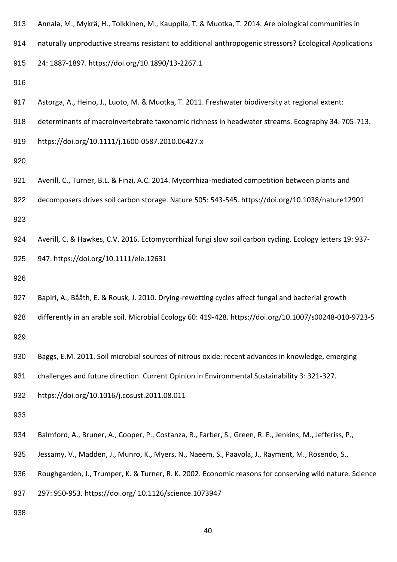| 913 | Annala, M., Mykrä, H., Tolkkinen, M., Kauppila, T. & Muotka, T. 2014. Are biological communities in       |
|-----|-----------------------------------------------------------------------------------------------------------|
| 914 | naturally unproductive streams resistant to additional anthropogenic stressors? Ecological Applications   |
| 915 | 24: 1887-1897. https://doi.org/10.1890/13-2267.1                                                          |
| 916 |                                                                                                           |
| 917 | Astorga, A., Heino, J., Luoto, M. & Muotka, T. 2011. Freshwater biodiversity at regional extent:          |
| 918 | determinants of macroinvertebrate taxonomic richness in headwater streams. Ecography 34: 705-713.         |
| 919 | https://doi.org/10.1111/j.1600-0587.2010.06427.x                                                          |
| 920 |                                                                                                           |
| 921 | Averill, C., Turner, B.L. & Finzi, A.C. 2014. Mycorrhiza-mediated competition between plants and          |
| 922 | decomposers drives soil carbon storage. Nature 505: 543-545. https://doi.org/10.1038/nature12901          |
| 923 |                                                                                                           |
| 924 | Averill, C. & Hawkes, C.V. 2016. Ectomycorrhizal fungi slow soil carbon cycling. Ecology letters 19: 937- |
| 925 | 947. https://doi.org/10.1111/ele.12631                                                                    |
| 926 |                                                                                                           |
| 927 | Bapiri, A., Bååth, E. & Rousk, J. 2010. Drying-rewetting cycles affect fungal and bacterial growth        |
| 928 | differently in an arable soil. Microbial Ecology 60: 419-428. https://doi.org/10.1007/s00248-010-9723-5   |
| 929 |                                                                                                           |
| 930 | Baggs, E.M. 2011. Soil microbial sources of nitrous oxide: recent advances in knowledge, emerging         |
| 931 | challenges and future direction. Current Opinion in Environmental Sustainability 3: 321-327.              |
| 932 | https://doi.org/10.1016/j.cosust.2011.08.011                                                              |
| 933 |                                                                                                           |
| 934 | Balmford, A., Bruner, A., Cooper, P., Costanza, R., Farber, S., Green, R. E., Jenkins, M., Jefferiss, P., |
| 935 | Jessamy, V., Madden, J., Munro, K., Myers, N., Naeem, S., Paavola, J., Rayment, M., Rosendo, S.,          |
| 936 | Roughgarden, J., Trumper, K. & Turner, R. K. 2002. Economic reasons for conserving wild nature. Science   |
| 937 | 297: 950-953. https://doi.org/ 10.1126/science.1073947                                                    |
| 938 |                                                                                                           |
|     |                                                                                                           |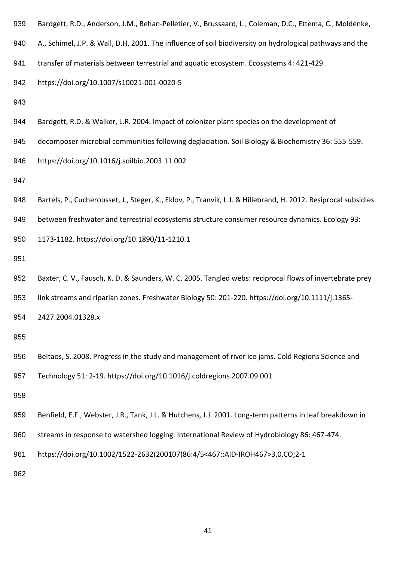Bardgett, R.D., Anderson, J.M., Behan-Pelletier, V., Brussaard, L., Coleman, D.C., Ettema, C., Moldenke,

A., Schimel, J.P. & Wall, D.H. 2001. The influence of soil biodiversity on hydrological pathways and the

transfer of materials between terrestrial and aquatic ecosystem. Ecosystems 4: 421-429.

https://doi.org/10.1007/s10021-001-0020-5

- Bardgett, R.D. & Walker, L.R. 2004. Impact of colonizer plant species on the development of
- decomposer microbial communities following deglaciation. Soil Biology & Biochemistry 36: 555-559.
- https://doi.org/10.1016/j.soilbio.2003.11.002

- Bartels, P., Cucherousset, J., Steger, K., Eklov, P., Tranvik, L.J. & Hillebrand, H. 2012. Resiprocal subsidies
- between freshwater and terrestrial ecosystems structure consumer resource dynamics. Ecology 93:
- 1173-1182. https://doi.org/10.1890/11-1210.1

- Baxter, C. V., Fausch, K. D. & Saunders, W. C. 2005. Tangled webs: reciprocal flows of invertebrate prey
- link streams and riparian zones. Freshwater Biology 50: 201-220. https://doi.org/10.1111/j.1365-
- 2427.2004.01328.x

- Beltaos, S. 2008. Progress in the study and management of river ice jams. Cold Regions Science and
- Technology 51: 2-19. https://doi.org/10.1016/j.coldregions.2007.09.001

- Benfield, E.F., Webster, J.R., Tank, J.L. & Hutchens, J.J. 2001. Long-term patterns in leaf breakdown in
- streams in response to watershed logging. International Review of Hydrobiology 86: 467-474.
- https://doi.org/10.1002/1522-2632(200107)86:4/5<467::AID-IROH467>3.0.CO;2-1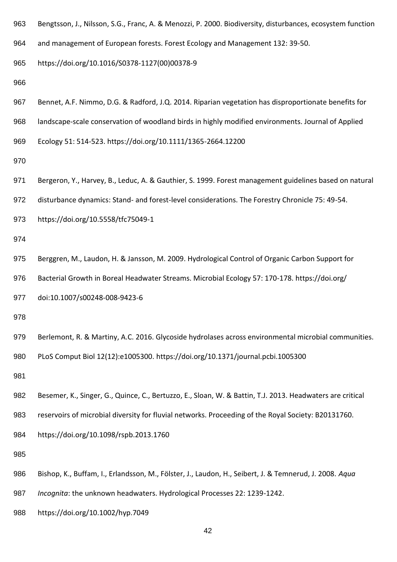- Bengtsson, J., Nilsson, S.G., Franc, A. & Menozzi, P. 2000. Biodiversity, disturbances, ecosystem function
- and management of European forests. Forest Ecology and Management 132: 39-50.

[https://doi.org/10.1016/S0378-1127\(00\)00378-9](https://doi.org/10.1016/S0378-1127(00)00378-9)

- Bennet, A.F. Nimmo, D.G. & Radford, J.Q. 2014. Riparian vegetation has disproportionate benefits for
- 968 landscape-scale conservation of woodland birds in highly modified environments. Journal of Applied
- Ecology 51: 514-523. https://doi.org/10.1111/1365-2664.12200

- Bergeron, Y., Harvey, B., Leduc, A. & Gauthier, S. 1999. Forest management guidelines based on natural
- disturbance dynamics: Stand- and forest-level considerations. The Forestry Chronicle 75: 49-54.
- https://doi.org/10.5558/tfc75049-1

- Berggren, M., Laudon, H. & Jansson, M. 2009. Hydrological Control of Organic Carbon Support for
- Bacterial Growth in Boreal Headwater Streams. Microbial Ecology 57: 170-178. https://doi.org/
- doi:10.1007/s00248-008-9423-6

- Berlemont, R. & Martiny, A.C. 2016. Glycoside hydrolases across environmental microbial communities.
- PLoS Comput Biol 12(12):e1005300. https://doi.org/10.1371/journal.pcbi.1005300

- Besemer, K., Singer, G., Quince, C., Bertuzzo, E., Sloan, W. & Battin, T.J. 2013. Headwaters are critical
- reservoirs of microbial diversity for fluvial networks. Proceeding of the Royal Society: B20131760.
- https://doi.org/10.1098/rspb.2013.1760

- Bishop, K., Buffam, I., Erlandsson, M., Fölster, J., Laudon, H., Seibert, J. & Temnerud, J. 2008. *Aqua*
- *Incognita*: the unknown headwaters. Hydrological Processes 22: 1239-1242.
- https://doi.org/10.1002/hyp.7049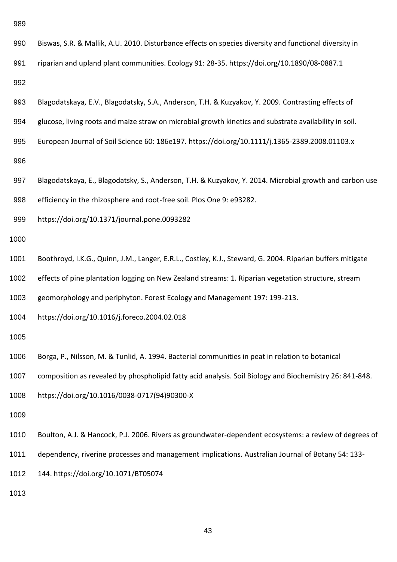| 990  | Biswas, S.R. & Mallik, A.U. 2010. Disturbance effects on species diversity and functional diversity in     |
|------|------------------------------------------------------------------------------------------------------------|
| 991  | riparian and upland plant communities. Ecology 91: 28-35. https://doi.org/10.1890/08-0887.1                |
| 992  |                                                                                                            |
| 993  | Blagodatskaya, E.V., Blagodatsky, S.A., Anderson, T.H. & Kuzyakov, Y. 2009. Contrasting effects of         |
| 994  | glucose, living roots and maize straw on microbial growth kinetics and substrate availability in soil.     |
| 995  | European Journal of Soil Science 60: 186e197. https://doi.org/10.1111/j.1365-2389.2008.01103.x             |
| 996  |                                                                                                            |
| 997  | Blagodatskaya, E., Blagodatsky, S., Anderson, T.H. & Kuzyakov, Y. 2014. Microbial growth and carbon use    |
| 998  | efficiency in the rhizosphere and root-free soil. Plos One 9: e93282.                                      |
| 999  | https://doi.org/10.1371/journal.pone.0093282                                                               |
| 1000 |                                                                                                            |
| 1001 | Boothroyd, I.K.G., Quinn, J.M., Langer, E.R.L., Costley, K.J., Steward, G. 2004. Riparian buffers mitigate |
| 1002 | effects of pine plantation logging on New Zealand streams: 1. Riparian vegetation structure, stream        |
| 1003 | geomorphology and periphyton. Forest Ecology and Management 197: 199-213.                                  |
| 1004 | https://doi.org/10.1016/j.foreco.2004.02.018                                                               |
| 1005 |                                                                                                            |
| 1006 | Borga, P., Nilsson, M. & Tunlid, A. 1994. Bacterial communities in peat in relation to botanical           |
| 1007 | composition as revealed by phospholipid fatty acid analysis. Soil Biology and Biochemistry 26: 841-848.    |
| 1008 | https://doi.org/10.1016/0038-0717(94)90300-X                                                               |
| 1009 |                                                                                                            |
| 1010 | Boulton, A.J. & Hancock, P.J. 2006. Rivers as groundwater-dependent ecosystems: a review of degrees of     |
| 1011 | dependency, riverine processes and management implications. Australian Journal of Botany 54: 133-          |
| 1012 | 144. https://doi.org/10.1071/BT05074                                                                       |
| 1013 |                                                                                                            |
|      |                                                                                                            |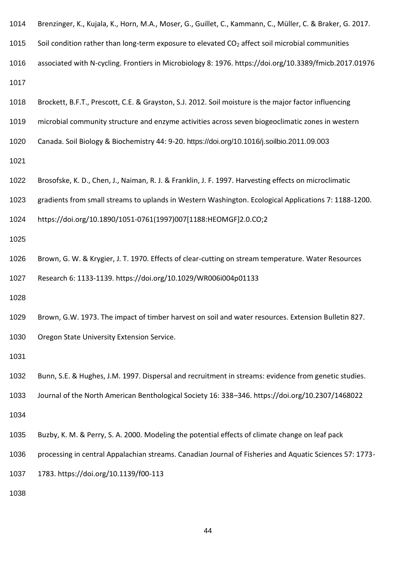| 1014 | Brenzinger, K., Kujala, K., Horn, M.A., Moser, G., Guillet, C., Kammann, C., Müller, C. & Braker, G. 2017.  |
|------|-------------------------------------------------------------------------------------------------------------|
| 1015 | Soil condition rather than long-term exposure to elevated CO <sub>2</sub> affect soil microbial communities |
| 1016 | associated with N-cycling. Frontiers in Microbiology 8: 1976. https://doi.org/10.3389/fmicb.2017.01976      |
| 1017 |                                                                                                             |
| 1018 | Brockett, B.F.T., Prescott, C.E. & Grayston, S.J. 2012. Soil moisture is the major factor influencing       |
| 1019 | microbial community structure and enzyme activities across seven biogeoclimatic zones in western            |
| 1020 | Canada. Soil Biology & Biochemistry 44: 9-20. https://doi.org/10.1016/j.soilbio.2011.09.003                 |
| 1021 |                                                                                                             |
| 1022 | Brosofske, K. D., Chen, J., Naiman, R. J. & Franklin, J. F. 1997. Harvesting effects on microclimatic       |
| 1023 | gradients from small streams to uplands in Western Washington. Ecological Applications 7: 1188-1200.        |
| 1024 | https://doi.org/10.1890/1051-0761(1997)007[1188:HEOMGF]2.0.CO;2                                             |
| 1025 |                                                                                                             |
| 1026 | Brown, G. W. & Krygier, J. T. 1970. Effects of clear-cutting on stream temperature. Water Resources         |
| 1027 | Research 6: 1133-1139. https://doi.org/10.1029/WR006i004p01133                                              |
| 1028 |                                                                                                             |
| 1029 | Brown, G.W. 1973. The impact of timber harvest on soil and water resources. Extension Bulletin 827.         |
| 1030 | Oregon State University Extension Service.                                                                  |
| 1031 |                                                                                                             |
| 1032 | Bunn, S.E. & Hughes, J.M. 1997. Dispersal and recruitment in streams: evidence from genetic studies.        |
| 1033 | Journal of the North American Benthological Society 16: 338-346. https://doi.org/10.2307/1468022            |
| 1034 |                                                                                                             |
| 1035 | Buzby, K. M. & Perry, S. A. 2000. Modeling the potential effects of climate change on leaf pack             |
| 1036 | processing in central Appalachian streams. Canadian Journal of Fisheries and Aquatic Sciences 57: 1773-     |
| 1037 | 1783. https://doi.org/10.1139/f00-113                                                                       |
| 1038 |                                                                                                             |
|      |                                                                                                             |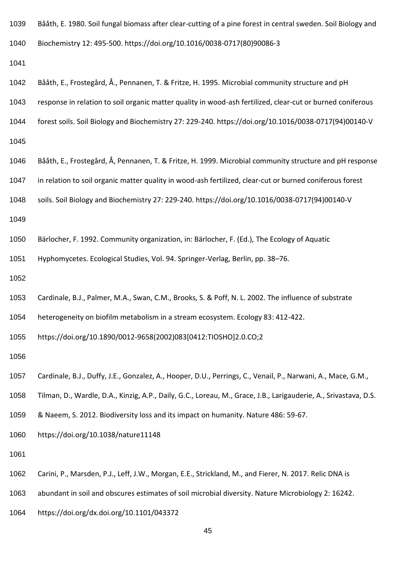Bååth, E. 1980. Soil fungal biomass after clear-cutting of a pine forest in central sweden. Soil Biology and

Biochemistry 12: 495-500. https://doi.org/10.1016/0038-0717(80)90086-3

| 1042 | Bååth, E., Frostegård, Å., Pennanen, T. & Fritze, H. 1995. Microbial community structure and pH                  |
|------|------------------------------------------------------------------------------------------------------------------|
| 1043 | response in relation to soil organic matter quality in wood-ash fertilized, clear-cut or burned coniferous       |
| 1044 | forest soils. Soil Biology and Biochemistry 27: 229-240. https://doi.org/10.1016/0038-0717(94)00140-V            |
| 1045 |                                                                                                                  |
| 1046 | Bååth, E., Frostegård, Å, Pennanen, T. & Fritze, H. 1999. Microbial community structure and pH response          |
| 1047 | in relation to soil organic matter quality in wood-ash fertilized, clear-cut or burned coniferous forest         |
| 1048 | soils. Soil Biology and Biochemistry 27: 229-240. https://doi.org/10.1016/0038-0717(94)00140-V                   |
| 1049 |                                                                                                                  |
| 1050 | Bärlocher, F. 1992. Community organization, in: Bärlocher, F. (Ed.), The Ecology of Aquatic                      |
| 1051 | Hyphomycetes. Ecological Studies, Vol. 94. Springer-Verlag, Berlin, pp. 38-76.                                   |
| 1052 |                                                                                                                  |
| 1053 | Cardinale, B.J., Palmer, M.A., Swan, C.M., Brooks, S. & Poff, N. L. 2002. The influence of substrate             |
| 1054 | heterogeneity on biofilm metabolism in a stream ecosystem. Ecology 83: 412-422.                                  |
| 1055 | https://doi.org/10.1890/0012-9658(2002)083[0412:TIOSHO]2.0.CO;2                                                  |
| 1056 |                                                                                                                  |
| 1057 | Cardinale, B.J., Duffy, J.E., Gonzalez, A., Hooper, D.U., Perrings, C., Venail, P., Narwani, A., Mace, G.M.,     |
| 1058 | Tilman, D., Wardle, D.A., Kinzig, A.P., Daily, G.C., Loreau, M., Grace, J.B., Larigauderie, A., Srivastava, D.S. |
| 1059 | & Naeem, S. 2012. Biodiversity loss and its impact on humanity. Nature 486: 59-67.                               |
| 1060 | https://doi.org/10.1038/nature11148                                                                              |
| 1061 |                                                                                                                  |
| 1062 | Carini, P., Marsden, P.J., Leff, J.W., Morgan, E.E., Strickland, M., and Fierer, N. 2017. Relic DNA is           |
| 1063 | abundant in soil and obscures estimates of soil microbial diversity. Nature Microbiology 2: 16242.               |
| 1064 | https://doi.org/dx.doi.org/10.1101/043372                                                                        |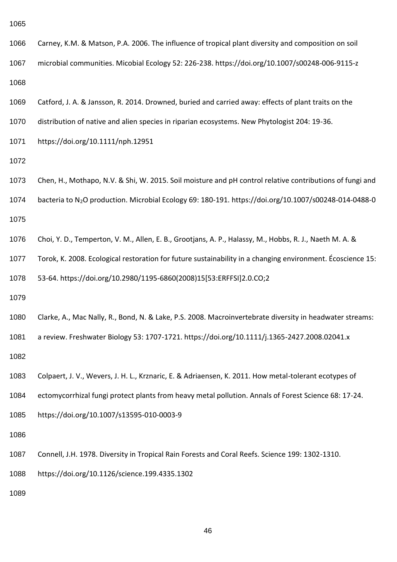| 1066 | Carney, K.M. & Matson, P.A. 2006. The influence of tropical plant diversity and composition on soil               |
|------|-------------------------------------------------------------------------------------------------------------------|
| 1067 | microbial communities. Micobial Ecology 52: 226-238. https://doi.org/10.1007/s00248-006-9115-z                    |
| 1068 |                                                                                                                   |
| 1069 | Catford, J. A. & Jansson, R. 2014. Drowned, buried and carried away: effects of plant traits on the               |
| 1070 | distribution of native and alien species in riparian ecosystems. New Phytologist 204: 19-36.                      |
| 1071 | https://doi.org/10.1111/nph.12951                                                                                 |
| 1072 |                                                                                                                   |
| 1073 | Chen, H., Mothapo, N.V. & Shi, W. 2015. Soil moisture and pH control relative contributions of fungi and          |
| 1074 | bacteria to N <sub>2</sub> O production. Microbial Ecology 69: 180-191. https://doi.org/10.1007/s00248-014-0488-0 |
| 1075 |                                                                                                                   |
| 1076 | Choi, Y. D., Temperton, V. M., Allen, E. B., Grootjans, A. P., Halassy, M., Hobbs, R. J., Naeth M. A. &           |
| 1077 | Torok, K. 2008. Ecological restoration for future sustainability in a changing environment. Écoscience 15:        |
| 1078 | 53-64. https://doi.org/10.2980/1195-6860(2008)15[53:ERFFSI]2.0.CO;2                                               |
| 1079 |                                                                                                                   |
| 1080 | Clarke, A., Mac Nally, R., Bond, N. & Lake, P.S. 2008. Macroinvertebrate diversity in headwater streams:          |
| 1081 | a review. Freshwater Biology 53: 1707-1721. https://doi.org/10.1111/j.1365-2427.2008.02041.x                      |
| 1082 |                                                                                                                   |
| 1083 | Colpaert, J. V., Wevers, J. H. L., Krznaric, E. & Adriaensen, K. 2011. How metal-tolerant ecotypes of             |
| 1084 | ectomycorrhizal fungi protect plants from heavy metal pollution. Annals of Forest Science 68: 17-24.              |
| 1085 | https://doi.org/10.1007/s13595-010-0003-9                                                                         |
| 1086 |                                                                                                                   |
| 1087 | Connell, J.H. 1978. Diversity in Tropical Rain Forests and Coral Reefs. Science 199: 1302-1310.                   |
| 1088 | https://doi.org/10.1126/science.199.4335.1302                                                                     |
| 1089 |                                                                                                                   |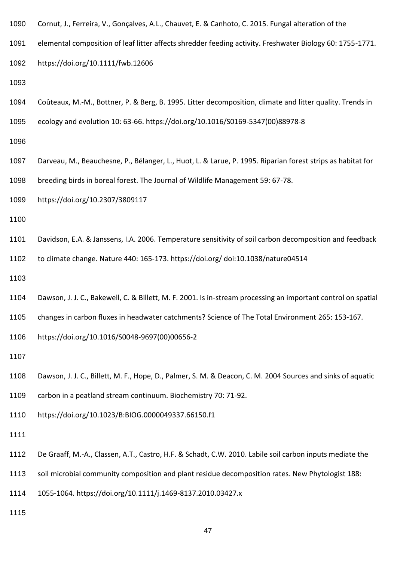- 1090 Cornut, J., Ferreira, V., Gonçalves, A.L., Chauvet, E. & Canhoto, C. 2015. Fungal alteration of the
- elemental composition of leaf litter affects shredder feeding activity. Freshwater Biology 60: 1755-1771.
- https://doi.org/10.1111/fwb.12606

- Coûteaux, M.-M., Bottner, P. & Berg, B. 1995. Litter decomposition, climate and litter quality. Trends in
- ecology and evolution 10: 63-66. https://doi.org/10.1016/S0169-5347(00)88978-8
- 
- Darveau, M., Beauchesne, P., Bélanger, L., Huot, L. & Larue, P. 1995. Riparian forest strips as habitat for
- breeding birds in boreal forest. The Journal of Wildlife Management 59: 67-78.
- https://doi.org/10.2307/3809117

- Davidson, E.A. & Janssens, I.A. 2006. Temperature sensitivity of soil carbon decomposition and feedback
- to climate change. Nature 440: 165-173. https://doi.org/ doi:10.1038/nature04514

- Dawson, J. J. C., Bakewell, C. & Billett, M. F. 2001. Is in-stream processing an important control on spatial
- changes in carbon fluxes in headwater catchments? Science of The Total Environment 265: 153-167.
- https://doi.org/10.1016/S0048-9697(00)00656-2

- Dawson, J. J. C., Billett, M. F., Hope, D., Palmer, S. M. & Deacon, C. M. 2004 Sources and sinks of aquatic
- carbon in a peatland stream continuum. Biochemistry 70: 71-92.
- https://doi.org/10.1023/B:BIOG.0000049337.66150.f1
- 
- De Graaff, M.-A., Classen, A.T., Castro, H.F. & Schadt, C.W. 2010. Labile soil carbon inputs mediate the
- soil microbial community composition and plant residue decomposition rates. New Phytologist 188:
- 1055-1064. https://doi.org/10.1111/j.1469-8137.2010.03427.x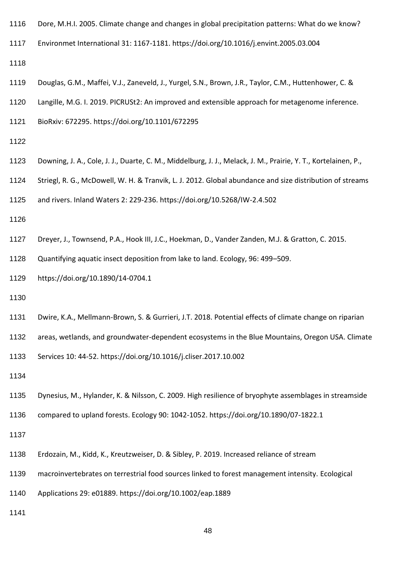- Dore, M.H.I. 2005. Climate change and changes in global precipitation patterns: What do we know?
- Environmet International 31: 1167-1181. https://doi.org/10.1016/j.envint.2005.03.004
- 
- Douglas, G.M., Maffei, V.J., Zaneveld, J., Yurgel, S.N., Brown, J.R., Taylor, C.M., Huttenhower, C. &
- Langille, M.G. I. 2019. PICRUSt2: An improved and extensible approach for metagenome inference.
- BioRxiv: 672295. https://doi.org/10.1101/672295
- 
- Downing, J. A., Cole, J. J., Duarte, C. M., Middelburg, J. J., Melack, J. M., Prairie, Y. T., Kortelainen, P.,
- Striegl, R. G., McDowell, W. H. & Tranvik, L. J. 2012. Global abundance and size distribution of streams
- and rivers. Inland Waters 2: 229-236. https://doi.org/10.5268/IW-2.4.502
- 
- Dreyer, J., Townsend, P.A., Hook III, J.C., Hoekman, D., Vander Zanden, M.J. & Gratton, C. 2015.
- Quantifying aquatic insect deposition from lake to land. Ecology, 96: 499–509.
- https://doi.org/10.1890/14-0704.1
- 
- Dwire, K.A., Mellmann-Brown, S. & Gurrieri, J.T. 2018. Potential effects of climate change on riparian
- areas, wetlands, and groundwater-dependent ecosystems in the Blue Mountains, Oregon USA. Climate
- Services 10: 44-52. https://doi.org/10.1016/j.cliser.2017.10.002
- 
- Dynesius, M., Hylander, K. & Nilsson, C. 2009. High resilience of bryophyte assemblages in streamside
- compared to upland forests. Ecology 90: 1042-1052. https://doi.org/10.1890/07-1822.1
- 
- Erdozain, M., Kidd, K., Kreutzweiser, D. & Sibley, P. 2019. Increased reliance of stream
- macroinvertebrates on terrestrial food sources linked to forest management intensity. Ecological
- Applications 29: e01889. https://doi.org/10.1002/eap.1889
-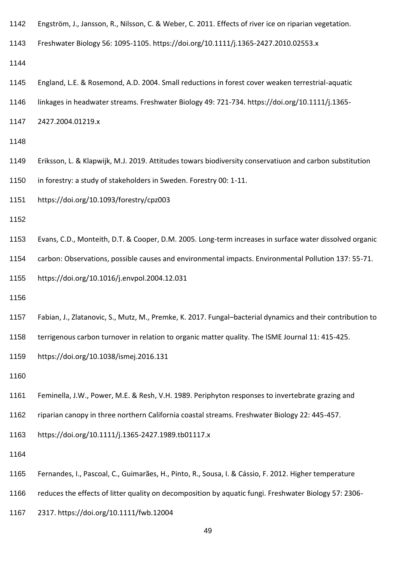- Engström, J., Jansson, R., Nilsson, C. & Weber, C. 2011. Effects of river ice on riparian vegetation.
- Freshwater Biology 56: 1095-1105. https://doi.org/10.1111/j.1365-2427.2010.02553.x

- England, L.E. & Rosemond, A.D. 2004. Small reductions in forest cover weaken terrestrial-aquatic
- linkages in headwater streams. Freshwater Biology 49: 721-734. https://doi.org/10.1111/j.1365-
- 2427.2004.01219.x
- 
- Eriksson, L. & Klapwijk, M.J. 2019. Attitudes towars biodiversity conservatiuon and carbon substitution
- in forestry: a study of stakeholders in Sweden. Forestry 00: 1-11.
- https://doi.org/10.1093/forestry/cpz003
- 
- Evans, C.D., Monteith, D.T. & Cooper, D.M. 2005. Long-term increases in surface water dissolved organic
- carbon: Observations, possible causes and environmental impacts. Environmental Pollution 137: 55-71.
- https://doi.org/10.1016/j.envpol.2004.12.031
- 
- Fabian, J., Zlatanovic, S., Mutz, M., Premke, K. 2017. Fungal–bacterial dynamics and their contribution to
- terrigenous carbon turnover in relation to organic matter quality. The ISME Journal 11: 415-425.
- https://doi.org/10.1038/ismej.2016.131
- 
- Feminella, J.W., Power, M.E. & Resh, V.H. 1989. Periphyton responses to invertebrate grazing and
- riparian canopy in three northern California coastal streams. Freshwater Biology 22: 445-457.
- https://doi.org/10.1111/j.1365-2427.1989.tb01117.x
- 
- Fernandes, I., Pascoal, C., Guimarães, H., Pinto, R., Sousa, I. & Cássio, F. 2012. Higher temperature
- reduces the effects of litter quality on decomposition by aquatic fungi. Freshwater Biology 57: 2306-
- 2317. https://doi.org/10.1111/fwb.12004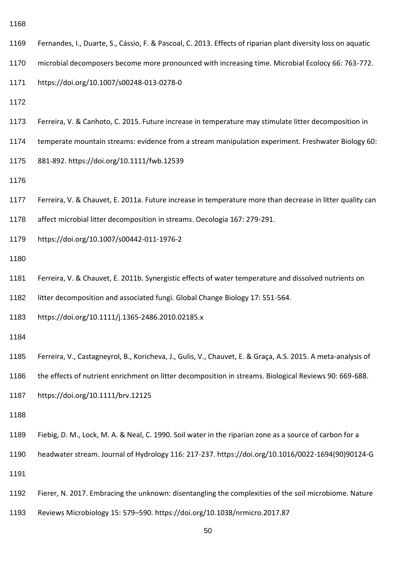| 1169 | Fernandes, I., Duarte, S., Cássio, F. & Pascoal, C. 2013. Effects of riparian plant diversity loss on aquatic |  |  |  |  |  |
|------|---------------------------------------------------------------------------------------------------------------|--|--|--|--|--|
|------|---------------------------------------------------------------------------------------------------------------|--|--|--|--|--|

microbial decomposers become more pronounced with increasing time. Microbial Ecolocy 66: 763-772.

https://doi.org/10.1007/s00248-013-0278-0

- Ferreira, V. & Canhoto, C. 2015. Future increase in temperature may stimulate litter decomposition in
- temperate mountain streams: evidence from a stream manipulation experiment. Freshwater Biology 60:
- 881-892. https://doi.org/10.1111/fwb.12539

- Ferreira, V. & Chauvet, E. 2011a. Future increase in temperature more than decrease in litter quality can
- affect microbial litter decomposition in streams. Oecologia 167: 279-291.
- https://doi.org/10.1007/s00442-011-1976-2
- 
- Ferreira, V. & Chauvet, E. 2011b. Synergistic effects of water temperature and dissolved nutrients on
- litter decomposition and associated fungi. Global Change Biology 17: 551-564.
- https://doi.org/10.1111/j.1365-2486.2010.02185.x

- 1185 Ferreira, V., Castagneyrol, B., Koricheva, J., Gulis, V., Chauvet, E. & Graça, A.S. 2015. A meta-analysis of
- the effects of nutrient enrichment on litter decomposition in streams. Biological Reviews 90: 669-688.
- https://doi.org/10.1111/brv.12125
- 
- Fiebig, D. M., Lock, M. A. & Neal, C. 1990. Soil water in the riparian zone as a source of carbon for a
- headwater stream. Journal of Hydrology 116: 217-237. https://doi.org/10.1016/0022-1694(90)90124-G

- Fierer, N. 2017. Embracing the unknown: disentangling the complexities of the soil microbiome. Nature
- Reviews Microbiology 15: 579–590. https://doi.org/10.1038/nrmicro.2017.87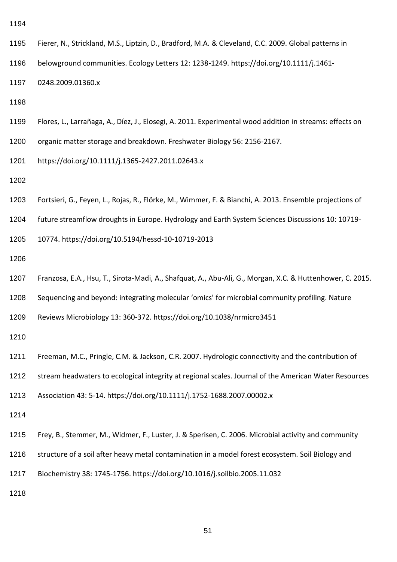| 1195 | Fierer, N., Strickland, M.S., Liptzin, D., Bradford, M.A. & Cleveland, C.C. 2009. Global patterns in      |
|------|-----------------------------------------------------------------------------------------------------------|
| 1196 | belowground communities. Ecology Letters 12: 1238-1249. https://doi.org/10.1111/j.1461-                   |
| 1197 | 0248.2009.01360.x                                                                                         |
| 1198 |                                                                                                           |
| 1199 | Flores, L., Larrañaga, A., Díez, J., Elosegi, A. 2011. Experimental wood addition in streams: effects on  |
| 1200 | organic matter storage and breakdown. Freshwater Biology 56: 2156-2167.                                   |
| 1201 | https://doi.org/10.1111/j.1365-2427.2011.02643.x                                                          |
| 1202 |                                                                                                           |
| 1203 | Fortsieri, G., Feyen, L., Rojas, R., Flörke, M., Wimmer, F. & Bianchi, A. 2013. Ensemble projections of   |
| 1204 | future streamflow droughts in Europe. Hydrology and Earth System Sciences Discussions 10: 10719-          |
| 1205 | 10774. https://doi.org/10.5194/hessd-10-10719-2013                                                        |
| 1206 |                                                                                                           |
| 1207 | Franzosa, E.A., Hsu, T., Sirota-Madi, A., Shafquat, A., Abu-Ali, G., Morgan, X.C. & Huttenhower, C. 2015. |
| 1208 | Sequencing and beyond: integrating molecular 'omics' for microbial community profiling. Nature            |
| 1209 | Reviews Microbiology 13: 360-372. https://doi.org/10.1038/nrmicro3451                                     |
| 1210 |                                                                                                           |
| 1211 | Freeman, M.C., Pringle, C.M. & Jackson, C.R. 2007. Hydrologic connectivity and the contribution of        |
| 1212 | stream headwaters to ecological integrity at regional scales. Journal of the American Water Resources     |
| 1213 | Association 43: 5-14. https://doi.org/10.1111/j.1752-1688.2007.00002.x                                    |
| 1214 |                                                                                                           |
| 1215 | Frey, B., Stemmer, M., Widmer, F., Luster, J. & Sperisen, C. 2006. Microbial activity and community       |
| 1216 | structure of a soil after heavy metal contamination in a model forest ecosystem. Soil Biology and         |
| 1217 | Biochemistry 38: 1745-1756. https://doi.org/10.1016/j.soilbio.2005.11.032                                 |
| 1218 |                                                                                                           |
|      |                                                                                                           |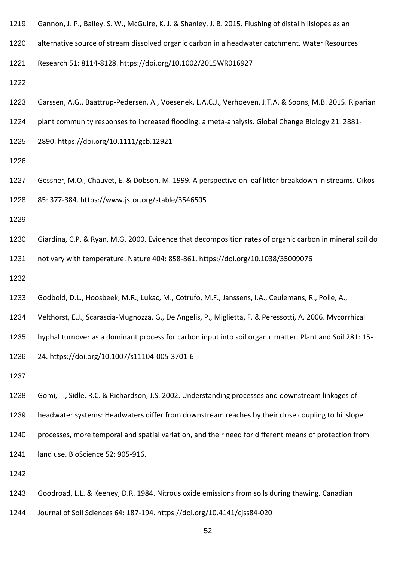- Gannon, J. P., Bailey, S. W., McGuire, K. J. & Shanley, J. B. 2015. Flushing of distal hillslopes as an
- alternative source of stream dissolved organic carbon in a headwater catchment. Water Resources

Research 51: 8114-8128. https://doi.org/10.1002/2015WR016927

- Garssen, A.G., Baattrup-Pedersen, A., Voesenek, L.A.C.J., Verhoeven, J.T.A. & Soons, M.B. 2015. Riparian
- plant community responses to increased flooding: a meta-analysis. Global Change Biology 21: 2881-
- 2890. https://doi.org/10.1111/gcb.12921
- 
- Gessner, M.O., Chauvet, E. & Dobson, M. 1999. A perspective on leaf litter breakdown in streams. Oikos
- 85: 377-384. https://www.jstor.org/stable/3546505

 Giardina, C.P. & Ryan, M.G. 2000. Evidence that decomposition rates of organic carbon in mineral soil do not vary with temperature. Nature 404: 858-861. https://doi.org/10.1038/35009076

- Godbold, D.L., Hoosbeek, M.R., Lukac, M., Cotrufo, M.F., Janssens, I.A., Ceulemans, R., Polle, A.,
- Velthorst, E.J., Scarascia-Mugnozza, G., De Angelis, P., Miglietta, F. & Peressotti, A. 2006. Mycorrhizal
- hyphal turnover as a dominant process for carbon input into soil organic matter. Plant and Soil 281: 15-
- 24. https://doi.org/10.1007/s11104-005-3701-6

Gomi, T., Sidle, R.C. & Richardson, J.S. 2002. Understanding processes and downstream linkages of

headwater systems: Headwaters differ from downstream reaches by their close coupling to hillslope

- processes, more temporal and spatial variation, and their need for different means of protection from
- land use. BioScience 52: 905-916.

- Goodroad, L.L. & Keeney, D.R. 1984. Nitrous oxide emissions from soils during thawing. Canadian
- Journal of Soil Sciences 64: 187-194. https://doi.org/10.4141/cjss84-020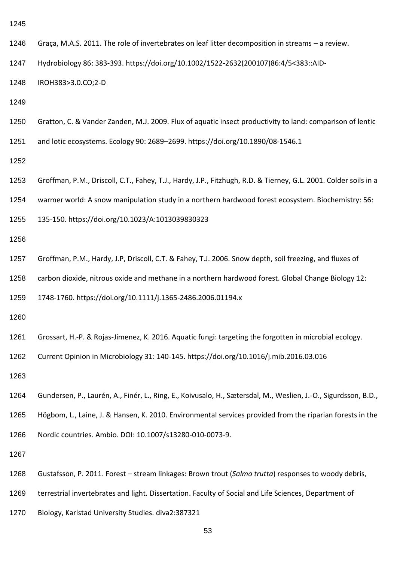- 1246 Graça, M.A.S. 2011. The role of invertebrates on leaf litter decomposition in streams a review.
- Hydrobiology 86: 383-393. https://doi.org/10.1002/1522-2632(200107)86:4/5<383::AID-
- IROH383>3.0.CO;2-D
- 
- Gratton, C. & Vander Zanden, M.J. 2009. Flux of aquatic insect productivity to land: comparison of lentic and lotic ecosystems. Ecology 90: 2689–2699. https://doi.org/10.1890/08-1546.1
- 

- Groffman, P.M., Driscoll, C.T., Fahey, T.J., Hardy, J.P., Fitzhugh, R.D. & Tierney, G.L. 2001. Colder soils in a
	- warmer world: A snow manipulation study in a northern hardwood forest ecosystem. Biochemistry: 56:
	- 135-150. https://doi.org/10.1023/A:1013039830323
	-
	- Groffman, P.M., Hardy, J.P, Driscoll, C.T. & Fahey, T.J. 2006. Snow depth, soil freezing, and fluxes of
	- carbon dioxide, nitrous oxide and methane in a northern hardwood forest. Global Change Biology 12:
	- 1748-1760. https://doi.org/10.1111/j.1365-2486.2006.01194.x
	-
	- Grossart, H.-P. & Rojas-Jimenez, K. 2016. Aquatic fungi: targeting the forgotten in microbial ecology.
	- Current Opinion in Microbiology 31: 140-145. https://doi.org/10.1016/j.mib.2016.03.016
	-
	- Gundersen, P., Laurén, A., Finér, L., Ring, E., Koivusalo, H., Sætersdal, M., Weslien, J.-O., Sigurdsson, B.D.,
	- Högbom, L., Laine, J. & Hansen, K. 2010. Environmental services provided from the riparian forests in the
	- Nordic countries. Ambio. DOI: 10.1007/s13280-010-0073-9.
	-
	- Gustafsson, P. 2011. Forest stream linkages: Brown trout (*Salmo trutta*) responses to woody debris,
	- terrestrial invertebrates and light. Dissertation. Faculty of Social and Life Sciences, Department of
	- Biology, Karlstad University Studies. diva2:387321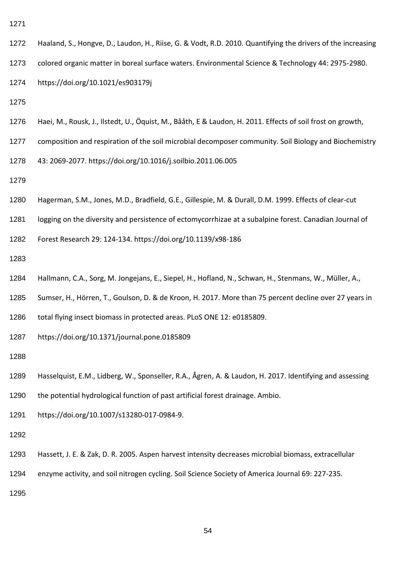| 1271 |                                                                                                             |
|------|-------------------------------------------------------------------------------------------------------------|
| 1272 | Haaland, S., Hongve, D., Laudon, H., Riise, G. & Vodt, R.D. 2010. Quantifying the drivers of the increasing |
| 1273 | colored organic matter in boreal surface waters. Environmental Science & Technology 44: 2975-2980.          |
| 1274 | https://doi.org/10.1021/es903179j                                                                           |
| 1275 |                                                                                                             |
| 1276 | Haei, M., Rousk, J., Ilstedt, U., Öquist, M., Bååth, E & Laudon, H. 2011. Effects of soil frost on growth,  |
| 1277 | composition and respiration of the soil microbial decomposer community. Soil Biology and Biochemistry       |
| 1278 | 43: 2069-2077. https://doi.org/10.1016/j.soilbio.2011.06.005                                                |
| 1279 |                                                                                                             |
| 1280 | Hagerman, S.M., Jones, M.D., Bradfield, G.E., Gillespie, M. & Durall, D.M. 1999. Effects of clear-cut       |
| 1281 | logging on the diversity and persistence of ectomycorrhizae at a subalpine forest. Canadian Journal of      |
| 1282 | Forest Research 29: 124-134. https://doi.org/10.1139/x98-186                                                |
| 1283 |                                                                                                             |
| 1284 | Hallmann, C.A., Sorg, M. Jongejans, E., Siepel, H., Hofland, N., Schwan, H., Stenmans, W., Müller, A.,      |
| 1285 | Sumser, H., Hörren, T., Goulson, D. & de Kroon, H. 2017. More than 75 percent decline over 27 years in      |
| 1286 | total flying insect biomass in protected areas. PLoS ONE 12: e0185809.                                      |
| 1287 | https://doi.org/10.1371/journal.pone.0185809                                                                |
| 1288 |                                                                                                             |
| 1289 | Hasselquist, E.M., Lidberg, W., Sponseller, R.A., Ågren, A. & Laudon, H. 2017. Identifying and assessing    |
| 1290 | the potential hydrological function of past artificial forest drainage. Ambio.                              |
| 1291 | https://doi.org/10.1007/s13280-017-0984-9.                                                                  |
| 1292 |                                                                                                             |
| 1293 | Hassett, J. E. & Zak, D. R. 2005. Aspen harvest intensity decreases microbial biomass, extracellular        |
| 1294 | enzyme activity, and soil nitrogen cycling. Soil Science Society of America Journal 69: 227-235.            |
| 1295 |                                                                                                             |
|      |                                                                                                             |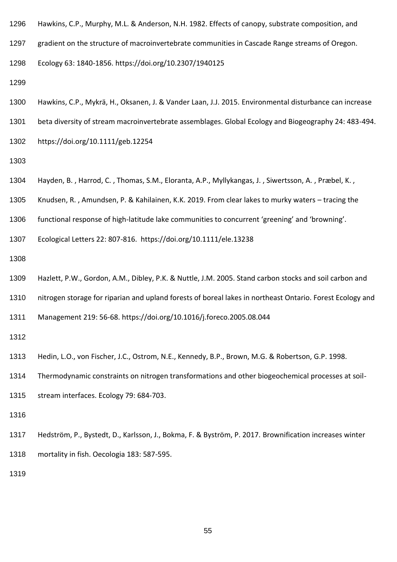| 1296 |  |  |  |  |  |  | Hawkins, C.P., Murphy, M.L. & Anderson, N.H. 1982. Effects of canopy, substrate composition, and |
|------|--|--|--|--|--|--|--------------------------------------------------------------------------------------------------|
|------|--|--|--|--|--|--|--------------------------------------------------------------------------------------------------|

gradient on the structure of macroinvertebrate communities in Cascade Range streams of Oregon.

Ecology 63: 1840-1856. https://doi.org/10.2307/1940125

- Hawkins, C.P., Mykrä, H., Oksanen, J. & Vander Laan, J.J. 2015. Environmental disturbance can increase
- beta diversity of stream macroinvertebrate assemblages. Global Ecology and Biogeography 24: 483-494.
- https://doi.org/10.1111/geb.12254

- Hayden, B. , Harrod, C. , Thomas, S.M., Eloranta, A.P., Myllykangas, J. , Siwertsson, A. , Præbel, K. ,
- Knudsen, R. , Amundsen, P. & Kahilainen, K.K. 2019. From clear lakes to murky waters tracing the
- 1306 functional response of high-latitude lake communities to concurrent 'greening' and 'browning'.
- Ecological Letters 22: 807-816. https://doi.org/10.1111/ele.13238

- Hazlett, P.W., Gordon, A.M., Dibley, P.K. & Nuttle, J.M. 2005. Stand carbon stocks and soil carbon and
- nitrogen storage for riparian and upland forests of boreal lakes in northeast Ontario. Forest Ecology and
- Management 219: 56-68. https://doi.org/10.1016/j.foreco.2005.08.044

- Hedin, L.O., von Fischer, J.C., Ostrom, N.E., Kennedy, B.P., Brown, M.G. & Robertson, G.P. 1998.
- Thermodynamic constraints on nitrogen transformations and other biogeochemical processes at soil-
- stream interfaces. Ecology 79: 684-703.
- 
- Hedström, P., Bystedt, D., Karlsson, J., Bokma, F. & Byström, P. 2017. Brownification increases winter mortality in fish. Oecologia 183: 587-595.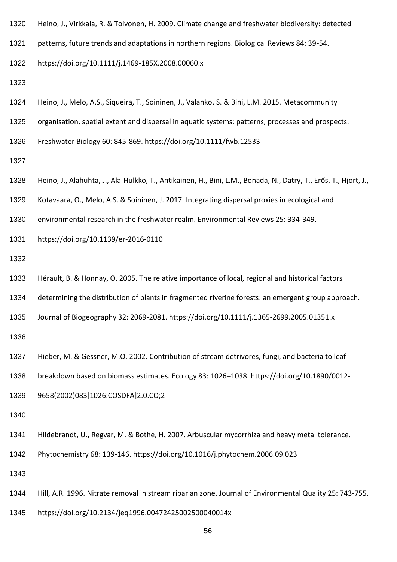| 1320 | Heino, J., Virkkala, R. & Toivonen, H. 2009. Climate change and freshwater biodiversity: detected                |
|------|------------------------------------------------------------------------------------------------------------------|
| 1321 | patterns, future trends and adaptations in northern regions. Biological Reviews 84: 39-54.                       |
| 1322 | https://doi.org/10.1111/j.1469-185X.2008.00060.x                                                                 |
| 1323 |                                                                                                                  |
| 1324 | Heino, J., Melo, A.S., Siqueira, T., Soininen, J., Valanko, S. & Bini, L.M. 2015. Metacommunity                  |
| 1325 | organisation, spatial extent and dispersal in aquatic systems: patterns, processes and prospects.                |
| 1326 | Freshwater Biology 60: 845-869. https://doi.org/10.1111/fwb.12533                                                |
| 1327 |                                                                                                                  |
| 1328 | Heino, J., Alahuhta, J., Ala-Hulkko, T., Antikainen, H., Bini, L.M., Bonada, N., Datry, T., Erős, T., Hjort, J., |
| 1329 | Kotavaara, O., Melo, A.S. & Soininen, J. 2017. Integrating dispersal proxies in ecological and                   |
| 1330 | environmental research in the freshwater realm. Environmental Reviews 25: 334-349.                               |
| 1331 | https://doi.org/10.1139/er-2016-0110                                                                             |
| 1332 |                                                                                                                  |
| 1333 | Hérault, B. & Honnay, O. 2005. The relative importance of local, regional and historical factors                 |
| 1334 | determining the distribution of plants in fragmented riverine forests: an emergent group approach.               |
| 1335 | Journal of Biogeography 32: 2069-2081. https://doi.org/10.1111/j.1365-2699.2005.01351.x                          |
| 1336 |                                                                                                                  |
| 1337 | Hieber, M. & Gessner, M.O. 2002. Contribution of stream detrivores, fungi, and bacteria to leaf                  |
| 1338 | breakdown based on biomass estimates. Ecology 83: 1026-1038. https://doi.org/10.1890/0012-                       |
| 1339 | 9658(2002)083[1026:COSDFA]2.0.CO;2                                                                               |
| 1340 |                                                                                                                  |
| 1341 | Hildebrandt, U., Regvar, M. & Bothe, H. 2007. Arbuscular mycorrhiza and heavy metal tolerance.                   |
| 1342 | Phytochemistry 68: 139-146. https://doi.org/10.1016/j.phytochem.2006.09.023                                      |
| 1343 |                                                                                                                  |
| 1344 | Hill, A.R. 1996. Nitrate removal in stream riparian zone. Journal of Environmental Quality 25: 743-755.          |
|      |                                                                                                                  |

https://doi.org/10.2134/jeq1996.00472425002500040014x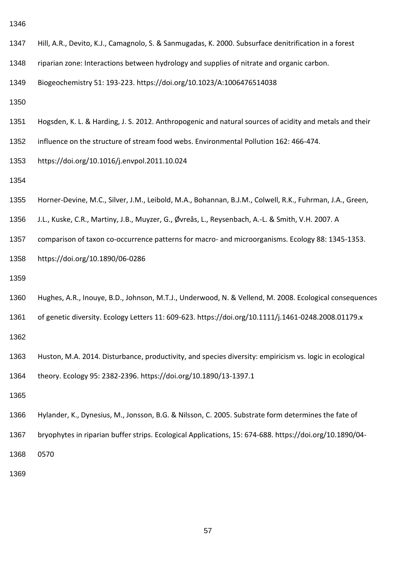- Hill, A.R., Devito, K.J., Camagnolo, S. & Sanmugadas, K. 2000. Subsurface denitrification in a forest
- riparian zone: Interactions between hydrology and supplies of nitrate and organic carbon.

Biogeochemistry 51: 193-223. https://doi.org/10.1023/A:1006476514038

- Hogsden, K. L. & Harding, J. S. 2012. Anthropogenic and natural sources of acidity and metals and their
- influence on the structure of stream food webs. Environmental Pollution 162: 466-474.
- https://doi.org/10.1016/j.envpol.2011.10.024

- Horner-Devine, M.C., Silver, J.M., Leibold, M.A., Bohannan, B.J.M., Colwell, R.K., Fuhrman, J.A., Green,
- J.L., Kuske, C.R., Martiny, J.B., Muyzer, G., Øvreås, L., Reysenbach, A.-L. & Smith, V.H. 2007. A
- comparison of taxon co-occurrence patterns for macro- and microorganisms. Ecology 88: 1345-1353.
- https://doi.org/10.1890/06-0286

- Hughes, A.R., Inouye, B.D., Johnson, M.T.J., Underwood, N. & Vellend, M. 2008. Ecological consequences
- of genetic diversity. Ecology Letters 11: 609-623. https://doi.org/10.1111/j.1461-0248.2008.01179.x

Huston, M.A. 2014. Disturbance, productivity, and species diversity: empiricism vs. logic in ecological

theory. Ecology 95: 2382-2396. https://doi.org/10.1890/13-1397.1

Hylander, K., Dynesius, M., Jonsson, B.G. & Nilsson, C. 2005. Substrate form determines the fate of

bryophytes in riparian buffer strips. Ecological Applications, 15: 674-688. https://doi.org/10.1890/04-

0570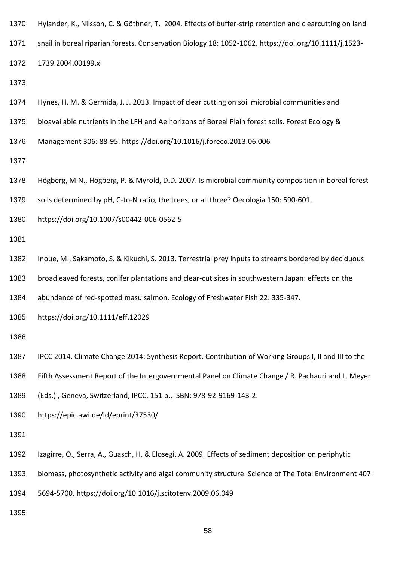| 1370 | Hylander, K., Nilsson, C. & Göthner, T. 2004. Effects of buffer-strip retention and clearcutting on land |
|------|----------------------------------------------------------------------------------------------------------|
| 1371 | snail in boreal riparian forests. Conservation Biology 18: 1052-1062. https://doi.org/10.1111/j.1523-    |
| 1372 | 1739.2004.00199.x                                                                                        |
| 1373 |                                                                                                          |
| 1374 | Hynes, H. M. & Germida, J. J. 2013. Impact of clear cutting on soil microbial communities and            |
| 1375 | bioavailable nutrients in the LFH and Ae horizons of Boreal Plain forest soils. Forest Ecology &         |
| 1376 | Management 306: 88-95. https://doi.org/10.1016/j.foreco.2013.06.006                                      |
| 1377 |                                                                                                          |
| 1378 | Högberg, M.N., Högberg, P. & Myrold, D.D. 2007. Is microbial community composition in boreal forest      |
| 1379 | soils determined by pH, C-to-N ratio, the trees, or all three? Oecologia 150: 590-601.                   |
| 1380 | https://doi.org/10.1007/s00442-006-0562-5                                                                |
| 1381 |                                                                                                          |
| 1382 | Inoue, M., Sakamoto, S. & Kikuchi, S. 2013. Terrestrial prey inputs to streams bordered by deciduous     |
| 1383 | broadleaved forests, conifer plantations and clear-cut sites in southwestern Japan: effects on the       |
| 1384 | abundance of red-spotted masu salmon. Ecology of Freshwater Fish 22: 335-347.                            |
| 1385 | https://doi.org/10.1111/eff.12029                                                                        |
| 1386 |                                                                                                          |
| 1387 | IPCC 2014. Climate Change 2014: Synthesis Report. Contribution of Working Groups I, II and III to the    |
| 1388 | Fifth Assessment Report of the Intergovernmental Panel on Climate Change / R. Pachauri and L. Meyer      |
| 1389 | (Eds.), Geneva, Switzerland, IPCC, 151 p., ISBN: 978-92-9169-143-2.                                      |
| 1390 | https://epic.awi.de/id/eprint/37530/                                                                     |
| 1391 |                                                                                                          |
| 1392 | Izagirre, O., Serra, A., Guasch, H. & Elosegi, A. 2009. Effects of sediment deposition on periphytic     |
| 1393 | biomass, photosynthetic activity and algal community structure. Science of The Total Environment 407:    |
| 1394 | 5694-5700. https://doi.org/10.1016/j.scitotenv.2009.06.049                                               |
| 1395 |                                                                                                          |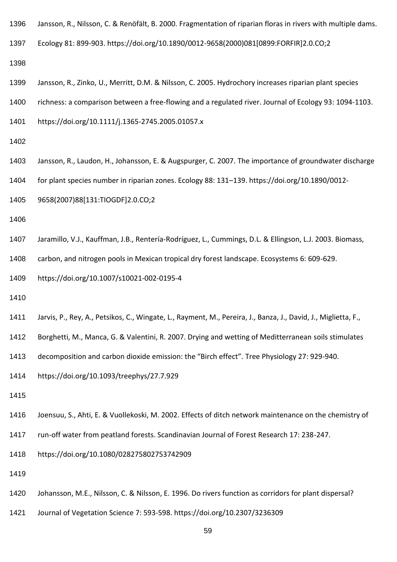- Jansson, R., Nilsson, C. & Renöfält, B. 2000. Fragmentation of riparian floras in rivers with multiple dams.
- Ecology 81: 899-903. https://doi.org/10.1890/0012-9658(2000)081[0899:FORFIR]2.0.CO;2

- Jansson, R., Zinko, U., Merritt, D.M. & Nilsson, C. 2005. Hydrochory increases riparian plant species
- richness: a comparison between a free-flowing and a regulated river. Journal of Ecology 93: 1094-1103.
- https://doi.org/10.1111/j.1365-2745.2005.01057.x
- 
- Jansson, R., Laudon, H., Johansson, E. & Augspurger, C. 2007. The importance of groundwater discharge
- for plant species number in riparian zones. Ecology 88: 131–139. https://doi.org/10.1890/0012-
- 9658(2007)88[131:TIOGDF]2.0.CO;2
- 
- Jaramillo, V.J., Kauffman, J.B., Rentería-Rodríguez, L., Cummings, D.L. & Ellingson, L.J. 2003. Biomass,
- carbon, and nitrogen pools in Mexican tropical dry forest landscape. Ecosystems 6: 609-629.
- https://doi.org/10.1007/s10021-002-0195-4
- 
- Jarvis, P., Rey, A., Petsikos, C., Wingate, L., Rayment, M., Pereira, J., Banza, J., David, J., Miglietta, F.,
- Borghetti, M., Manca, G. & Valentini, R. 2007. Drying and wetting of Meditterranean soils stimulates
- decomposition and carbon dioxide emission: the "Birch effect". Tree Physiology 27: 929-940.
- https://doi.org/10.1093/treephys/27.7.929
- 
- Joensuu, S., Ahti, E. & Vuollekoski, M. 2002. Effects of ditch network maintenance on the chemistry of
- run-off water from peatland forests. Scandinavian Journal of Forest Research 17: 238-247.
- https://doi.org/10.1080/028275802753742909
- 
- Johansson, M.E., Nilsson, C. & Nilsson, E. 1996. Do rivers function as corridors for plant dispersal?
- Journal of Vegetation Science 7: 593-598. https://doi.org/10.2307/3236309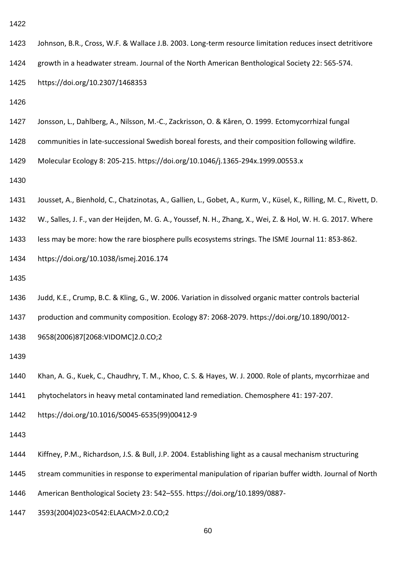| 1423 | Johnson, B.R., Cross, W.F. & Wallace J.B. 2003. Long-term resource limitation reduces insect detritivore            |
|------|---------------------------------------------------------------------------------------------------------------------|
| 1424 | growth in a headwater stream. Journal of the North American Benthological Society 22: 565-574.                      |
| 1425 | https://doi.org/10.2307/1468353                                                                                     |
| 1426 |                                                                                                                     |
| 1427 | Jonsson, L., Dahlberg, A., Nilsson, M.-C., Zackrisson, O. & Kåren, O. 1999. Ectomycorrhizal fungal                  |
| 1428 | communities in late-successional Swedish boreal forests, and their composition following wildfire.                  |
| 1429 | Molecular Ecology 8: 205-215. https://doi.org/10.1046/j.1365-294x.1999.00553.x                                      |
| 1430 |                                                                                                                     |
| 1431 | Jousset, A., Bienhold, C., Chatzinotas, A., Gallien, L., Gobet, A., Kurm, V., Küsel, K., Rilling, M. C., Rivett, D. |
| 1432 | W., Salles, J. F., van der Heijden, M. G. A., Youssef, N. H., Zhang, X., Wei, Z. & Hol, W. H. G. 2017. Where        |
| 1433 | less may be more: how the rare biosphere pulls ecosystems strings. The ISME Journal 11: 853-862.                    |
| 1434 | https://doi.org/10.1038/ismej.2016.174                                                                              |
| 1435 |                                                                                                                     |
| 1436 | Judd, K.E., Crump, B.C. & Kling, G., W. 2006. Variation in dissolved organic matter controls bacterial              |
| 1437 | production and community composition. Ecology 87: 2068-2079. https://doi.org/10.1890/0012-                          |
| 1438 | 9658(2006)87[2068:VIDOMC]2.0.CO;2                                                                                   |
| 1439 |                                                                                                                     |
| 1440 | Khan, A. G., Kuek, C., Chaudhry, T. M., Khoo, C. S. & Hayes, W. J. 2000. Role of plants, mycorrhizae and            |
| 1441 | phytochelators in heavy metal contaminated land remediation. Chemosphere 41: 197-207.                               |
| 1442 | https://doi.org/10.1016/S0045-6535(99)00412-9                                                                       |
| 1443 |                                                                                                                     |
| 1444 | Kiffney, P.M., Richardson, J.S. & Bull, J.P. 2004. Establishing light as a causal mechanism structuring             |
| 1445 | stream communities in response to experimental manipulation of riparian buffer width. Journal of North              |
| 1446 | American Benthological Society 23: 542-555. https://doi.org/10.1899/0887-                                           |
| 1447 | 3593(2004)023<0542:ELAACM>2.0.CO;2                                                                                  |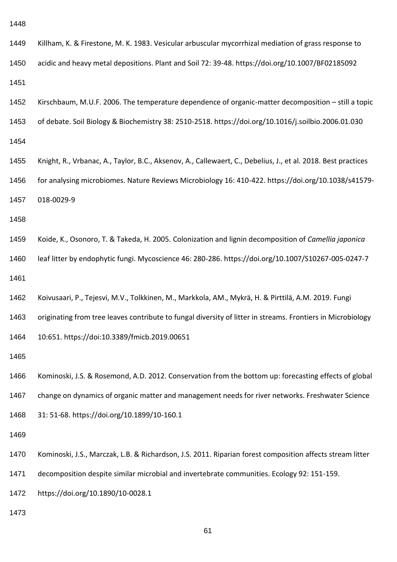| 1449 | Killham, K. & Firestone, M. K. 1983. Vesicular arbuscular mycorrhizal mediation of grass response to          |
|------|---------------------------------------------------------------------------------------------------------------|
| 1450 | acidic and heavy metal depositions. Plant and Soil 72: 39-48. https://doi.org/10.1007/BF02185092              |
| 1451 |                                                                                                               |
| 1452 | Kirschbaum, M.U.F. 2006. The temperature dependence of organic-matter decomposition - still a topic           |
| 1453 | of debate. Soil Biology & Biochemistry 38: 2510-2518. https://doi.org/10.1016/j.soilbio.2006.01.030           |
| 1454 |                                                                                                               |
| 1455 | Knight, R., Vrbanac, A., Taylor, B.C., Aksenov, A., Callewaert, C., Debelius, J., et al. 2018. Best practices |
| 1456 | for analysing microbiomes. Nature Reviews Microbiology 16: 410-422. https://doi.org/10.1038/s41579-           |
| 1457 | 018-0029-9                                                                                                    |
| 1458 |                                                                                                               |
| 1459 | Koide, K., Osonoro, T. & Takeda, H. 2005. Colonization and lignin decomposition of Camellia japonica          |
| 1460 | leaf litter by endophytic fungi. Mycoscience 46: 280-286. https://doi.org/10.1007/S10267-005-0247-7           |
| 1461 |                                                                                                               |
| 1462 | Koivusaari, P., Tejesvi, M.V., Tolkkinen, M., Markkola, AM., Mykrä, H. & Pirttilä, A.M. 2019. Fungi           |
| 1463 | originating from tree leaves contribute to fungal diversity of litter in streams. Frontiers in Microbiology   |
| 1464 | 10:651. https://doi:10.3389/fmicb.2019.00651                                                                  |
| 1465 |                                                                                                               |
| 1466 | Kominoski, J.S. & Rosemond, A.D. 2012. Conservation from the bottom up: forecasting effects of global         |
| 1467 | change on dynamics of organic matter and management needs for river networks. Freshwater Science              |
| 1468 | 31: 51-68. https://doi.org/10.1899/10-160.1                                                                   |
| 1469 |                                                                                                               |
| 1470 | Kominoski, J.S., Marczak, L.B. & Richardson, J.S. 2011. Riparian forest composition affects stream litter     |
| 1471 | decomposition despite similar microbial and invertebrate communities. Ecology 92: 151-159.                    |
| 1472 | https://doi.org/10.1890/10-0028.1                                                                             |
| 1473 |                                                                                                               |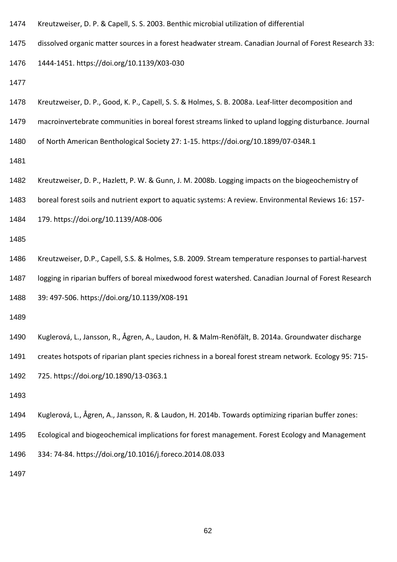|  |  | 1474 Kreutzweiser, D. P. & Capell, S. S. 2003. Benthic microbial utilization of differential |
|--|--|----------------------------------------------------------------------------------------------|
|--|--|----------------------------------------------------------------------------------------------|

dissolved organic matter sources in a forest headwater stream. Canadian Journal of Forest Research 33:

1444-1451. https://doi.org/10.1139/X03-030

- Kreutzweiser, D. P., Good, K. P., Capell, S. S. & Holmes, S. B. 2008a. Leaf-litter decomposition and
- macroinvertebrate communities in boreal forest streams linked to upland logging disturbance. Journal
- of North American Benthological Society 27: 1-15. https://doi.org/10.1899/07-034R.1

- Kreutzweiser, D. P., Hazlett, P. W. & Gunn, J. M. 2008b. Logging impacts on the biogeochemistry of
- boreal forest soils and nutrient export to aquatic systems: A review. Environmental Reviews 16: 157-
- 179. https://doi.org/10.1139/A08-006

- Kreutzweiser, D.P., Capell, S.S. & Holmes, S.B. 2009. Stream temperature responses to partial-harvest
- logging in riparian buffers of boreal mixedwood forest watershed. Canadian Journal of Forest Research
- 39: 497-506. https://doi.org/10.1139/X08-191

- Kuglerová, L., Jansson, R., Ågren, A., Laudon, H. & Malm-Renöfält, B. 2014a. Groundwater discharge
- creates hotspots of riparian plant species richness in a boreal forest stream network. Ecology 95: 715-
- 725. https://doi.org/10.1890/13-0363.1
- 
- Kuglerová, L., Ågren, A., Jansson, R. & Laudon, H. 2014b. Towards optimizing riparian buffer zones:
- Ecological and biogeochemical implications for forest management. Forest Ecology and Management
- 334: 74-84. https://doi.org/10.1016/j.foreco.2014.08.033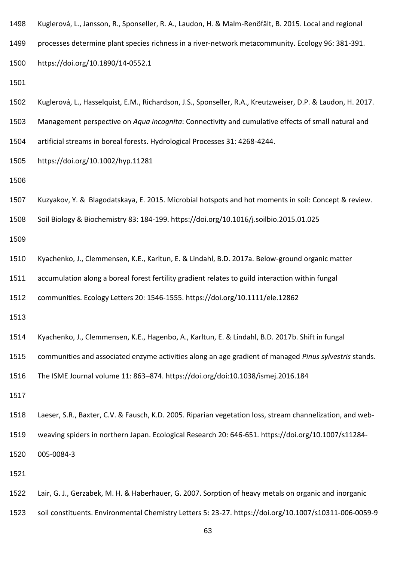| 1498 | Kuglerová, L., Jansson, R., Sponseller, R. A., Laudon, H. & Malm-Renöfält, B. 2015. Local and regional      |
|------|-------------------------------------------------------------------------------------------------------------|
| 1499 | processes determine plant species richness in a river-network metacommunity. Ecology 96: 381-391.           |
| 1500 | https://doi.org/10.1890/14-0552.1                                                                           |
| 1501 |                                                                                                             |
| 1502 | Kuglerová, L., Hasselquist, E.M., Richardson, J.S., Sponseller, R.A., Kreutzweiser, D.P. & Laudon, H. 2017. |
| 1503 | Management perspective on Aqua incognita: Connectivity and cumulative effects of small natural and          |
| 1504 | artificial streams in boreal forests. Hydrological Processes 31: 4268-4244.                                 |
| 1505 | https://doi.org/10.1002/hyp.11281                                                                           |
| 1506 |                                                                                                             |
| 1507 | Kuzyakov, Y. & Blagodatskaya, E. 2015. Microbial hotspots and hot moments in soil: Concept & review.        |
| 1508 | Soil Biology & Biochemistry 83: 184-199. https://doi.org/10.1016/j.soilbio.2015.01.025                      |
| 1509 |                                                                                                             |
| 1510 | Kyachenko, J., Clemmensen, K.E., Karltun, E. & Lindahl, B.D. 2017a. Below-ground organic matter             |
| 1511 | accumulation along a boreal forest fertility gradient relates to guild interaction within fungal            |
| 1512 | communities. Ecology Letters 20: 1546-1555. https://doi.org/10.1111/ele.12862                               |
| 1513 |                                                                                                             |
| 1514 | Kyachenko, J., Clemmensen, K.E., Hagenbo, A., Karltun, E. & Lindahl, B.D. 2017b. Shift in fungal            |
| 1515 | communities and associated enzyme activities along an age gradient of managed Pinus sylvestris stands.      |
| 1516 | The ISME Journal volume 11: 863-874. https://doi.org/doi:10.1038/ismej.2016.184                             |
| 1517 |                                                                                                             |
| 1518 | Laeser, S.R., Baxter, C.V. & Fausch, K.D. 2005. Riparian vegetation loss, stream channelization, and web-   |
| 1519 | weaving spiders in northern Japan. Ecological Research 20: 646-651. https://doi.org/10.1007/s11284-         |
| 1520 | 005-0084-3                                                                                                  |
| 1521 |                                                                                                             |
| 1522 | Lair, G. J., Gerzabek, M. H. & Haberhauer, G. 2007. Sorption of heavy metals on organic and inorganic       |
| 1523 | soil constituents. Environmental Chemistry Letters 5: 23-27. https://doi.org/10.1007/s10311-006-0059-9      |
|      |                                                                                                             |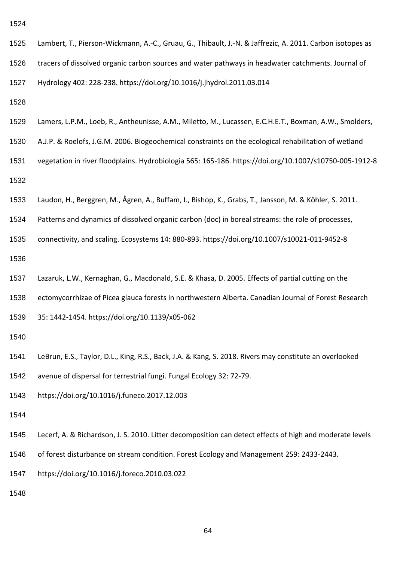| 1525 | Lambert, T., Pierson-Wickmann, A.-C., Gruau, G., Thibault, J.-N. & Jaffrezic, A. 2011. Carbon isotopes as |
|------|-----------------------------------------------------------------------------------------------------------|
| 1526 | tracers of dissolved organic carbon sources and water pathways in headwater catchments. Journal of        |
| 1527 | Hydrology 402: 228-238. https://doi.org/10.1016/j.jhydrol.2011.03.014                                     |
| 1528 |                                                                                                           |
| 1529 | Lamers, L.P.M., Loeb, R., Antheunisse, A.M., Miletto, M., Lucassen, E.C.H.E.T., Boxman, A.W., Smolders,   |
| 1530 | A.J.P. & Roelofs, J.G.M. 2006. Biogeochemical constraints on the ecological rehabilitation of wetland     |
| 1531 | vegetation in river floodplains. Hydrobiologia 565: 165-186. https://doi.org/10.1007/s10750-005-1912-8    |
| 1532 |                                                                                                           |
| 1533 | Laudon, H., Berggren, M., Ågren, A., Buffam, I., Bishop, K., Grabs, T., Jansson, M. & Köhler, S. 2011.    |
| 1534 | Patterns and dynamics of dissolved organic carbon (doc) in boreal streams: the role of processes,         |
| 1535 | connectivity, and scaling. Ecosystems 14: 880-893. https://doi.org/10.1007/s10021-011-9452-8              |
| 1536 |                                                                                                           |
| 1537 | Lazaruk, L.W., Kernaghan, G., Macdonald, S.E. & Khasa, D. 2005. Effects of partial cutting on the         |
| 1538 | ectomycorrhizae of Picea glauca forests in northwestern Alberta. Canadian Journal of Forest Research      |
| 1539 | 35: 1442-1454. https://doi.org/10.1139/x05-062                                                            |
| 1540 |                                                                                                           |
| 1541 | LeBrun, E.S., Taylor, D.L., King, R.S., Back, J.A. & Kang, S. 2018. Rivers may constitute an overlooked   |
| 1542 | avenue of dispersal for terrestrial fungi. Fungal Ecology 32: 72-79.                                      |
| 1543 | https://doi.org/10.1016/j.funeco.2017.12.003                                                              |
| 1544 |                                                                                                           |
| 1545 | Lecerf, A. & Richardson, J. S. 2010. Litter decomposition can detect effects of high and moderate levels  |
| 1546 | of forest disturbance on stream condition. Forest Ecology and Management 259: 2433-2443.                  |
| 1547 | https://doi.org/10.1016/j.foreco.2010.03.022                                                              |
| 1548 |                                                                                                           |
|      |                                                                                                           |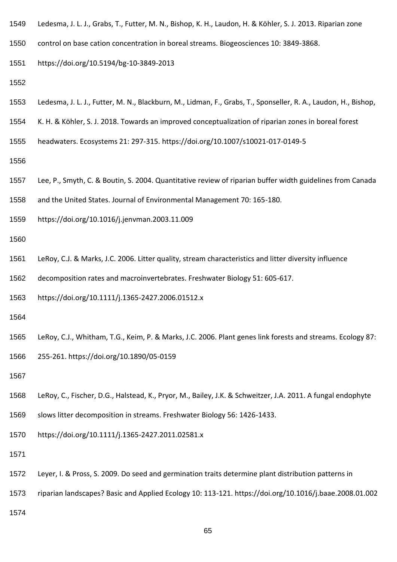- Ledesma, J. L. J., Grabs, T., Futter, M. N., Bishop, K. H., Laudon, H. & Köhler, S. J. 2013. Riparian zone
- control on base cation concentration in boreal streams. Biogeosciences 10: 3849-3868.
- https://doi.org/10.5194/bg-10-3849-2013
- 
- Ledesma, J. L. J., Futter, M. N., Blackburn, M., Lidman, F., Grabs, T., Sponseller, R. A., Laudon, H., Bishop,
- K. H. & Köhler, S. J. 2018. Towards an improved conceptualization of riparian zones in boreal forest
- headwaters. Ecosystems 21: 297-315. https://doi.org/10.1007/s10021-017-0149-5
- 
- Lee, P., Smyth, C. & Boutin, S. 2004. Quantitative review of riparian buffer width guidelines from Canada
- and the United States. Journal of Environmental Management 70: 165-180.
- https://doi.org/10.1016/j.jenvman.2003.11.009
- 
- LeRoy, C.J. & Marks, J.C. 2006. Litter quality, stream characteristics and litter diversity influence
- decomposition rates and macroinvertebrates. Freshwater Biology 51: 605-617.
- https://doi.org/10.1111/j.1365-2427.2006.01512.x
- 
- LeRoy, C.J., Whitham, T.G., Keim, P. & Marks, J.C. 2006. Plant genes link forests and streams. Ecology 87:
- 255-261. https://doi.org/10.1890/05-0159
- 
- LeRoy, C., Fischer, D.G., Halstead, K., Pryor, M., Bailey, J.K. & Schweitzer, J.A. 2011. A fungal endophyte
- slows litter decomposition in streams. Freshwater Biology 56: 1426-1433.
- https://doi.org/10.1111/j.1365-2427.2011.02581.x
- 
- Leyer, I. & Pross, S. 2009. Do seed and germination traits determine plant distribution patterns in
- riparian landscapes? Basic and Applied Ecology 10: 113-121. https://doi.org/10.1016/j.baae.2008.01.002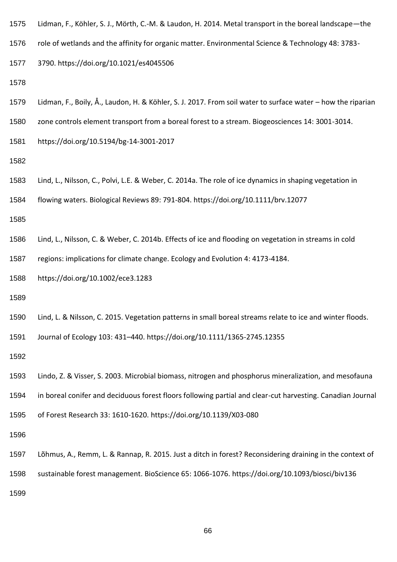| 1575 | Lidman, F., Köhler, S. J., Mörth, C.-M. & Laudon, H. 2014. Metal transport in the boreal landscape—the      |
|------|-------------------------------------------------------------------------------------------------------------|
| 1576 | role of wetlands and the affinity for organic matter. Environmental Science & Technology 48: 3783-          |
| 1577 | 3790. https://doi.org/10.1021/es4045506                                                                     |
| 1578 |                                                                                                             |
| 1579 | Lidman, F., Boily, Å., Laudon, H. & Köhler, S. J. 2017. From soil water to surface water – how the riparian |
| 1580 | zone controls element transport from a boreal forest to a stream. Biogeosciences 14: 3001-3014.             |
| 1581 | https://doi.org/10.5194/bg-14-3001-2017                                                                     |
| 1582 |                                                                                                             |
| 1583 | Lind, L., Nilsson, C., Polvi, L.E. & Weber, C. 2014a. The role of ice dynamics in shaping vegetation in     |
| 1584 | flowing waters. Biological Reviews 89: 791-804. https://doi.org/10.1111/brv.12077                           |
| 1585 |                                                                                                             |
| 1586 | Lind, L., Nilsson, C. & Weber, C. 2014b. Effects of ice and flooding on vegetation in streams in cold       |
| 1587 | regions: implications for climate change. Ecology and Evolution 4: 4173-4184.                               |
| 1588 | https://doi.org/10.1002/ece3.1283                                                                           |
| 1589 |                                                                                                             |
| 1590 | Lind, L. & Nilsson, C. 2015. Vegetation patterns in small boreal streams relate to ice and winter floods.   |
| 1591 | Journal of Ecology 103: 431-440. https://doi.org/10.1111/1365-2745.12355                                    |
| 1592 |                                                                                                             |
| 1593 | Lindo, Z. & Visser, S. 2003. Microbial biomass, nitrogen and phosphorus mineralization, and mesofauna       |
| 1594 | in boreal conifer and deciduous forest floors following partial and clear-cut harvesting. Canadian Journal  |
| 1595 | of Forest Research 33: 1610-1620. https://doi.org/10.1139/X03-080                                           |
| 1596 |                                                                                                             |
| 1597 | Lõhmus, A., Remm, L. & Rannap, R. 2015. Just a ditch in forest? Reconsidering draining in the context of    |
| 1598 | sustainable forest management. BioScience 65: 1066-1076. https://doi.org/10.1093/biosci/biv136              |
| 1599 |                                                                                                             |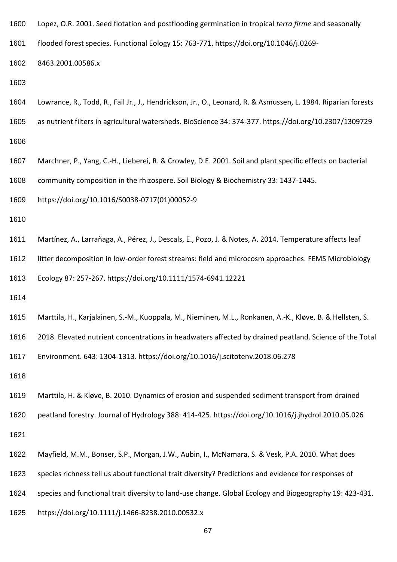Lopez, O.R. 2001. Seed flotation and postflooding germination in tropical *terra firme* and seasonally

flooded forest species. Functional Eology 15: 763-771. https://doi.org/10.1046/j.0269-

8463.2001.00586.x

- Lowrance, R., Todd, R., Fail Jr., J., Hendrickson, Jr., O., Leonard, R. & Asmussen, L. 1984. Riparian forests
- as nutrient filters in agricultural watersheds. BioScience 34: 374-377. https://doi.org/10.2307/1309729
- 
- Marchner, P., Yang, C.-H., Lieberei, R. & Crowley, D.E. 2001. Soil and plant specific effects on bacterial
- community composition in the rhizospere. Soil Biology & Biochemistry 33: 1437-1445.
- https://doi.org/10.1016/S0038-0717(01)00052-9

- Martínez, A., Larrañaga, A., Pérez, J., Descals, E., Pozo, J. & Notes, A. 2014. Temperature affects leaf
- litter decomposition in low-order forest streams: field and microcosm approaches. FEMS Microbiology

Ecology 87: 257-267. https://doi.org/10.1111/1574-6941.12221

Marttila, H., Karjalainen, S.-M., Kuoppala, M., Nieminen, M.L., Ronkanen, A.-K., Kløve, B. & Hellsten, S.

2018. Elevated nutrient concentrations in headwaters affected by drained peatland. Science of the Total

Environment. 643: 1304-1313. https://doi.org/10.1016/j.scitotenv.2018.06.278

Marttila, H. & Kløve, B. 2010. Dynamics of erosion and suspended sediment transport from drained

peatland forestry. Journal of Hydrology 388: 414-425. https://doi.org/10.1016/j.jhydrol.2010.05.026

- Mayfield, M.M., Bonser, S.P., Morgan, J.W., Aubin, I., McNamara, S. & Vesk, P.A. 2010. What does
- species richness tell us about functional trait diversity? Predictions and evidence for responses of
- species and functional trait diversity to land‐use change. Global Ecology and Biogeography 19: 423-431.
- https://doi.org/10.1111/j.1466-8238.2010.00532.x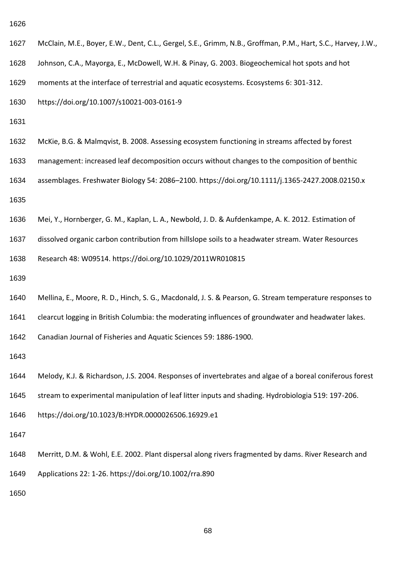| 1627 | McClain, M.E., Boyer, E.W., Dent, C.L., Gergel, S.E., Grimm, N.B., Groffman, P.M., Hart, S.C., Harvey, J.W., |
|------|--------------------------------------------------------------------------------------------------------------|
| 1628 | Johnson, C.A., Mayorga, E., McDowell, W.H. & Pinay, G. 2003. Biogeochemical hot spots and hot                |

moments at the interface of terrestrial and aquatic ecosystems. Ecosystems 6: 301-312.

https://doi.org/10.1007/s10021-003-0161-9

McKie, B.G. & Malmqvist, B. 2008. Assessing ecosystem functioning in streams affected by forest

management: increased leaf decomposition occurs without changes to the composition of benthic

assemblages. Freshwater Biology 54: 2086–2100. https://doi.org/10.1111/j.1365-2427.2008.02150.x

Mei, Y., Hornberger, G. M., Kaplan, L. A., Newbold, J. D. & Aufdenkampe, A. K. 2012. Estimation of

dissolved organic carbon contribution from hillslope soils to a headwater stream. Water Resources

Research 48: W09514. https://doi.org/10.1029/2011WR010815

Mellina, E., Moore, R. D., Hinch, S. G., Macdonald, J. S. & Pearson, G. Stream temperature responses to

clearcut logging in British Columbia: the moderating influences of groundwater and headwater lakes.

Canadian Journal of Fisheries and Aquatic Sciences 59: 1886-1900.

Melody, K.J. & Richardson, J.S. 2004. Responses of invertebrates and algae of a boreal coniferous forest

stream to experimental manipulation of leaf litter inputs and shading. Hydrobiologia 519: 197-206.

https://doi.org/10.1023/B:HYDR.0000026506.16929.e1

Merritt, D.M. & Wohl, E.E. 2002. Plant dispersal along rivers fragmented by dams. River Research and

Applications 22: 1-26. https://doi.org/10.1002/rra.890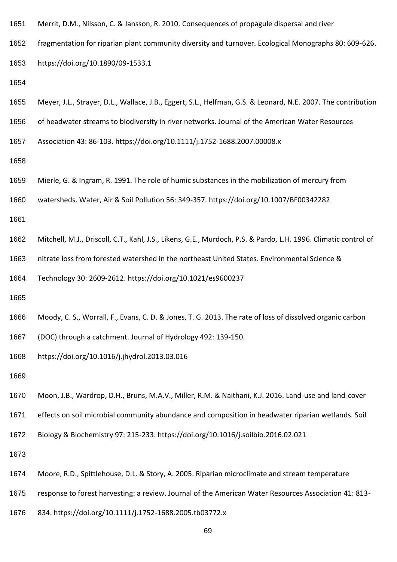| 1651 | Merrit, D.M., Nilsson, C. & Jansson, R. 2010. Consequences of propagule dispersal and river                     |
|------|-----------------------------------------------------------------------------------------------------------------|
| 1652 | fragmentation for riparian plant community diversity and turnover. Ecological Monographs 80: 609-626.           |
| 1653 | https://doi.org/10.1890/09-1533.1                                                                               |
| 1654 |                                                                                                                 |
| 1655 | Meyer, J.L., Strayer, D.L., Wallace, J.B., Eggert, S.L., Helfman, G.S. & Leonard, N.E. 2007. The contribution   |
| 1656 | of headwater streams to biodiversity in river networks. Journal of the American Water Resources                 |
| 1657 | Association 43: 86-103. https://doi.org/10.1111/j.1752-1688.2007.00008.x                                        |
| 1658 |                                                                                                                 |
| 1659 | Mierle, G. & Ingram, R. 1991. The role of humic substances in the mobilization of mercury from                  |
| 1660 | watersheds. Water, Air & Soil Pollution 56: 349-357. https://doi.org/10.1007/BF00342282                         |
| 1661 |                                                                                                                 |
| 1662 | Mitchell, M.J., Driscoll, C.T., Kahl, J.S., Likens, G.E., Murdoch, P.S. & Pardo, L.H. 1996. Climatic control of |
| 1663 | nitrate loss from forested watershed in the northeast United States. Environmental Science &                    |
| 1664 | Technology 30: 2609-2612. https://doi.org/10.1021/es9600237                                                     |
| 1665 |                                                                                                                 |
| 1666 | Moody, C. S., Worrall, F., Evans, C. D. & Jones, T. G. 2013. The rate of loss of dissolved organic carbon       |
| 1667 | (DOC) through a catchment. Journal of Hydrology 492: 139-150.                                                   |
| 1668 | https://doi.org/10.1016/j.jhydrol.2013.03.016                                                                   |
| 1669 |                                                                                                                 |
| 1670 | Moon, J.B., Wardrop, D.H., Bruns, M.A.V., Miller, R.M. & Naithani, K.J. 2016. Land-use and land-cover           |
| 1671 | effects on soil microbial community abundance and composition in headwater riparian wetlands. Soil              |
| 1672 | Biology & Biochemistry 97: 215-233. https://doi.org/10.1016/j.soilbio.2016.02.021                               |
| 1673 |                                                                                                                 |
| 1674 | Moore, R.D., Spittlehouse, D.L. & Story, A. 2005. Riparian microclimate and stream temperature                  |
| 1675 | response to forest harvesting: a review. Journal of the American Water Resources Association 41: 813-           |
| 1676 | 834. https://doi.org/10.1111/j.1752-1688.2005.tb03772.x                                                         |
|      |                                                                                                                 |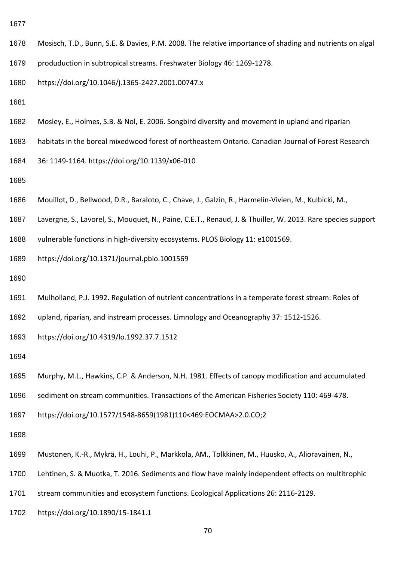- Mosisch, T.D., Bunn, S.E. & Davies, P.M. 2008. The relative importance of shading and nutrients on algal
- produduction in subtropical streams. Freshwater Biology 46: 1269-1278.
- https://doi.org/10.1046/j.1365-2427.2001.00747.x
- 
- Mosley, E., Holmes, S.B. & Nol, E. 2006. Songbird diversity and movement in upland and riparian
- habitats in the boreal mixedwood forest of northeastern Ontario. Canadian Journal of Forest Research
- 36: 1149-1164. https://doi.org/10.1139/x06-010
- 
- Mouillot, D., Bellwood, D.R., Baraloto, C., Chave, J., Galzin, R., Harmelin-Vivien, M., Kulbicki, M.,
- Lavergne, S., Lavorel, S., Mouquet, N., Paine, C.E.T., Renaud, J. & Thuiller, W. 2013. Rare species support
- vulnerable functions in high-diversity ecosystems. PLOS Biology 11: e1001569.
- https://doi.org/10.1371/journal.pbio.1001569
- 
- Mulholland, P.J. 1992. Regulation of nutrient concentrations in a temperate forest stream: Roles of
- upland, riparian, and instream processes. Limnology and Oceanography 37: 1512-1526.
- https://doi.org/10.4319/lo.1992.37.7.1512
- 
- Murphy, M.L., Hawkins, C.P. & Anderson, N.H. 1981. Effects of canopy modification and accumulated
- sediment on stream communities. Transactions of the American Fisheries Society 110: 469-478.
- https://doi.org/10.1577/1548-8659(1981)110<469:EOCMAA>2.0.CO;2
- 
- Mustonen, K.-R., Mykrä, H., Louhi, P., Markkola, AM., Tolkkinen, M., Huusko, A., Alioravainen, N.,
- Lehtinen, S. & Muotka, T. 2016. Sediments and flow have mainly independent effects on multitrophic
- stream communities and ecosystem functions. Ecological Applications 26: 2116-2129.
- https://doi.org/10.1890/15-1841.1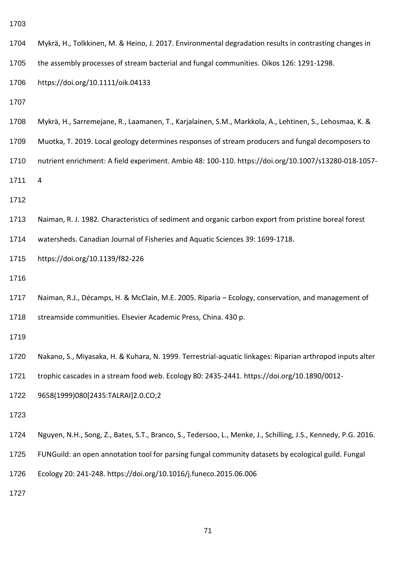| 1704 | Mykrä, H., Tolkkinen, M. & Heino, J. 2017. Environmental degradation results in contrasting changes in         |
|------|----------------------------------------------------------------------------------------------------------------|
| 1705 | the assembly processes of stream bacterial and fungal communities. Oikos 126: 1291-1298.                       |
| 1706 | https://doi.org/10.1111/oik.04133                                                                              |
| 1707 |                                                                                                                |
| 1708 | Mykrä, H., Sarremejane, R., Laamanen, T., Karjalainen, S.M., Markkola, A., Lehtinen, S., Lehosmaa, K. &        |
| 1709 | Muotka, T. 2019. Local geology determines responses of stream producers and fungal decomposers to              |
| 1710 | nutrient enrichment: A field experiment. Ambio 48: 100-110. https://doi.org/10.1007/s13280-018-1057-           |
| 1711 | 4                                                                                                              |
| 1712 |                                                                                                                |
| 1713 | Naiman, R. J. 1982. Characteristics of sediment and organic carbon export from pristine boreal forest          |
| 1714 | watersheds. Canadian Journal of Fisheries and Aquatic Sciences 39: 1699-1718.                                  |
| 1715 | https://doi.org/10.1139/f82-226                                                                                |
| 1716 |                                                                                                                |
| 1717 | Naiman, R.J., Décamps, H. & McClain, M.E. 2005. Riparia - Ecology, conservation, and management of             |
| 1718 | streamside communities. Elsevier Academic Press, China. 430 p.                                                 |
| 1719 |                                                                                                                |
| 1720 | Nakano, S., Miyasaka, H. & Kuhara, N. 1999. Terrestrial-aquatic linkages: Riparian arthropod inputs alter      |
| 1721 | trophic cascades in a stream food web. Ecology 80: 2435-2441. https://doi.org/10.1890/0012-                    |
| 1722 | 9658(1999)080[2435:TALRAI]2.0.CO;2                                                                             |
| 1723 |                                                                                                                |
| 1724 | Nguyen, N.H., Song, Z., Bates, S.T., Branco, S., Tedersoo, L., Menke, J., Schilling, J.S., Kennedy, P.G. 2016. |
| 1725 | FUNGuild: an open annotation tool for parsing fungal community datasets by ecological guild. Fungal            |
| 1726 | Ecology 20: 241-248. https://doi.org/10.1016/j.funeco.2015.06.006                                              |
| 1727 |                                                                                                                |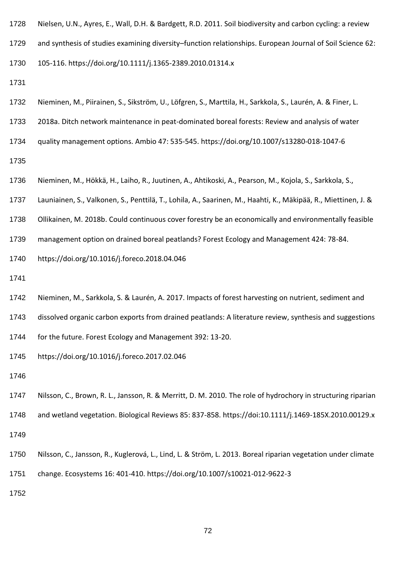Nielsen, U.N., Ayres, E., Wall, D.H. & Bardgett, R.D. 2011. Soil biodiversity and carbon cycling: a review and synthesis of studies examining diversity–function relationships. European Journal of Soil Science 62: 105-116. https://doi.org/10.1111/j.1365-2389.2010.01314.x

- Nieminen, M., Piirainen, S., Sikström, U., Löfgren, S., Marttila, H., Sarkkola, S., Laurén, A. & Finer, L.
- 2018a. Ditch network maintenance in peat-dominated boreal forests: Review and analysis of water
- quality management options. Ambio 47: 535-545. https://doi.org/10.1007/s13280-018-1047-6

- Nieminen, M., Hökkä, H., Laiho, R., Juutinen, A., Ahtikoski, A., Pearson, M., Kojola, S., Sarkkola, S.,
- Launiainen, S., Valkonen, S., Penttilä, T., Lohila, A., Saarinen, M., Haahti, K., Mäkipää, R., Miettinen, J. &
- Ollikainen, M. 2018b. Could continuous cover forestry be an economically and environmentally feasible
- management option on drained boreal peatlands? Forest Ecology and Management 424: 78-84.
- https://doi.org/10.1016/j.foreco.2018.04.046
- 
- Nieminen, M., Sarkkola, S. & Laurén, A. 2017. Impacts of forest harvesting on nutrient, sediment and
- dissolved organic carbon exports from drained peatlands: A literature review, synthesis and suggestions
- for the future. Forest Ecology and Management 392: 13-20.
- https://doi.org/10.1016/j.foreco.2017.02.046
- 
- Nilsson, C., Brown, R. L., Jansson, R. & Merritt, D. M. 2010. The role of hydrochory in structuring riparian
- and wetland vegetation. Biological Reviews 85: 837-858. https://doi:10.1111/j.1469-185X.2010.00129.x

- Nilsson, C., Jansson, R., Kuglerová, L., Lind, L. & Ström, L. 2013. Boreal riparian vegetation under climate
- change. Ecosystems 16: 401-410. https://doi.org/10.1007/s10021-012-9622-3
-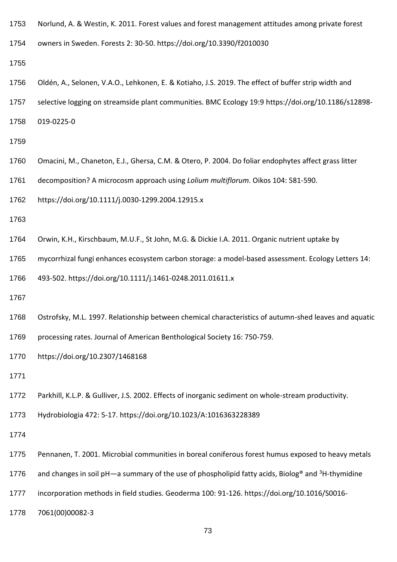- Norlund, A. & Westin, K. 2011. Forest values and forest management attitudes among private forest
- owners in Sweden. Forests 2: 30-50. https://doi.org/10.3390/f2010030

- Oldén, A., Selonen, V.A.O., Lehkonen, E. & Kotiaho, J.S. 2019. The effect of buffer strip width and
- selective logging on streamside plant communities. BMC Ecology 19:9 https://doi.org/10.1186/s12898-
- 019-0225-0
- 
- Omacini, M., Chaneton, E.J., Ghersa, C.M. & Otero, P. 2004. Do foliar endophytes affect grass litter
- decomposition? A microcosm approach using *Lolium multiflorum*. Oikos 104: 581-590.
- https://doi.org/10.1111/j.0030-1299.2004.12915.x

- Orwin, K.H., Kirschbaum, M.U.F., St John, M.G. & Dickie I.A. 2011. Organic nutrient uptake by
- mycorrhizal fungi enhances ecosystem carbon storage: a model-based assessment. Ecology Letters 14:
- 493-502. https://doi.org/10.1111/j.1461-0248.2011.01611.x
- 
- Ostrofsky, M.L. 1997. Relationship between chemical characteristics of autumn-shed leaves and aquatic
- processing rates. Journal of American Benthological Society 16: 750-759.
- https://doi.org/10.2307/1468168
- 
- Parkhill, K.L.P. & Gulliver, J.S. 2002. Effects of inorganic sediment on whole-stream productivity.
- Hydrobiologia 472: 5-17. https://doi.org/10.1023/A:1016363228389

- Pennanen, T. 2001. Microbial communities in boreal coniferous forest humus exposed to heavy metals
- 1776 and changes in soil pH—a summary of the use of phospholipid fatty acids, Biolog<sup>®</sup> and <sup>3</sup>H-thymidine
- incorporation methods in field studies. Geoderma 100: 91-126. https://doi.org/10.1016/S0016-
- 7061(00)00082-3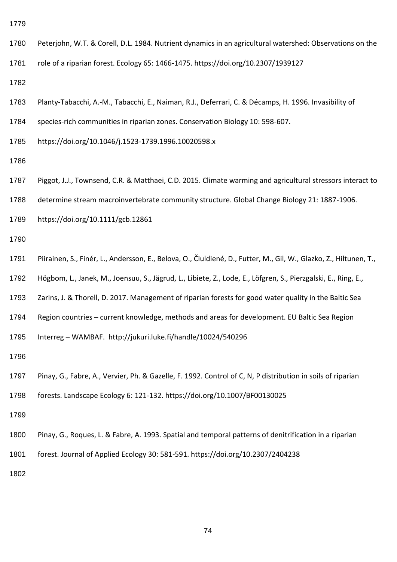- Peterjohn, W.T. & Corell, D.L. 1984. Nutrient dynamics in an agricultural watershed: Observations on the
- role of a riparian forest. Ecology 65: 1466-1475. https://doi.org/10.2307/1939127

- Planty-Tabacchi, A.-M., Tabacchi, E., Naiman, R.J., Deferrari, C. & Décamps, H. 1996. Invasibility of
- species-rich communities in riparian zones. Conservation Biology 10: 598-607.
- https://doi.org/10.1046/j.1523-1739.1996.10020598.x

- Piggot, J.J., Townsend, C.R. & Matthaei, C.D. 2015. Climate warming and agricultural stressors interact to
- determine stream macroinvertebrate community structure. Global Change Biology 21: 1887-1906.
- https://doi.org/10.1111/gcb.12861

- Piirainen, S., Finér, L., Andersson, E., Belova, O., Čiuldiené, D., Futter, M., Gil, W., Glazko, Z., Hiltunen, T.,
- Högbom, L., Janek, M., Joensuu, S., Jägrud, L., Libiete, Z., Lode, E., Löfgren, S., Pierzgalski, E., Ring, E.,
- Zarins, J. & Thorell, D. 2017. Management of riparian forests for good water quality in the Baltic Sea
- Region countries current knowledge, methods and areas for development. EU Baltic Sea Region
- Interreg WAMBAF. http://jukuri.luke.fi/handle/10024/540296

- Pinay, G., Fabre, A., Vervier, Ph. & Gazelle, F. 1992. Control of C, N, P distribution in soils of riparian
- forests. Landscape Ecology 6: 121-132. https://doi.org/10.1007/BF00130025

- Pinay, G., Roques, L. & Fabre, A. 1993. Spatial and temporal patterns of denitrification in a riparian
- forest. Journal of Applied Ecology 30: 581-591. https://doi.org/10.2307/2404238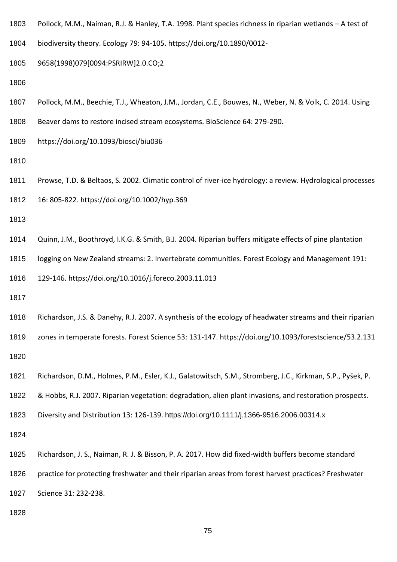- Pollock, M.M., Naiman, R.J. & Hanley, T.A. 1998. Plant species richness in riparian wetlands A test of
- biodiversity theory. Ecology 79: 94-105. https://doi.org/10.1890/0012-
- 9658(1998)079[0094:PSRIRW]2.0.CO;2
- 
- Pollock, M.M., Beechie, T.J., Wheaton, J.M., Jordan, C.E., Bouwes, N., Weber, N. & Volk, C. 2014. Using
- Beaver dams to restore incised stream ecosystems. BioScience 64: 279-290.
- https://doi.org/10.1093/biosci/biu036
- 
- Prowse, T.D. & Beltaos, S. 2002. Climatic control of river-ice hydrology: a review. Hydrological processes
- 16: 805-822. https://doi.org/10.1002/hyp.369
- 
- Quinn, J.M., Boothroyd, I.K.G. & Smith, B.J. 2004. Riparian buffers mitigate effects of pine plantation
- logging on New Zealand streams: 2. Invertebrate communities. Forest Ecology and Management 191:
- 129-146. https://doi.org/10.1016/j.foreco.2003.11.013
- 
- Richardson, J.S. & Danehy, R.J. 2007. A synthesis of the ecology of headwater streams and their riparian
- zones in temperate forests. Forest Science 53: 131-147. https://doi.org/10.1093/forestscience/53.2.131

- Richardson, D.M., Holmes, P.M., Esler, K.J., Galatowitsch, S.M., Stromberg, J.C., Kirkman, S.P., Pyšek, P.
- & Hobbs, R.J. 2007. Riparian vegetation: degradation, alien plant invasions, and restoration prospects.
- Diversity and Distribution 13: 126-139. https://doi.org/10.1111/j.1366-9516.2006.00314.x
- 
- Richardson, J. S., Naiman, R. J. & Bisson, P. A. 2017. How did fixed-width buffers become standard
- practice for protecting freshwater and their riparian areas from forest harvest practices? Freshwater
- Science 31: 232-238.
-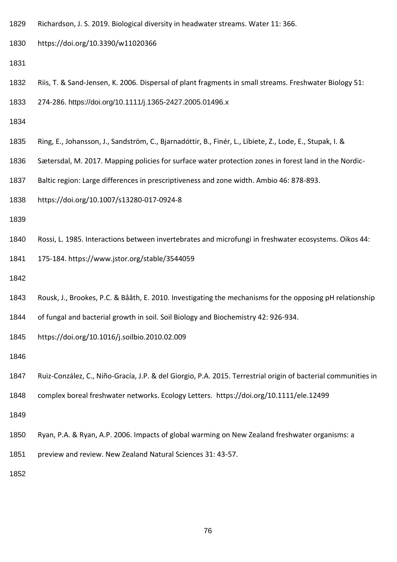- Richardson, J. S. 2019. Biological diversity in headwater streams. Water 11: 366.
- https://doi.org/10.3390/w11020366

- Riis, T. & Sand-Jensen, K. 2006. Dispersal of plant fragments in small streams. Freshwater Biology 51:
- 274-286. https://doi.org/10.1111/j.1365-2427.2005.01496.x
- 
- Ring, E., Johansson, J., Sandström, C., Bjarnadóttir, B., Finér, L., Lïbiete, Z., Lode, E., Stupak, I. &
- Sӕtersdal, M. 2017. Mapping policies for surface water protection zones in forest land in the Nordic-
- Baltic region: Large differences in prescriptiveness and zone width. Ambio 46: 878-893.
- https://doi.org/10.1007/s13280-017-0924-8

- Rossi, L. 1985. Interactions between invertebrates and microfungi in freshwater ecosystems. Oikos 44:
- 175-184. https://www.jstor.org/stable/3544059
- 
- Rousk, J., Brookes, P.C. & Bååth, E. 2010. Investigating the mechanisms for the opposing pH relationship
- of fungal and bacterial growth in soil. Soil Biology and Biochemistry 42: 926-934.
- https://doi.org/10.1016/j.soilbio.2010.02.009

- Ruiz-Conzález, C., Niño-Gracía, J.P. & del Giorgio, P.A. 2015. Terrestrial origin of bacterial communities in
- complex boreal freshwater networks. Ecology Letters. https://doi.org/10.1111/ele.12499

- Ryan, P.A. & Ryan, A.P. 2006. Impacts of global warming on New Zealand freshwater organisms: a
- preview and review. New Zealand Natural Sciences 31: 43-57.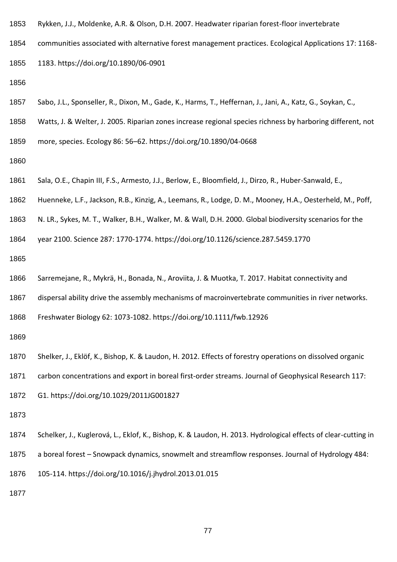- Rykken, J.J., Moldenke, A.R. & Olson, D.H. 2007. Headwater riparian forest-floor invertebrate
- communities associated with alternative forest management practices. Ecological Applications 17: 1168-

1183. https://doi.org/10.1890/06-0901

- Sabo, J.L., Sponseller, R., Dixon, M., Gade, K., Harms, T., Heffernan, J., Jani, A., Katz, G., Soykan, C.,
- Watts, J. & Welter, J. 2005. Riparian zones increase regional species richness by harboring different, not
- more, species. Ecology 86: 56–62. https://doi.org/10.1890/04-0668

- Sala, O.E., Chapin III, F.S., Armesto, J.J., Berlow, E., Bloomfield, J., Dirzo, R., Huber-Sanwald, E.,
- Huenneke, L.F., Jackson, R.B., Kinzig, A., Leemans, R., Lodge, D. M., Mooney, H.A., Oesterheld, M., Poff,
- N. LR., Sykes, M. T., Walker, B.H., Walker, M. & Wall, D.H. 2000. Global biodiversity scenarios for the
- year 2100. Science 287: 1770-1774. https://doi.org/10.1126/science.287.5459.1770

- Sarremejane, R., Mykrä, H., Bonada, N., Aroviita, J. & Muotka, T. 2017. Habitat connectivity and
- dispersal ability drive the assembly mechanisms of macroinvertebrate communities in river networks.
- Freshwater Biology 62: 1073-1082. https://doi.org/10.1111/fwb.12926

- Shelker, J., Eklöf, K., Bishop, K. & Laudon, H. 2012. Effects of forestry operations on dissolved organic
- 1871 carbon concentrations and export in boreal first-order streams. Journal of Geophysical Research 117:
- G1. https://doi.org/10.1029/2011JG001827
- 
- Schelker, J., Kuglerová, L., Eklof, K., Bishop, K. & Laudon, H. 2013. Hydrological effects of clear-cutting in
- a boreal forest Snowpack dynamics, snowmelt and streamflow responses. Journal of Hydrology 484:
- 105-114. https://doi.org/10.1016/j.jhydrol.2013.01.015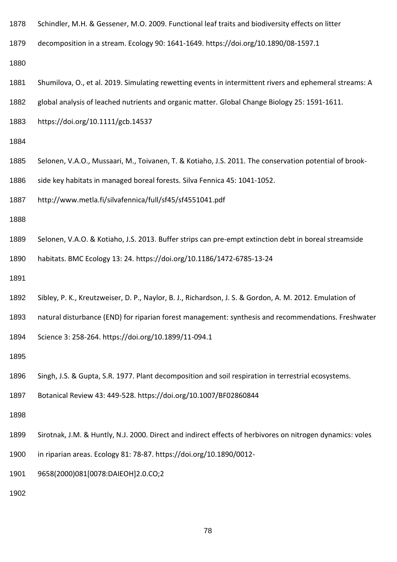- Schindler, M.H. & Gessener, M.O. 2009. Functional leaf traits and biodiversity effects on litter
- decomposition in a stream. Ecology 90: 1641-1649. https://doi.org/10.1890/08-1597.1

- Shumilova, O., et al. 2019. Simulating rewetting events in intermittent rivers and ephemeral streams: A
- global analysis of leached nutrients and organic matter. Global Change Biology 25: 1591-1611.
- https://doi.org/10.1111/gcb.14537
- 
- Selonen, V.A.O., Mussaari, M., Toivanen, T. & Kotiaho, J.S. 2011. The conservation potential of brook-
- 1886 side key habitats in managed boreal forests. Silva Fennica 45: 1041-1052.
- http://www.metla.fi/silvafennica/full/sf45/sf4551041.pdf

- Selonen, V.A.O. & Kotiaho, J.S. 2013. Buffer strips can pre-empt extinction debt in boreal streamside
- habitats. BMC Ecology 13: 24. https://doi.org/10.1186/1472-6785-13-24

- Sibley, P. K., Kreutzweiser, D. P., Naylor, B. J., Richardson, J. S. & Gordon, A. M. 2012. Emulation of
- natural disturbance (END) for riparian forest management: synthesis and recommendations. Freshwater
- Science 3: 258-264. https://doi.org/10.1899/11-094.1

- Singh, J.S. & Gupta, S.R. 1977. Plant decomposition and soil respiration in terrestrial ecosystems.
- Botanical Review 43: 449-528. https://doi.org/10.1007/BF02860844

- Sirotnak, J.M. & Huntly, N.J. 2000. Direct and indirect effects of herbivores on nitrogen dynamics: voles
- in riparian areas. Ecology 81: 78-87. https://doi.org/10.1890/0012-
- 9658(2000)081[0078:DAIEOH]2.0.CO;2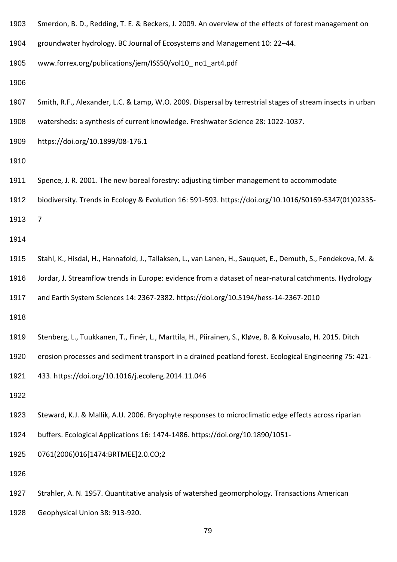| 1903 | Smerdon, B. D., Redding, T. E. & Beckers, J. 2009. An overview of the effects of forest management on        |
|------|--------------------------------------------------------------------------------------------------------------|
| 1904 | groundwater hydrology. BC Journal of Ecosystems and Management 10: 22-44.                                    |
| 1905 | www.forrex.org/publications/jem/ISS50/vol10_no1_art4.pdf                                                     |
| 1906 |                                                                                                              |
| 1907 | Smith, R.F., Alexander, L.C. & Lamp, W.O. 2009. Dispersal by terrestrial stages of stream insects in urban   |
| 1908 | watersheds: a synthesis of current knowledge. Freshwater Science 28: 1022-1037.                              |
| 1909 | https://doi.org/10.1899/08-176.1                                                                             |
| 1910 |                                                                                                              |
| 1911 | Spence, J. R. 2001. The new boreal forestry: adjusting timber management to accommodate                      |
| 1912 | biodiversity. Trends in Ecology & Evolution 16: 591-593. https://doi.org/10.1016/S0169-5347(01)02335-        |
| 1913 | $\overline{7}$                                                                                               |
| 1914 |                                                                                                              |
| 1915 | Stahl, K., Hisdal, H., Hannafold, J., Tallaksen, L., van Lanen, H., Sauquet, E., Demuth, S., Fendekova, M. & |
| 1916 | Jordar, J. Streamflow trends in Europe: evidence from a dataset of near-natural catchments. Hydrology        |
| 1917 | and Earth System Sciences 14: 2367-2382. https://doi.org/10.5194/hess-14-2367-2010                           |
| 1918 |                                                                                                              |
| 1919 | Stenberg, L., Tuukkanen, T., Finér, L., Marttila, H., Piirainen, S., Kløve, B. & Koivusalo, H. 2015. Ditch   |
| 1920 | erosion processes and sediment transport in a drained peatland forest. Ecological Engineering 75: 421-       |
| 1921 | 433. https://doi.org/10.1016/j.ecoleng.2014.11.046                                                           |
| 1922 |                                                                                                              |
| 1923 | Steward, K.J. & Mallik, A.U. 2006. Bryophyte responses to microclimatic edge effects across riparian         |
| 1924 | buffers. Ecological Applications 16: 1474-1486. https://doi.org/10.1890/1051-                                |
| 1925 | 0761(2006)016[1474:BRTMEE]2.0.CO;2                                                                           |
| 1926 |                                                                                                              |
| 1927 | Strahler, A. N. 1957. Quantitative analysis of watershed geomorphology. Transactions American                |
|      |                                                                                                              |

Geophysical Union 38: 913-920.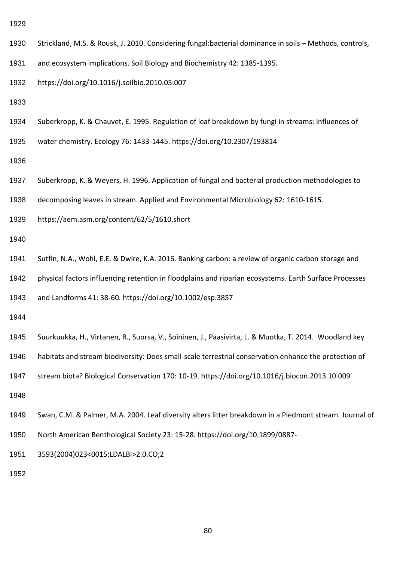- Strickland, M.S. & Rousk, J. 2010. Considering fungal:bacterial dominance in soils Methods, controls,
- and ecosystem implications. Soil Biology and Biochemistry 42: 1385-1395.
- https://doi.org/10.1016/j.soilbio.2010.05.007
- 
- Suberkropp, K. & Chauvet, E. 1995. Regulation of leaf breakdown by fungi in streams: influences of
- water chemistry. Ecology 76: 1433-1445. https://doi.org/10.2307/193814
- 
- Suberkropp, K. & Weyers, H. 1996. Application of fungal and bacterial production methodologies to
- decomposing leaves in stream. Applied and Environmental Microbiology 62: 1610-1615.
- https://aem.asm.org/content/62/5/1610.short
- 
- Sutfin, N.A., Wohl, E.E. & Dwire, K.A. 2016. Banking carbon: a review of organic carbon storage and
- physical factors influencing retention in floodplains and riparian ecosystems. Earth Surface Processes
- and Landforms 41: 38-60. https://doi.org/10.1002/esp.3857
- 
- Suurkuukka, H., Virtanen, R., Suorsa, V., Soininen, J., Paasivirta, L. & Muotka, T. 2014. Woodland key
- habitats and stream biodiversity: Does small-scale terrestrial conservation enhance the protection of
- stream biota? Biological Conservation 170: 10-19. https://doi.org/10.1016/j.biocon.2013.10.009
- 
- Swan, C.M. & Palmer, M.A. 2004. Leaf diversity alters litter breakdown in a Piedmont stream. Journal of
- North American Benthological Society 23: 15-28. https://doi.org/10.1899/0887-
- 3593(2004)023<0015:LDALBI>2.0.CO;2
-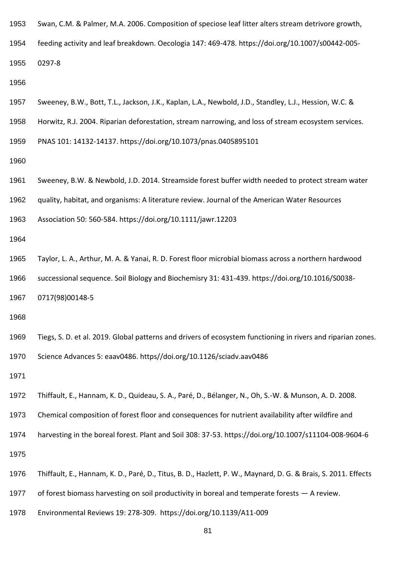- Swan, C.M. & Palmer, M.A. 2006. Composition of speciose leaf litter alters stream detrivore growth,
- feeding activity and leaf breakdown. Oecologia 147: 469-478. https://doi.org/10.1007/s00442-005-

0297-8

- Sweeney, B.W., Bott, T.L., Jackson, J.K., Kaplan, L.A., Newbold, J.D., Standley, L.J., Hession, W.C. &
- Horwitz, R.J. 2004. Riparian deforestation, stream narrowing, and loss of stream ecosystem services.
- PNAS 101: 14132-14137. https://doi.org/10.1073/pnas.0405895101

- Sweeney, B.W. & Newbold, J.D. 2014. Streamside forest buffer width needed to protect stream water
- quality, habitat, and organisms: A literature review. Journal of the American Water Resources
- Association 50: 560-584. https://doi.org/10.1111/jawr.12203

- Taylor, L. A., Arthur, M. A. & Yanai, R. D. Forest floor microbial biomass across a northern hardwood
- successional sequence. Soil Biology and Biochemisry 31: 431-439. https://doi.org/10.1016/S0038-

0717(98)00148-5

- Tiegs, S. D. et al. 2019. Global patterns and drivers of ecosystem functioning in rivers and riparian zones.
- Science Advances 5: eaav0486. https//doi.org/10.1126/sciadv.aav0486

- Thiffault, E., Hannam, K. D., Quideau, S. A., Paré, D., Bélanger, N., Oh, S.-W. & Munson, A. D. 2008.
- Chemical composition of forest floor and consequences for nutrient availability after wildfire and
- harvesting in the boreal forest. Plant and Soil 308: 37-53. https://doi.org/10.1007/s11104-008-9604-6

- Thiffault, E., Hannam, K. D., Paré, D., Titus, B. D., Hazlett, P. W., Maynard, D. G. & Brais, S. 2011. Effects
- 1977 of forest biomass harvesting on soil productivity in boreal and temperate forests A review.
- Environmental Reviews 19: 278-309. https://doi.org/10.1139/A11-009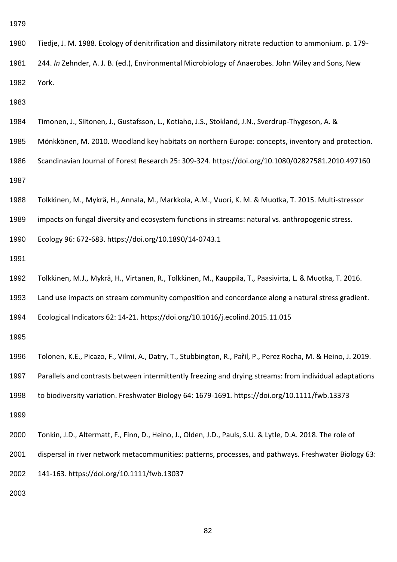| 1980 | Tiedje, J. M. 1988. Ecology of denitrification and dissimilatory nitrate reduction to ammonium. p. 179-        |
|------|----------------------------------------------------------------------------------------------------------------|
| 1981 | 244. In Zehnder, A. J. B. (ed.), Environmental Microbiology of Anaerobes. John Wiley and Sons, New             |
| 1982 | York.                                                                                                          |
| 1983 |                                                                                                                |
| 1984 | Timonen, J., Siitonen, J., Gustafsson, L., Kotiaho, J.S., Stokland, J.N., Sverdrup-Thygeson, A. &              |
| 1985 | Mönkkönen, M. 2010. Woodland key habitats on northern Europe: concepts, inventory and protection.              |
| 1986 | Scandinavian Journal of Forest Research 25: 309-324. https://doi.org/10.1080/02827581.2010.497160              |
| 1987 |                                                                                                                |
| 1988 | Tolkkinen, M., Mykrä, H., Annala, M., Markkola, A.M., Vuori, K. M. & Muotka, T. 2015. Multi-stressor           |
| 1989 | impacts on fungal diversity and ecosystem functions in streams: natural vs. anthropogenic stress.              |
| 1990 | Ecology 96: 672-683. https://doi.org/10.1890/14-0743.1                                                         |
| 1991 |                                                                                                                |
| 1992 | Tolkkinen, M.J., Mykrä, H., Virtanen, R., Tolkkinen, M., Kauppila, T., Paasivirta, L. & Muotka, T. 2016.       |
| 1993 | Land use impacts on stream community composition and concordance along a natural stress gradient.              |
| 1994 | Ecological Indicators 62: 14-21. https://doi.org/10.1016/j.ecolind.2015.11.015                                 |
| 1995 |                                                                                                                |
| 1996 | Tolonen, K.E., Picazo, F., Vilmi, A., Datry, T., Stubbington, R., Pařil, P., Perez Rocha, M. & Heino, J. 2019. |
| 1997 | Parallels and contrasts between intermittently freezing and drying streams: from individual adaptations        |
| 1998 | to biodiversity variation. Freshwater Biology 64: 1679-1691. https://doi.org/10.1111/fwb.13373                 |
| 1999 |                                                                                                                |
| 2000 | Tonkin, J.D., Altermatt, F., Finn, D., Heino, J., Olden, J.D., Pauls, S.U. & Lytle, D.A. 2018. The role of     |
| 2001 | dispersal in river network metacommunities: patterns, processes, and pathways. Freshwater Biology 63:          |
| 2002 | 141-163. https://doi.org/10.1111/fwb.13037                                                                     |
| 2003 |                                                                                                                |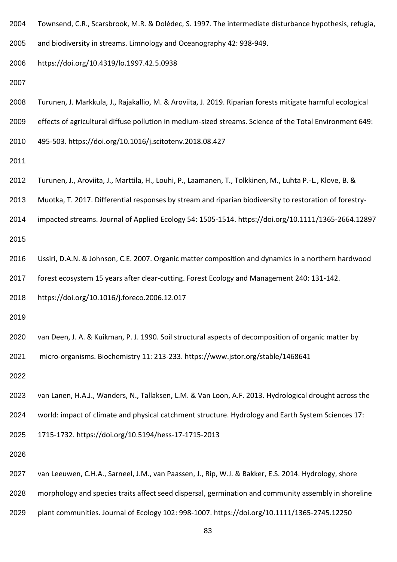- Townsend, C.R., Scarsbrook, M.R. & Dolédec, S. 1997. The intermediate disturbance hypothesis, refugia,
- and biodiversity in streams. Limnology and Oceanography 42: 938-949.
- https://doi.org/10.4319/lo.1997.42.5.0938
- 
- Turunen, J. Markkula, J., Rajakallio, M. & Aroviita, J. 2019. Riparian forests mitigate harmful ecological
- effects of agricultural diffuse pollution in medium-sized streams. Science of the Total Environment 649:
- 495-503. https://doi.org/10.1016/j.scitotenv.2018.08.427
- 
- Turunen, J., Aroviita, J., Marttila, H., Louhi, P., Laamanen, T., Tolkkinen, M., Luhta P.-L., Klove, B. &
- Muotka, T. 2017. Differential responses by stream and riparian biodiversity to restoration of forestry-
- impacted streams. Journal of Applied Ecology 54: 1505-1514. https://doi.org/10.1111/1365-2664.12897
- 
- Ussiri, D.A.N. & Johnson, C.E. 2007. Organic matter composition and dynamics in a northern hardwood
- forest ecosystem 15 years after clear-cutting. Forest Ecology and Management 240: 131-142.
- https://doi.org/10.1016/j.foreco.2006.12.017
- 
- van Deen, J. A. & Kuikman, P. J. 1990. Soil structural aspects of decomposition of organic matter by
- micro-organisms. Biochemistry 11: 213-233. https://www.jstor.org/stable/1468641
- 
- van Lanen, H.A.J., Wanders, N., Tallaksen, L.M. & Van Loon, A.F. 2013. Hydrological drought across the
- world: impact of climate and physical catchment structure. Hydrology and Earth System Sciences 17:
- 1715-1732. https://doi.org/10.5194/hess-17-1715-2013
- 
- van Leeuwen, C.H.A., Sarneel, J.M., van Paassen, J., Rip, W.J. & Bakker, E.S. 2014. Hydrology, shore
- morphology and species traits affect seed dispersal, germination and community assembly in shoreline
- plant communities. Journal of Ecology 102: 998-1007. https://doi.org/10.1111/1365-2745.12250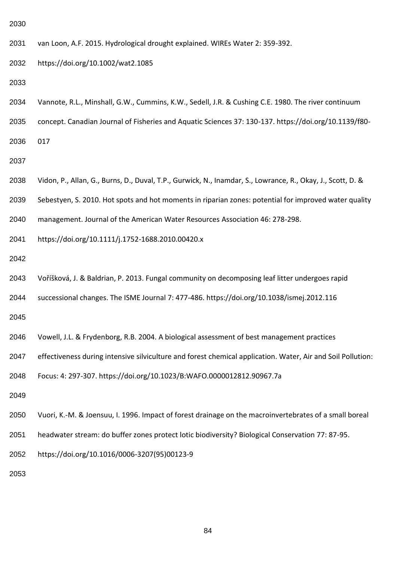- van Loon, A.F. 2015. Hydrological drought explained. WIREs Water 2: 359-392.
- https://doi.org/10.1002/wat2.1085
- 
- Vannote, R.L., Minshall, G.W., Cummins, K.W., Sedell, J.R. & Cushing C.E. 1980. The river continuum
- concept. Canadian Journal of Fisheries and Aquatic Sciences 37: 130-137. https://doi.org/10.1139/f80-
- 017
- 
- Vidon, P., Allan, G., Burns, D., Duval, T.P., Gurwick, N., Inamdar, S., Lowrance, R., Okay, J., Scott, D. &
- Sebestyen, S. 2010. Hot spots and hot moments in riparian zones: potential for improved water quality
- management. Journal of the American Water Resources Association 46: 278-298.
- https://doi.org/10.1111/j.1752-1688.2010.00420.x
- 
- Voříšková, J. & Baldrian, P. 2013. Fungal community on decomposing leaf litter undergoes rapid
- successional changes. The ISME Journal 7: 477-486. https://doi.org/10.1038/ismej.2012.116
- 
- Vowell, J.L. & Frydenborg, R.B. 2004. A biological assessment of best management practices
- effectiveness during intensive silviculture and forest chemical application. Water, Air and Soil Pollution:

Focus: 4: 297-307. https://doi.org/10.1023/B:WAFO.0000012812.90967.7a

- 
- Vuori, K.-M. & Joensuu, I. 1996. Impact of forest drainage on the macroinvertebrates of a small boreal
- headwater stream: do buffer zones protect lotic biodiversity? Biological Conservation 77: 87-95.
- https://doi.org/10.1016/0006-3207(95)00123-9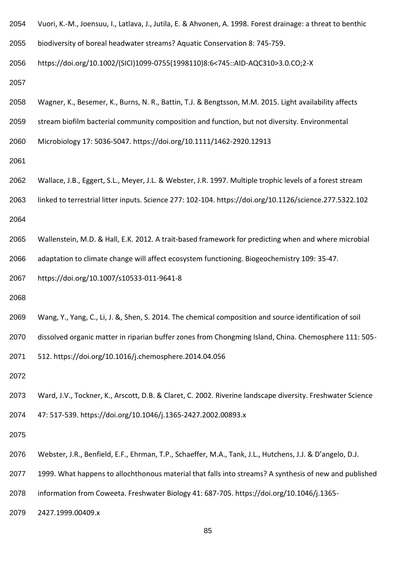| 2054 | Vuori, K.-M., Joensuu, I., Latlava, J., Jutila, E. & Ahvonen, A. 1998. Forest drainage: a threat to benthic |  |  |  |  |  |
|------|-------------------------------------------------------------------------------------------------------------|--|--|--|--|--|
|------|-------------------------------------------------------------------------------------------------------------|--|--|--|--|--|

- biodiversity of boreal headwater streams? Aquatic Conservation 8: 745-759.
- https://doi.org/10.1002/(SICI)1099-0755(1998110)8:6<745::AID-AQC310>3.0.CO;2-X

- Wagner, K., Besemer, K., Burns, N. R., Battin, T.J. & Bengtsson, M.M. 2015. Light availability affects
- stream biofilm bacterial community composition and function, but not diversity. Environmental
- Microbiology 17: 5036-5047. https://doi.org/10.1111/1462-2920.12913
- 
- Wallace, J.B., Eggert, S.L., Meyer, J.L. & Webster, J.R. 1997. Multiple trophic levels of a forest stream
- linked to terrestrial litter inputs. Science 277: 102-104. https://doi.org/10.1126/science.277.5322.102

- Wallenstein, M.D. & Hall, E.K. 2012. A trait-based framework for predicting when and where microbial
- adaptation to climate change will affect ecosystem functioning. Biogeochemistry 109: 35-47.
- https://doi.org/10.1007/s10533-011-9641-8
- 
- Wang, Y., Yang, C., Li, J. &, Shen, S. 2014. The chemical composition and source identification of soil
- dissolved organic matter in riparian buffer zones from Chongming Island, China. Chemosphere 111: 505-
- 512. https://doi.org/10.1016/j.chemosphere.2014.04.056
- 
- Ward, J.V., Tockner, K., Arscott, D.B. & Claret, C. 2002. Riverine landscape diversity. Freshwater Science
- 47: 517-539. https://doi.org/10.1046/j.1365-2427.2002.00893.x
- 
- Webster, J.R., Benfield, E.F., Ehrman, T.P., Schaeffer, M.A., Tank, J.L., Hutchens, J.J. & D'angelo, D.J.
- 1999. What happens to allochthonous material that falls into streams? A synthesis of new and published
- information from Coweeta. Freshwater Biology 41: 687-705. https://doi.org/10.1046/j.1365-
- 2427.1999.00409.x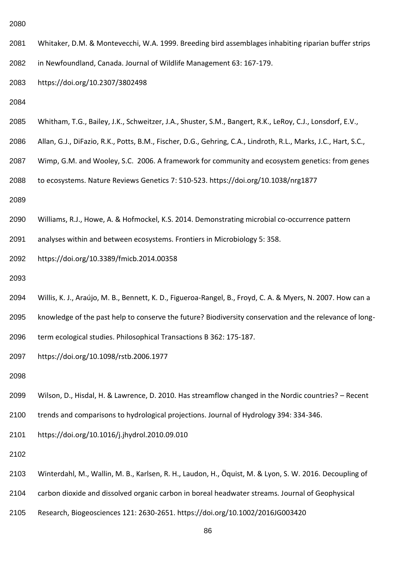- Whitaker, D.M. & Montevecchi, W.A. 1999. Breeding bird assemblages inhabiting riparian buffer strips
- in Newfoundland, Canada. Journal of Wildlife Management 63: 167-179.
- https://doi.org/10.2307/3802498
- 
- Whitham, T.G., Bailey, J.K., Schweitzer, J.A., Shuster, S.M., Bangert, R.K., LeRoy, C.J., Lonsdorf, E.V.,
- Allan, G.J., DiFazio, R.K., Potts, B.M., Fischer, D.G., Gehring, C.A., Lindroth, R.L., Marks, J.C., Hart, S.C.,
- Wimp, G.M. and Wooley, S.C. 2006. A framework for community and ecosystem genetics: from genes
- to ecosystems. Nature Reviews Genetics 7: 510-523. https://doi.org/10.1038/nrg1877
- 
- Williams, R.J., Howe, A. & Hofmockel, K.S. 2014. Demonstrating microbial co-occurrence pattern
- analyses within and between ecosystems. Frontiers in Microbiology 5: 358.
- https://doi.org/10.3389/fmicb.2014.00358
- 
- Willis, K. J., Araújo, M. B., Bennett, K. D., Figueroa-Rangel, B., Froyd, C. A. & Myers, N. 2007. How can a
- knowledge of the past help to conserve the future? Biodiversity conservation and the relevance of long-
- term ecological studies. Philosophical Transactions B 362: 175-187.
- https://doi.org/10.1098/rstb.2006.1977
- 
- Wilson, D., Hisdal, H. & Lawrence, D. 2010. Has streamflow changed in the Nordic countries? Recent
- trends and comparisons to hydrological projections. Journal of Hydrology 394: 334-346.
- https://doi.org/10.1016/j.jhydrol.2010.09.010
- 
- Winterdahl, M., Wallin, M. B., Karlsen, R. H., Laudon, H., Öquist, M. & Lyon, S. W. 2016. Decoupling of
- carbon dioxide and dissolved organic carbon in boreal headwater streams. Journal of Geophysical
- Research, Biogeosciences 121: 2630-2651. https://doi.org/10.1002/2016JG003420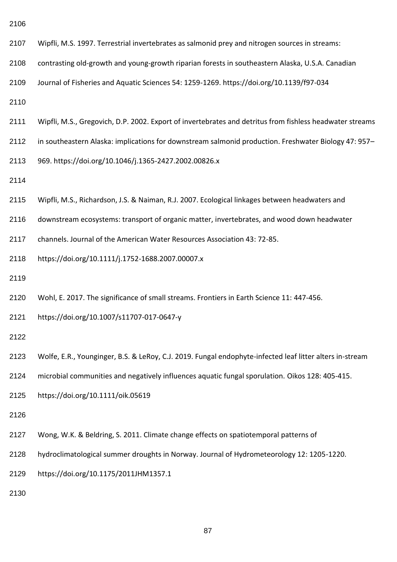- Wipfli, M.S. 1997. Terrestrial invertebrates as salmonid prey and nitrogen sources in streams:
- contrasting old-growth and young-growth riparian forests in southeastern Alaska, U.S.A. Canadian
- Journal of Fisheries and Aquatic Sciences 54: 1259-1269. https://doi.org/10.1139/f97-034
- 
- Wipfli, M.S., Gregovich, D.P. 2002. Export of invertebrates and detritus from fishless headwater streams
- in southeastern Alaska: implications for downstream salmonid production. Freshwater Biology 47: 957–
- 969. https://doi.org/10.1046/j.1365-2427.2002.00826.x
- 
- Wipfli, M.S., Richardson, J.S. & Naiman, R.J. 2007. Ecological linkages between headwaters and
- downstream ecosystems: transport of organic matter, invertebrates, and wood down headwater
- channels. Journal of the American Water Resources Association 43: 72-85.
- https://doi.org/10.1111/j.1752-1688.2007.00007.x
- 
- Wohl, E. 2017. The significance of small streams. Frontiers in Earth Science 11: 447-456.
- https://doi.org/10.1007/s11707-017-0647-y
- 
- Wolfe, E.R., Younginger, B.S. & LeRoy, C.J. 2019. Fungal endophyte-infected leaf litter alters in-stream
- microbial communities and negatively influences aquatic fungal sporulation. Oikos 128: 405-415.
- https://doi.org/10.1111/oik.05619
- 
- Wong, W.K. & Beldring, S. 2011. Climate change effects on spatiotemporal patterns of
- hydroclimatological summer droughts in Norway. Journal of Hydrometeorology 12: 1205-1220.
- https://doi.org/10.1175/2011JHM1357.1
-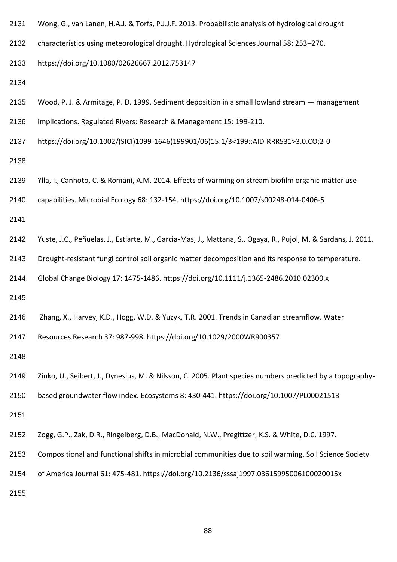- Wong, G., van Lanen, H.A.J. & Torfs, P.J.J.F. 2013. Probabilistic analysis of hydrological drought
- characteristics using meteorological drought. Hydrological Sciences Journal 58: 253–270.

https://doi.org/10.1080/02626667.2012.753147

- Wood, P. J. & Armitage, P. D. 1999. Sediment deposition in a small lowland stream management
- implications. Regulated Rivers: Research & Management 15: 199-210.
- https://doi.org/10.1002/(SICI)1099-1646(199901/06)15:1/3<199::AID-RRR531>3.0.CO;2-0

- Ylla, I., Canhoto, C. & Romaní, A.M. 2014. Effects of warming on stream biofilm organic matter use
- capabilities. Microbial Ecology 68: 132-154. https://doi.org/10.1007/s00248-014-0406-5

- Yuste, J.C., Peñuelas, J., Estiarte, M., Garcia-Mas, J., Mattana, S., Ogaya, R., Pujol, M. & Sardans, J. 2011.
- Drought-resistant fungi control soil organic matter decomposition and its response to temperature.
- Global Change Biology 17: 1475-1486. https://doi.org/10.1111/j.1365-2486.2010.02300.x

Zhang, X., Harvey, K.D., Hogg, W.D. & Yuzyk, T.R. 2001. Trends in Canadian streamflow. Water

Resources Research 37: 987-998. https://doi.org/10.1029/2000WR900357

```
2149 Zinko, U., Seibert, J., Dynesius, M. & Nilsson, C. 2005. Plant species numbers predicted by a topography-
```
based groundwater flow index. Ecosystems 8: 430-441. https://doi.org/10.1007/PL00021513

- Zogg, G.P., Zak, D.R., Ringelberg, D.B., MacDonald, N.W., Pregittzer, K.S. & White, D.C. 1997.
- Compositional and functional shifts in microbial communities due to soil warming. Soil Science Society
- of America Journal 61: 475-481. https://doi.org/10.2136/sssaj1997.03615995006100020015x